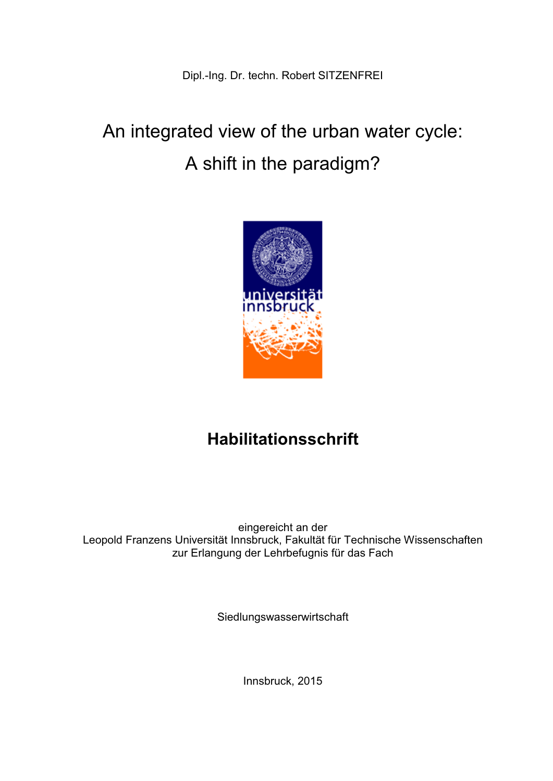# An integrated view of the urban water cycle: A shift in the paradigm?



## **Habilitationsschrift**

eingereicht an der Leopold Franzens Universität Innsbruck, Fakultät für Technische Wissenschaften zur Erlangung der Lehrbefugnis für das Fach

Siedlungswasserwirtschaft

Innsbruck, 2015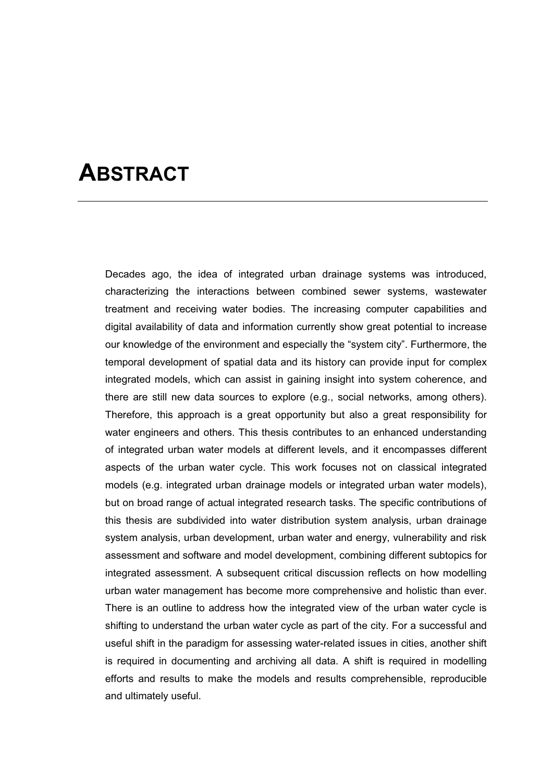## **ABSTRACT**

Decades ago, the idea of integrated urban drainage systems was introduced, characterizing the interactions between combined sewer systems, wastewater treatment and receiving water bodies. The increasing computer capabilities and digital availability of data and information currently show great potential to increase our knowledge of the environment and especially the "system city". Furthermore, the temporal development of spatial data and its history can provide input for complex integrated models, which can assist in gaining insight into system coherence, and there are still new data sources to explore (e.g., social networks, among others). Therefore, this approach is a great opportunity but also a great responsibility for water engineers and others. This thesis contributes to an enhanced understanding of integrated urban water models at different levels, and it encompasses different aspects of the urban water cycle. This work focuses not on classical integrated models (e.g. integrated urban drainage models or integrated urban water models), but on broad range of actual integrated research tasks. The specific contributions of this thesis are subdivided into water distribution system analysis, urban drainage system analysis, urban development, urban water and energy, vulnerability and risk assessment and software and model development, combining different subtopics for integrated assessment. A subsequent critical discussion reflects on how modelling urban water management has become more comprehensive and holistic than ever. There is an outline to address how the integrated view of the urban water cycle is shifting to understand the urban water cycle as part of the city. For a successful and useful shift in the paradigm for assessing water-related issues in cities, another shift is required in documenting and archiving all data. A shift is required in modelling efforts and results to make the models and results comprehensible, reproducible and ultimately useful.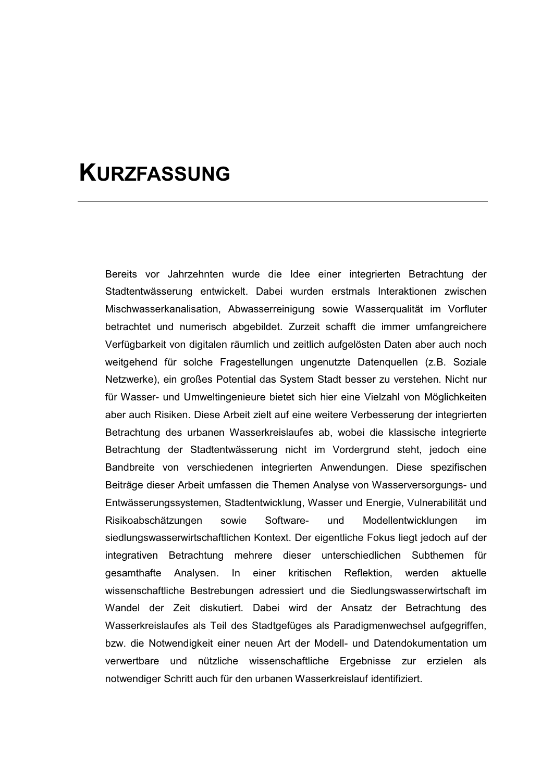## **KURZFASSUNG**

Bereits vor Jahrzehnten wurde die Idee einer integrierten Betrachtung der Stadtentwässerung entwickelt. Dabei wurden erstmals Interaktionen zwischen Mischwasserkanalisation, Abwasserreinigung sowie Wasserqualität im Vorfluter betrachtet und numerisch abgebildet. Zurzeit schafft die immer umfangreichere Verfügbarkeit von digitalen räumlich und zeitlich aufgelösten Daten aber auch noch weitgehend für solche Fragestellungen ungenutzte Datenquellen (z.B. Soziale Netzwerke), ein großes Potential das System Stadt besser zu verstehen. Nicht nur für Wasser- und Umweltingenieure bietet sich hier eine Vielzahl von Möglichkeiten aber auch Risiken. Diese Arbeit zielt auf eine weitere Verbesserung der integrierten Betrachtung des urbanen Wasserkreislaufes ab, wobei die klassische integrierte Betrachtung der Stadtentwässerung nicht im Vordergrund steht, jedoch eine Bandbreite von verschiedenen integrierten Anwendungen. Diese spezifischen Beiträge dieser Arbeit umfassen die Themen Analyse von Wasserversorgungs- und Entwässerungssystemen, Stadtentwicklung, Wasser und Energie, Vulnerabilität und Risikoabschätzungen sowie Software- und Modellentwicklungen im siedlungswasserwirtschaftlichen Kontext. Der eigentliche Fokus liegt jedoch auf der integrativen Betrachtung mehrere dieser unterschiedlichen Subthemen für gesamthafte Analysen. In einer kritischen Reflektion, werden aktuelle wissenschaftliche Bestrebungen adressiert und die Siedlungswasserwirtschaft im Wandel der Zeit diskutiert. Dabei wird der Ansatz der Betrachtung des Wasserkreislaufes als Teil des Stadtgefüges als Paradigmenwechsel aufgegriffen, bzw. die Notwendigkeit einer neuen Art der Modell- und Datendokumentation um verwertbare und nützliche wissenschaftliche Ergebnisse zur erzielen als notwendiger Schritt auch für den urbanen Wasserkreislauf identifiziert.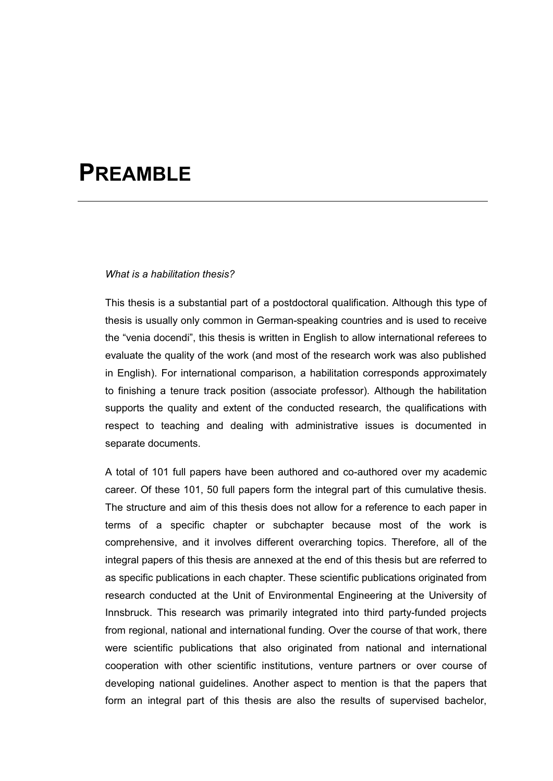## **PREAMBLE**

#### *What is a habilitation thesis?*

This thesis is a substantial part of a postdoctoral qualification. Although this type of thesis is usually only common in German-speaking countries and is used to receive the "venia docendi", this thesis is written in English to allow international referees to evaluate the quality of the work (and most of the research work was also published in English). For international comparison, a habilitation corresponds approximately to finishing a tenure track position (associate professor). Although the habilitation supports the quality and extent of the conducted research, the qualifications with respect to teaching and dealing with administrative issues is documented in separate documents.

A total of 101 full papers have been authored and co-authored over my academic career. Of these 101, 50 full papers form the integral part of this cumulative thesis. The structure and aim of this thesis does not allow for a reference to each paper in terms of a specific chapter or subchapter because most of the work is comprehensive, and it involves different overarching topics. Therefore, all of the integral papers of this thesis are annexed at the end of this thesis but are referred to as specific publications in each chapter. These scientific publications originated from research conducted at the Unit of Environmental Engineering at the University of Innsbruck. This research was primarily integrated into third party-funded projects from regional, national and international funding. Over the course of that work, there were scientific publications that also originated from national and international cooperation with other scientific institutions, venture partners or over course of developing national guidelines. Another aspect to mention is that the papers that form an integral part of this thesis are also the results of supervised bachelor,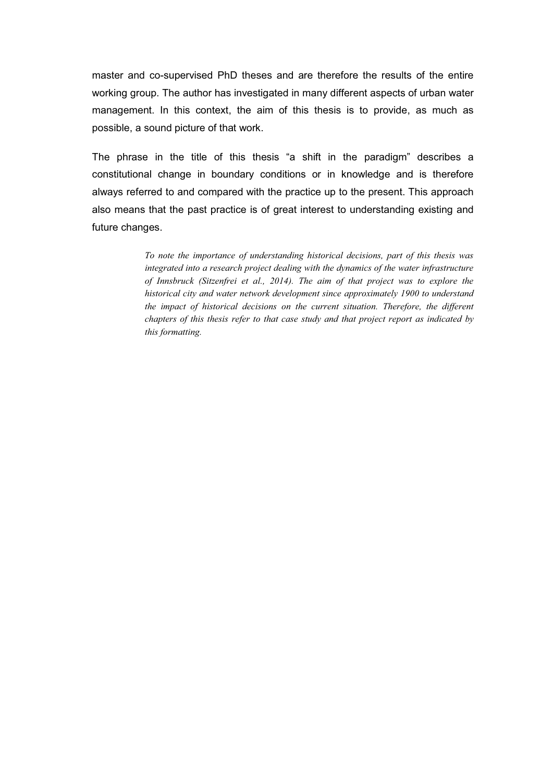master and co-supervised PhD theses and are therefore the results of the entire working group. The author has investigated in many different aspects of urban water management. In this context, the aim of this thesis is to provide, as much as possible, a sound picture of that work.

The phrase in the title of this thesis "a shift in the paradigm" describes a constitutional change in boundary conditions or in knowledge and is therefore always referred to and compared with the practice up to the present. This approach also means that the past practice is of great interest to understanding existing and future changes.

> *To note the importance of understanding historical decisions, part of this thesis was integrated into a research project dealing with the dynamics of the water infrastructure of Innsbruck (Sitzenfrei et al., 2014). The aim of that project was to explore the historical city and water network development since approximately 1900 to understand the impact of historical decisions on the current situation. Therefore, the different chapters of this thesis refer to that case study and that project report as indicated by this formatting.*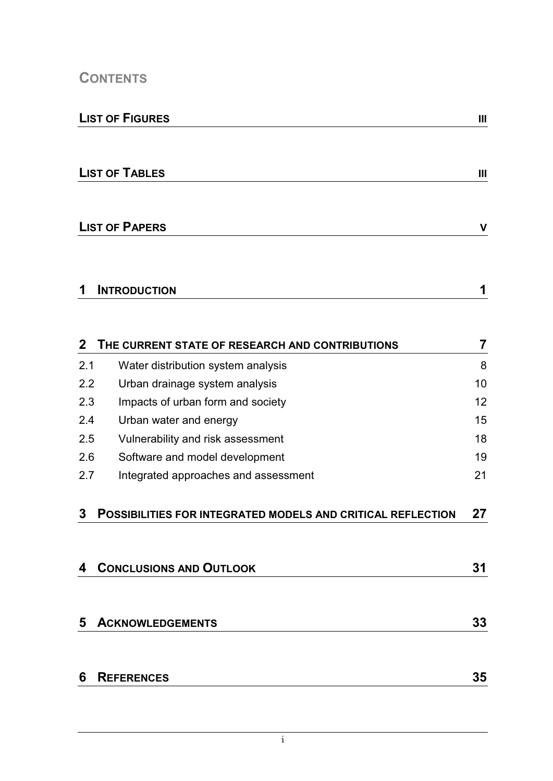### **CONTENTS**

## **LIST OF TABLES** III

### **LIST OF PAPERS V**

| И | <b>INTRODUCTION</b> |  |
|---|---------------------|--|
|   |                     |  |

| $\mathbf{2}$ | THE CURRENT STATE OF RESEARCH AND CONTRIBUTIONS                    | 7  |
|--------------|--------------------------------------------------------------------|----|
| 2.1          | Water distribution system analysis                                 | 8  |
| 2.2          | Urban drainage system analysis                                     | 10 |
| 2.3          | Impacts of urban form and society                                  | 12 |
| 2.4          | Urban water and energy                                             | 15 |
| 2.5          | Vulnerability and risk assessment                                  | 18 |
| 2.6          | Software and model development                                     | 19 |
| 2.7          | Integrated approaches and assessment                               | 21 |
| 3            | <b>POSSIBILITIES FOR INTEGRATED MODELS AND CRITICAL REFLECTION</b> | 27 |
| 4            | <b>CONCLUSIONS AND OUTLOOK</b>                                     | 31 |
| 5            | <b>ACKNOWLEDGEMENTS</b>                                            | 33 |
| 6            | <b>REFERENCES</b>                                                  | 35 |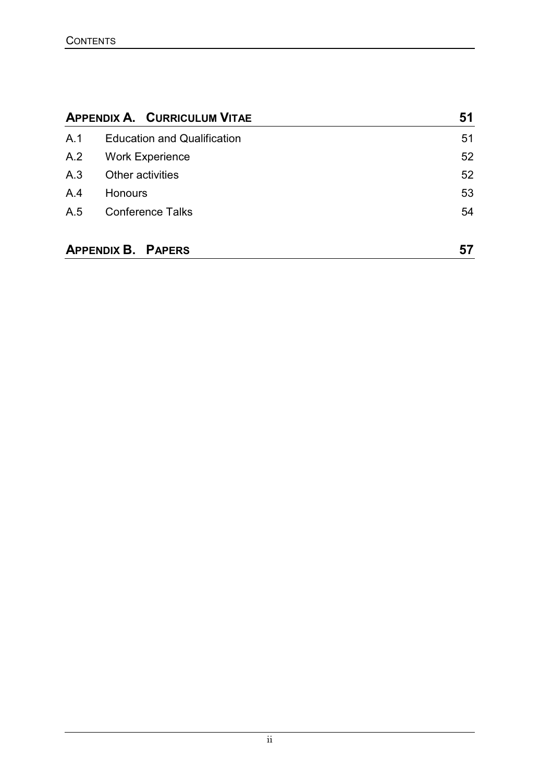|     | <b>APPENDIX A. CURRICULUM VITAE</b> | 51 |
|-----|-------------------------------------|----|
| A.1 | <b>Education and Qualification</b>  | 51 |
| A.2 | <b>Work Experience</b>              | 52 |
| A.3 | Other activities                    | 52 |
| A.4 | <b>Honours</b>                      | 53 |
| A.5 | <b>Conference Talks</b>             | 54 |
|     | <b>APPENDIX B. PAPERS</b>           | 57 |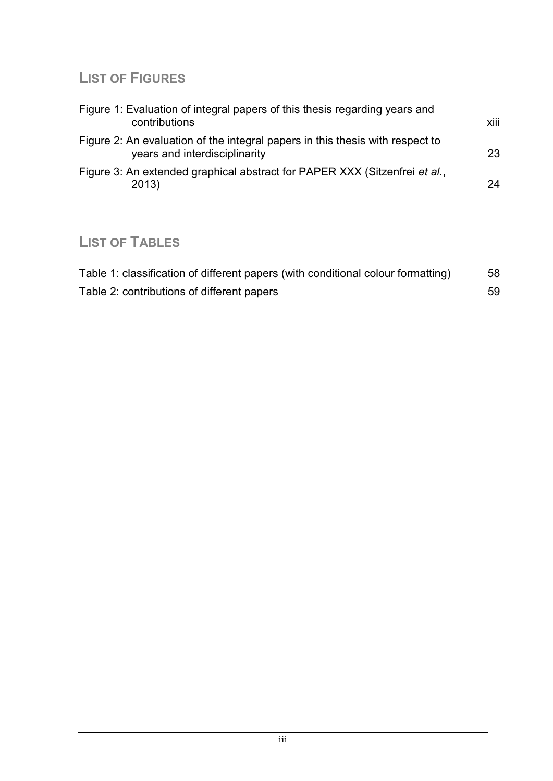### **LIST OF FIGURES**

| Figure 1: Evaluation of integral papers of this thesis regarding years and<br>contributions                    | xiii |
|----------------------------------------------------------------------------------------------------------------|------|
| Figure 2: An evaluation of the integral papers in this thesis with respect to<br>years and interdisciplinarity | 23   |
| Figure 3: An extended graphical abstract for PAPER XXX (Sitzenfrei et al.,<br>2013)                            | 24   |

### **LIST OF TABLES**

| Table 1: classification of different papers (with conditional colour formatting) | 58  |
|----------------------------------------------------------------------------------|-----|
| Table 2: contributions of different papers                                       | -59 |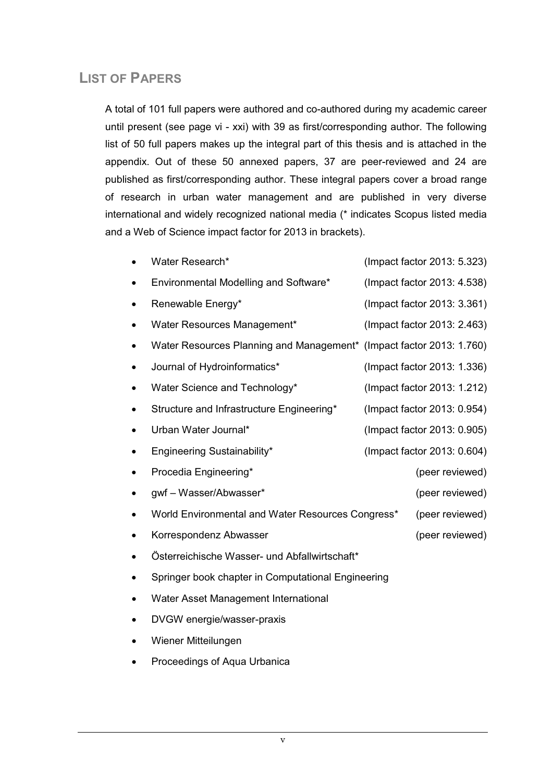### **LIST OF PAPERS**

A total of 101 full papers were authored and co-authored during my academic career until present (see page vi - xxi) with 39 as first/corresponding author. The following list of 50 full papers makes up the integral part of this thesis and is attached in the appendix. Out of these 50 annexed papers, 37 are peer-reviewed and 24 are published as first/corresponding author. These integral papers cover a broad range of research in urban water management and are published in very diverse international and widely recognized national media (\* indicates Scopus listed media and a Web of Science impact factor for 2013 in brackets).

| Water Research*                                                      | (Impact factor 2013: 5.323) |
|----------------------------------------------------------------------|-----------------------------|
| Environmental Modelling and Software*                                | (Impact factor 2013: 4.538) |
| Renewable Energy*                                                    | (Impact factor 2013: 3.361) |
| Water Resources Management*                                          | (Impact factor 2013: 2.463) |
| Water Resources Planning and Management* (Impact factor 2013: 1.760) |                             |
| Journal of Hydroinformatics*                                         | (Impact factor 2013: 1.336) |
| Water Science and Technology*                                        | (Impact factor 2013: 1.212) |
| Structure and Infrastructure Engineering*                            | (Impact factor 2013: 0.954) |
| Urban Water Journal*                                                 | (Impact factor 2013: 0.905) |
| Engineering Sustainability*                                          | (Impact factor 2013: 0.604) |
| Procedia Engineering*                                                | (peer reviewed)             |
| gwf - Wasser/Abwasser*                                               | (peer reviewed)             |
| World Environmental and Water Resources Congress*                    | (peer reviewed)             |
| Korrespondenz Abwasser                                               | (peer reviewed)             |
| Österreichische Wasser- und Abfallwirtschaft*                        |                             |
| Springer book chapter in Computational Engineering                   |                             |
| Water Asset Management International                                 |                             |

- $\bullet$ DVGW energie/wasser-praxis
- $\bullet$ Wiener Mitteilungen
- $\bullet$ Proceedings of Aqua Urbanica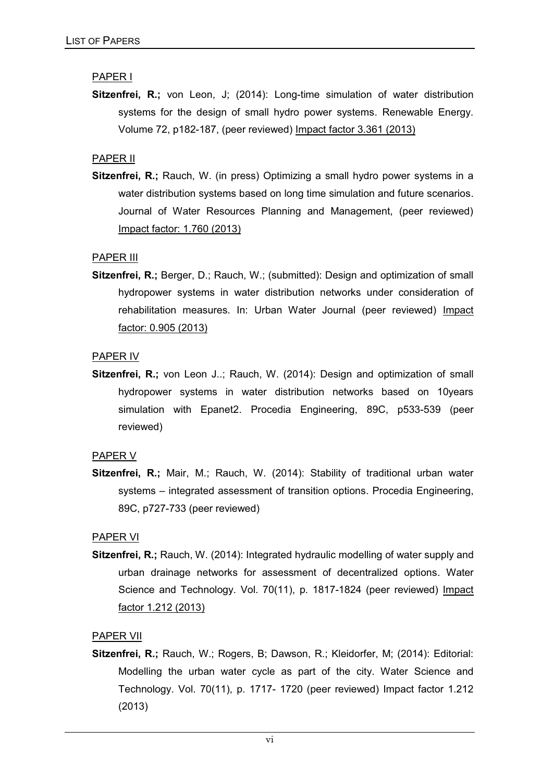#### PAPER I

**Sitzenfrei, R.;** von Leon, J; (2014): Long-time simulation of water distribution systems for the design of small hydro power systems. Renewable Energy. Volume 72, p182-187, (peer reviewed) Impact factor 3.361 (2013)

#### PAPER II

**Sitzenfrei, R.;** Rauch, W. (in press) Optimizing a small hydro power systems in a water distribution systems based on long time simulation and future scenarios. Journal of Water Resources Planning and Management, (peer reviewed) Impact factor: 1.760 (2013)

#### PAPER III

**Sitzenfrei, R.;** Berger, D.; Rauch, W.; (submitted): Design and optimization of small hydropower systems in water distribution networks under consideration of rehabilitation measures. In: Urban Water Journal (peer reviewed) Impact factor: 0.905 (2013)

#### PAPER IV

**Sitzenfrei, R.:** von Leon J..: Rauch, W. (2014): Design and optimization of small hydropower systems in water distribution networks based on 10years simulation with Epanet2. Procedia Engineering, 89C, p533-539 (peer reviewed)

#### PAPER V

**Sitzenfrei, R.;** Mair, M.; Rauch, W. (2014): Stability of traditional urban water systems – integrated assessment of transition options. Procedia Engineering, 89C, p727-733 (peer reviewed)

#### PAPER VI

**Sitzenfrei, R.;** Rauch, W. (2014): Integrated hydraulic modelling of water supply and urban drainage networks for assessment of decentralized options. Water Science and Technology. Vol. 70(11), p. 1817-1824 (peer reviewed) Impact factor 1.212 (2013)

#### PAPER VII

**Sitzenfrei, R.;** Rauch, W.; Rogers, B; Dawson, R.; Kleidorfer, M; (2014): Editorial: Modelling the urban water cycle as part of the city. Water Science and Technology. Vol. 70(11), p. 1717- 1720 (peer reviewed) Impact factor 1.212 (2013)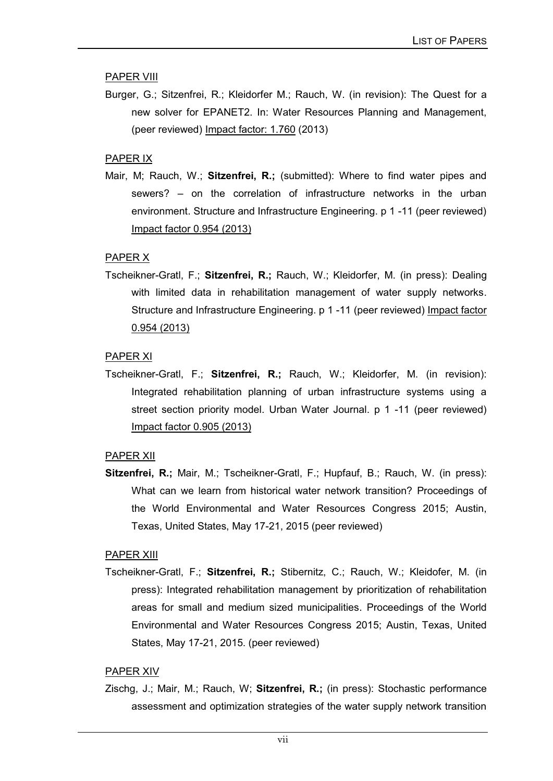#### PAPER VIII

Burger, G.; Sitzenfrei, R.; Kleidorfer M.; Rauch, W. (in revision): The Quest for a new solver for EPANET2. In: Water Resources Planning and Management, (peer reviewed) Impact factor: 1.760 (2013)

#### PAPER IX

Mair, M; Rauch, W.; **Sitzenfrei, R.;** (submitted): Where to find water pipes and sewers? – on the correlation of infrastructure networks in the urban environment. Structure and Infrastructure Engineering. p 1 -11 (peer reviewed) Impact factor 0.954 (2013)

#### PAPER X

Tscheikner-Gratl, F.; **Sitzenfrei, R.;** Rauch, W.; Kleidorfer, M. (in press): Dealing with limited data in rehabilitation management of water supply networks. Structure and Infrastructure Engineering. p 1 -11 (peer reviewed) Impact factor 0.954 (2013)

#### PAPER XI

Tscheikner-Gratl, F.; **Sitzenfrei, R.;** Rauch, W.; Kleidorfer, M. (in revision): Integrated rehabilitation planning of urban infrastructure systems using a street section priority model. Urban Water Journal. p 1 -11 (peer reviewed) Impact factor 0.905 (2013)

#### PAPER XII

**Sitzenfrei, R.;** Mair, M.; Tscheikner-Gratl, F.; Hupfauf, B.; Rauch, W. (in press): What can we learn from historical water network transition? Proceedings of the World Environmental and Water Resources Congress 2015; Austin, Texas, United States, May 17-21, 2015 (peer reviewed)

#### PAPER XIII

Tscheikner-Gratl, F.; **Sitzenfrei, R.;** Stibernitz, C.; Rauch, W.; Kleidofer, M. (in press): Integrated rehabilitation management by prioritization of rehabilitation areas for small and medium sized municipalities. Proceedings of the World Environmental and Water Resources Congress 2015; Austin, Texas, United States, May 17-21, 2015. (peer reviewed)

#### PAPER XIV

Zischg, J.; Mair, M.; Rauch, W; **Sitzenfrei, R.;** (in press): Stochastic performance assessment and optimization strategies of the water supply network transition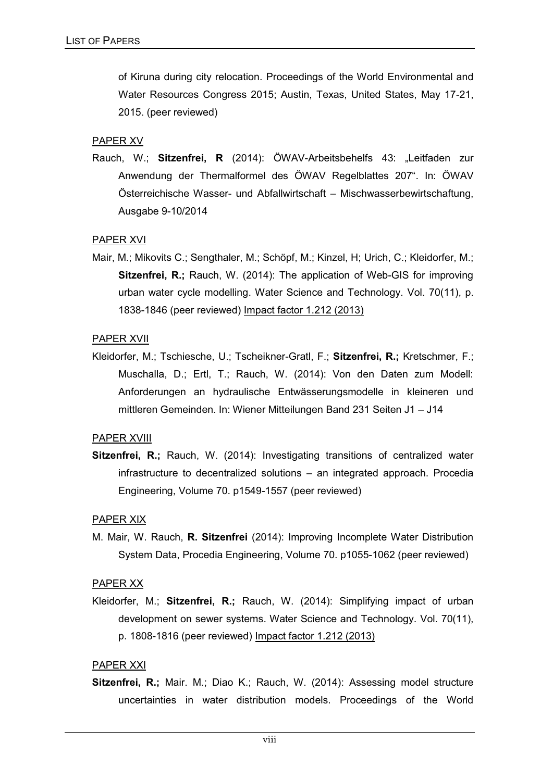of Kiruna during city relocation. Proceedings of the World Environmental and Water Resources Congress 2015; Austin, Texas, United States, May 17-21, 2015. (peer reviewed)

#### PAPER XV

Rauch, W.; **Sitzenfrei, R** (2014): ÖWAV-Arbeitsbehelfs 43: "Leitfaden zur Anwendung der Thermalformel des ÖWAV Regelblattes 207". In: ÖWAV Österreichische Wasser- und Abfallwirtschaft – Mischwasserbewirtschaftung, Ausgabe 9-10/2014

#### PAPER XVI

Mair, M.; Mikovits C.; Sengthaler, M.; Schöpf, M.; Kinzel, H; Urich, C.; Kleidorfer, M.; **Sitzenfrei, R.;** Rauch, W. (2014): The application of Web-GIS for improving urban water cycle modelling. Water Science and Technology. Vol. 70(11), p. 1838-1846 (peer reviewed) Impact factor 1.212 (2013)

#### PAPER XVII

Kleidorfer, M.; Tschiesche, U.; Tscheikner-Gratl, F.; **Sitzenfrei, R.;** Kretschmer, F.; Muschalla, D.; Ertl, T.; Rauch, W. (2014): Von den Daten zum Modell: Anforderungen an hydraulische Entwässerungsmodelle in kleineren und mittleren Gemeinden. In: Wiener Mitteilungen Band 231 Seiten J1 – J14

#### PAPER XVIII

**Sitzenfrei, R.;** Rauch, W. (2014): Investigating transitions of centralized water infrastructure to decentralized solutions – an integrated approach. Procedia Engineering, Volume 70. p1549-1557 (peer reviewed)

#### PAPER XIX

M. Mair, W. Rauch, **R. Sitzenfrei** (2014): Improving Incomplete Water Distribution System Data, Procedia Engineering, Volume 70. p1055-1062 (peer reviewed)

#### PAPER XX

Kleidorfer, M.; **Sitzenfrei, R.;** Rauch, W. (2014): Simplifying impact of urban development on sewer systems. Water Science and Technology. Vol. 70(11), p. 1808-1816 (peer reviewed) Impact factor 1.212 (2013)

#### PAPER XXI

**Sitzenfrei, R.;** Mair. M.; Diao K.; Rauch, W. (2014): Assessing model structure uncertainties in water distribution models. Proceedings of the World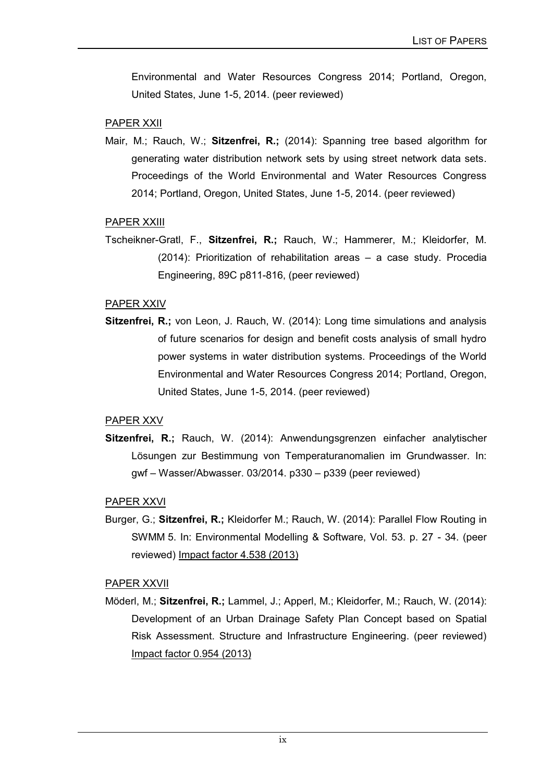Environmental and Water Resources Congress 2014; Portland, Oregon, United States, June 1-5, 2014. (peer reviewed)

#### PAPER XXII

Mair, M.; Rauch, W.; **Sitzenfrei, R.;** (2014): Spanning tree based algorithm for generating water distribution network sets by using street network data sets. Proceedings of the World Environmental and Water Resources Congress 2014; Portland, Oregon, United States, June 1-5, 2014. (peer reviewed)

#### PAPER XXIII

Tscheikner-Gratl, F., **Sitzenfrei, R.;** Rauch, W.; Hammerer, M.; Kleidorfer, M. (2014): Prioritization of rehabilitation areas – a case study. Procedia Engineering, 89C p811-816, (peer reviewed)

#### PAPER XXIV

**Sitzenfrei, R.;** von Leon, J. Rauch, W. (2014): Long time simulations and analysis of future scenarios for design and benefit costs analysis of small hydro power systems in water distribution systems. Proceedings of the World Environmental and Water Resources Congress 2014; Portland, Oregon, United States, June 1-5, 2014. (peer reviewed)

#### PAPER XXV

**Sitzenfrei, R.;** Rauch, W. (2014): Anwendungsgrenzen einfacher analytischer Lösungen zur Bestimmung von Temperaturanomalien im Grundwasser. In: gwf – Wasser/Abwasser. 03/2014. p330 – p339 (peer reviewed)

#### PAPER XXVI

Burger, G.; **Sitzenfrei, R.;** Kleidorfer M.; Rauch, W. (2014): Parallel Flow Routing in SWMM 5. In: Environmental Modelling & Software, Vol. 53. p. 27 - 34. (peer reviewed) Impact factor 4.538 (2013)

#### PAPER XXVII

Möderl, M.; **Sitzenfrei, R.;** Lammel, J.; Apperl, M.; Kleidorfer, M.; Rauch, W. (2014): Development of an Urban Drainage Safety Plan Concept based on Spatial Risk Assessment. Structure and Infrastructure Engineering. (peer reviewed) Impact factor 0.954 (2013)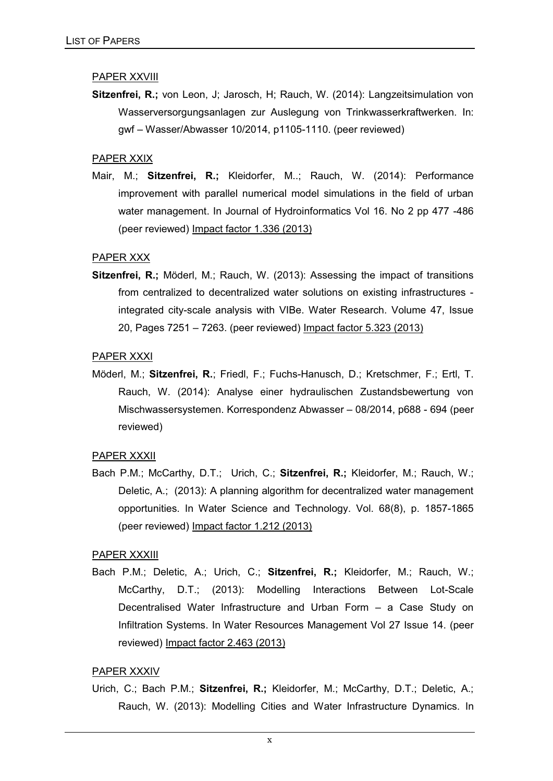#### PAPER XXVIII

**Sitzenfrei, R.;** von Leon, J; Jarosch, H; Rauch, W. (2014): Langzeitsimulation von Wasserversorgungsanlagen zur Auslegung von Trinkwasserkraftwerken. In: gwf – Wasser/Abwasser 10/2014, p1105-1110. (peer reviewed)

#### PAPER XXIX

Mair, M.; **Sitzenfrei, R.;** Kleidorfer, M..; Rauch, W. (2014): Performance improvement with parallel numerical model simulations in the field of urban water management. In Journal of Hydroinformatics Vol 16. No 2 pp 477 -486 (peer reviewed) Impact factor 1.336 (2013)

#### PAPER XXX

**Sitzenfrei, R.;** Möderl, M.; Rauch, W. (2013): Assessing the impact of transitions from centralized to decentralized water solutions on existing infrastructures integrated city-scale analysis with VIBe. Water Research. Volume 47, Issue 20, Pages 7251 – 7263. (peer reviewed) Impact factor 5.323 (2013)

#### PAPER XXXI

Möderl, M.; **Sitzenfrei, R.**; Friedl, F.; Fuchs-Hanusch, D.; Kretschmer, F.; Ertl, T. Rauch, W. (2014): Analyse einer hydraulischen Zustandsbewertung von Mischwassersystemen. Korrespondenz Abwasser – 08/2014, p688 - 694 (peer reviewed)

#### PAPER XXXII

Bach P.M.; McCarthy, D.T.; Urich, C.; **Sitzenfrei, R.;** Kleidorfer, M.; Rauch, W.; Deletic, A.; (2013): A planning algorithm for decentralized water management opportunities. In Water Science and Technology. Vol. 68(8), p. 1857-1865 (peer reviewed) Impact factor 1.212 (2013)

#### PAPER XXXIII

Bach P.M.; Deletic, A.; Urich, C.; **Sitzenfrei, R.;** Kleidorfer, M.; Rauch, W.; McCarthy, D.T.; (2013): Modelling Interactions Between Lot-Scale Decentralised Water Infrastructure and Urban Form – a Case Study on Infiltration Systems. In Water Resources Management Vol 27 Issue 14. (peer reviewed) Impact factor 2.463 (2013)

#### PAPER XXXIV

Urich, C.; Bach P.M.; **Sitzenfrei, R.;** Kleidorfer, M.; McCarthy, D.T.; Deletic, A.; Rauch, W. (2013): Modelling Cities and Water Infrastructure Dynamics. In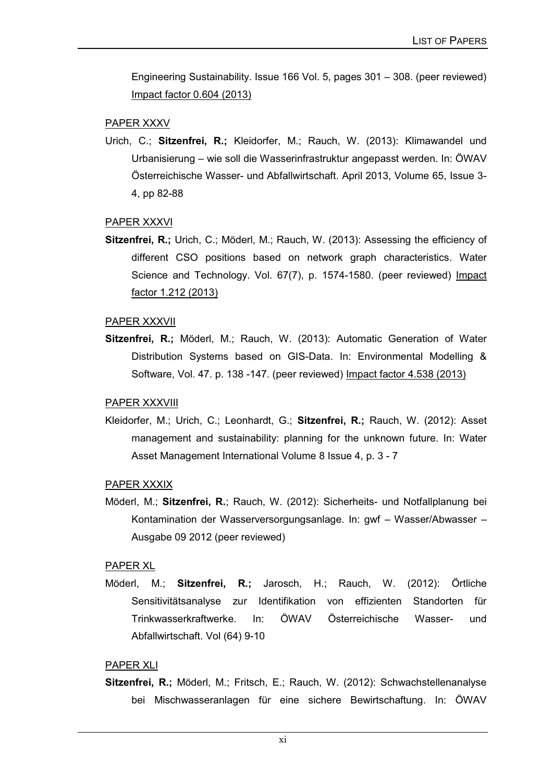Engineering Sustainability. Issue 166 Vol. 5, pages 301 – 308. (peer reviewed) Impact factor 0.604 (2013)

#### PAPER XXXV

Urich, C.; **Sitzenfrei, R.;** Kleidorfer, M.; Rauch, W. (2013): Klimawandel und Urbanisierung – wie soll die Wasserinfrastruktur angepasst werden. In: ÖWAV Österreichische Wasser- und Abfallwirtschaft. April 2013, Volume 65, Issue 3- 4, pp 82-88

#### PAPER XXXVI

**Sitzenfrei, R.;** Urich, C.; Möderl, M.; Rauch, W. (2013): Assessing the efficiency of different CSO positions based on network graph characteristics. Water Science and Technology. Vol. 67(7), p. 1574-1580. (peer reviewed) Impact factor 1.212 (2013)

#### PAPER XXXVII

**Sitzenfrei, R.;** Möderl, M.; Rauch, W. (2013): Automatic Generation of Water Distribution Systems based on GIS-Data. In: Environmental Modelling & Software, Vol. 47. p. 138 -147. (peer reviewed) Impact factor 4.538 (2013)

#### PAPER XXXVIII

Kleidorfer, M.; Urich, C.; Leonhardt, G.; **Sitzenfrei, R.;** Rauch, W. (2012): Asset management and sustainability: planning for the unknown future. In: Water Asset Management International Volume 8 Issue 4, p. 3 - 7

#### PAPER XXXIX

Möderl, M.; **Sitzenfrei, R.**; Rauch, W. (2012): Sicherheits- und Notfallplanung bei Kontamination der Wasserversorgungsanlage. In: gwf – Wasser/Abwasser – Ausgabe 09 2012 (peer reviewed)

#### PAPER XL

Möderl, M.; **Sitzenfrei, R.;** Jarosch, H.; Rauch, W. (2012): Örtliche Sensitivitätsanalyse zur Identifikation von effizienten Standorten für Trinkwasserkraftwerke. In: ÖWAV Österreichische Wasser- und Abfallwirtschaft. Vol (64) 9-10

#### PAPER XLI

**Sitzenfrei, R.;** Möderl, M.; Fritsch, E.; Rauch, W. (2012): Schwachstellenanalyse bei Mischwasseranlagen für eine sichere Bewirtschaftung. In: ÖWAV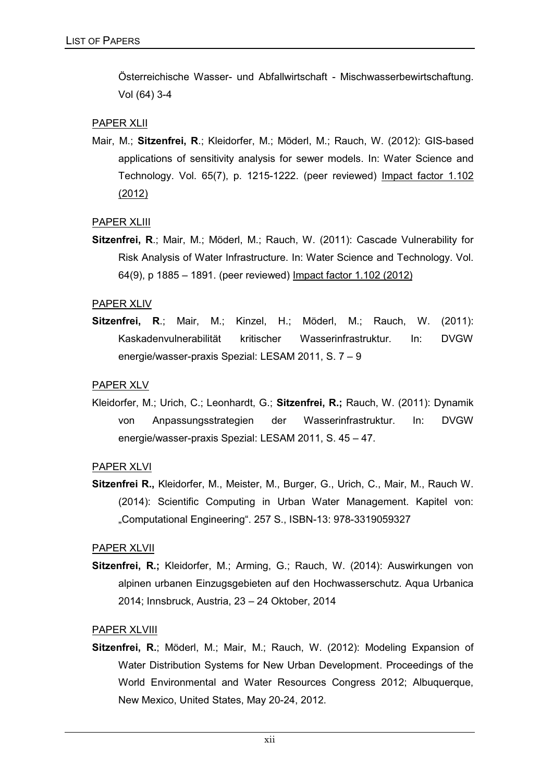Österreichische Wasser- und Abfallwirtschaft - Mischwasserbewirtschaftung. Vol (64) 3-4

#### PAPER XLII

Mair, M.; **Sitzenfrei, R**.; Kleidorfer, M.; Möderl, M.; Rauch, W. (2012): GIS-based applications of sensitivity analysis for sewer models. In: Water Science and Technology. Vol. 65(7), p. 1215-1222. (peer reviewed) Impact factor 1.102 (2012)

#### PAPER XLIII

**Sitzenfrei, R**.; Mair, M.; Möderl, M.; Rauch, W. (2011): Cascade Vulnerability for Risk Analysis of Water Infrastructure. In: Water Science and Technology. Vol. 64(9), p 1885 – 1891. (peer reviewed) Impact factor 1.102 (2012)

#### PAPER XLIV

**Sitzenfrei, R**.; Mair, M.; Kinzel, H.; Möderl, M.; Rauch, W. (2011): Kaskadenvulnerabilität kritischer Wasserinfrastruktur. In: DVGW energie/wasser-praxis Spezial: LESAM 2011, S. 7 – 9

#### PAPER XLV

Kleidorfer, M.; Urich, C.; Leonhardt, G.; **Sitzenfrei, R.;** Rauch, W. (2011): Dynamik von Anpassungsstrategien der Wasserinfrastruktur. In: DVGW energie/wasser-praxis Spezial: LESAM 2011, S. 45 – 47.

#### PAPER XLVI

**Sitzenfrei R.,** Kleidorfer, M., Meister, M., Burger, G., Urich, C., Mair, M., Rauch W. (2014): Scientific Computing in Urban Water Management. Kapitel von: "Computational Engineering". 257 S., ISBN-13: 978-3319059327

#### PAPER XLVII

**Sitzenfrei, R.;** Kleidorfer, M.; Arming, G.; Rauch, W. (2014): Auswirkungen von alpinen urbanen Einzugsgebieten auf den Hochwasserschutz. Aqua Urbanica 2014; Innsbruck, Austria, 23 – 24 Oktober, 2014

#### PAPER XLVIII

**Sitzenfrei, R.**; Möderl, M.; Mair, M.; Rauch, W. (2012): Modeling Expansion of Water Distribution Systems for New Urban Development. Proceedings of the World Environmental and Water Resources Congress 2012; Albuquerque, New Mexico, United States, May 20-24, 2012.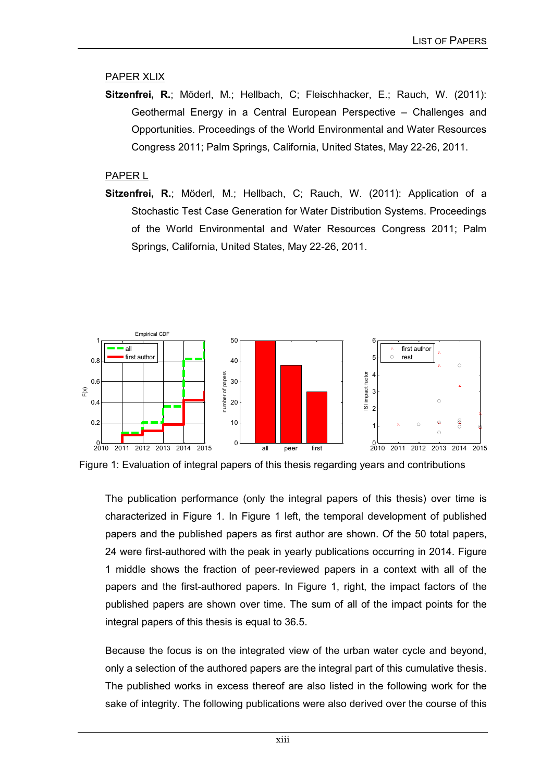#### PAPER XLIX

**Sitzenfrei, R.**; Möderl, M.; Hellbach, C; Fleischhacker, E.; Rauch, W. (2011): Geothermal Energy in a Central European Perspective – Challenges and Opportunities. Proceedings of the World Environmental and Water Resources Congress 2011; Palm Springs, California, United States, May 22-26, 2011.

#### PAPER L

**Sitzenfrei, R.**; Möderl, M.; Hellbach, C; Rauch, W. (2011): Application of a Stochastic Test Case Generation for Water Distribution Systems. Proceedings of the World Environmental and Water Resources Congress 2011; Palm Springs, California, United States, May 22-26, 2011.



Figure 1: Evaluation of integral papers of this thesis regarding years and contributions

The publication performance (only the integral papers of this thesis) over time is characterized in Figure 1. In Figure 1 left, the temporal development of published papers and the published papers as first author are shown. Of the 50 total papers, 24 were first-authored with the peak in yearly publications occurring in 2014. Figure 1 middle shows the fraction of peer-reviewed papers in a context with all of the papers and the first-authored papers. In Figure 1, right, the impact factors of the published papers are shown over time. The sum of all of the impact points for the integral papers of this thesis is equal to 36.5.

Because the focus is on the integrated view of the urban water cycle and beyond, only a selection of the authored papers are the integral part of this cumulative thesis. The published works in excess thereof are also listed in the following work for the sake of integrity. The following publications were also derived over the course of this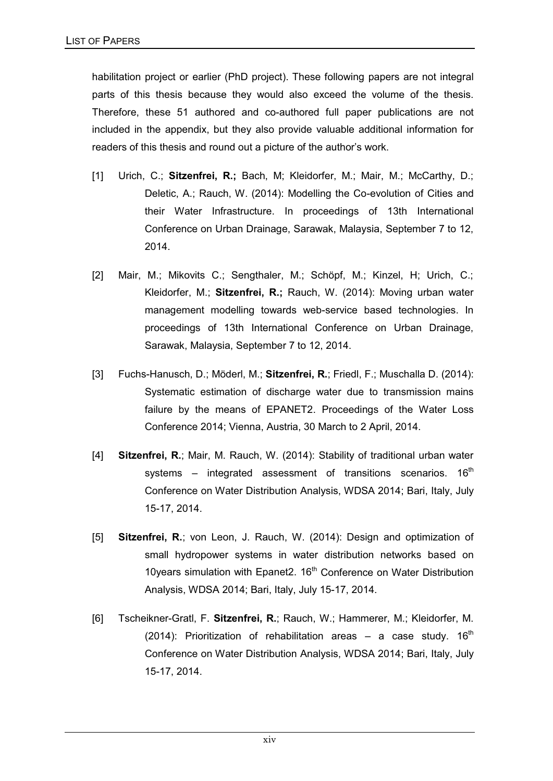habilitation project or earlier (PhD project). These following papers are not integral parts of this thesis because they would also exceed the volume of the thesis. Therefore, these 51 authored and co-authored full paper publications are not included in the appendix, but they also provide valuable additional information for readers of this thesis and round out a picture of the author's work.

- [1] Urich, C.; **Sitzenfrei, R.;** Bach, M; Kleidorfer, M.; Mair, M.; McCarthy, D.; Deletic, A.; Rauch, W. (2014): Modelling the Co-evolution of Cities and their Water Infrastructure. In proceedings of 13th International Conference on Urban Drainage, Sarawak, Malaysia, September 7 to 12, 2014.
- [2] Mair, M.; Mikovits C.; Sengthaler, M.; Schöpf, M.; Kinzel, H; Urich, C.; Kleidorfer, M.; **Sitzenfrei, R.;** Rauch, W. (2014): Moving urban water management modelling towards web-service based technologies. In proceedings of 13th International Conference on Urban Drainage, Sarawak, Malaysia, September 7 to 12, 2014.
- [3] Fuchs-Hanusch, D.; Möderl, M.; **Sitzenfrei, R.**; Friedl, F.; Muschalla D. (2014): Systematic estimation of discharge water due to transmission mains failure by the means of EPANET2. Proceedings of the Water Loss Conference 2014; Vienna, Austria, 30 March to 2 April, 2014.
- [4] **Sitzenfrei, R.**; Mair, M. Rauch, W. (2014): Stability of traditional urban water systems – integrated assessment of transitions scenarios.  $16<sup>th</sup>$ Conference on Water Distribution Analysis, WDSA 2014; Bari, Italy, July 15-17, 2014.
- [5] **Sitzenfrei, R.**; von Leon, J. Rauch, W. (2014): Design and optimization of small hydropower systems in water distribution networks based on 10 years simulation with Epanet  $2.16<sup>th</sup>$  Conference on Water Distribution Analysis, WDSA 2014; Bari, Italy, July 15-17, 2014.
- [6] Tscheikner-Gratl, F. **Sitzenfrei, R.**; Rauch, W.; Hammerer, M.; Kleidorfer, M. (2014): Prioritization of rehabilitation areas – a case study.  $16<sup>th</sup>$ Conference on Water Distribution Analysis, WDSA 2014; Bari, Italy, July 15-17, 2014.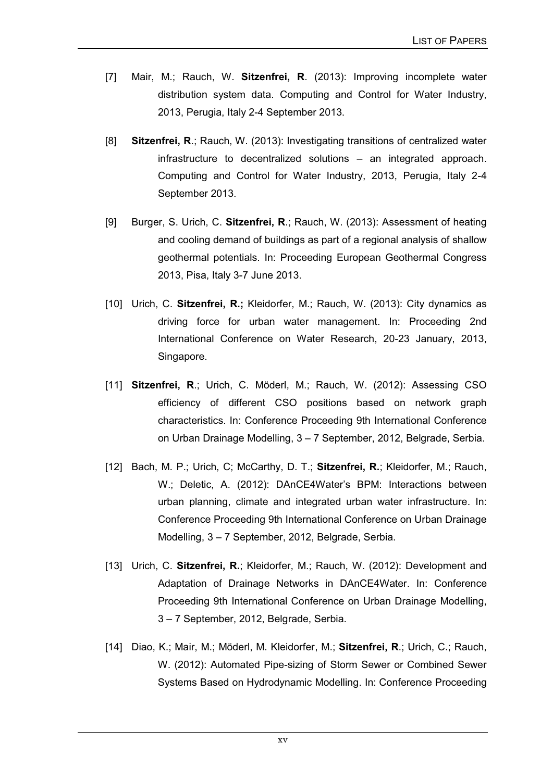- [7] Mair, M.; Rauch, W. **Sitzenfrei, R**. (2013): Improving incomplete water distribution system data. Computing and Control for Water Industry, 2013, Perugia, Italy 2-4 September 2013.
- [8] **Sitzenfrei, R**.; Rauch, W. (2013): Investigating transitions of centralized water infrastructure to decentralized solutions – an integrated approach. Computing and Control for Water Industry, 2013, Perugia, Italy 2-4 September 2013.
- [9] Burger, S. Urich, C. **Sitzenfrei, R**.; Rauch, W. (2013): Assessment of heating and cooling demand of buildings as part of a regional analysis of shallow geothermal potentials. In: Proceeding European Geothermal Congress 2013, Pisa, Italy 3-7 June 2013.
- [10] Urich, C. **Sitzenfrei, R.;** Kleidorfer, M.; Rauch, W. (2013): City dynamics as driving force for urban water management. In: Proceeding 2nd International Conference on Water Research, 20-23 January, 2013, Singapore.
- [11] **Sitzenfrei, R**.; Urich, C. Möderl, M.; Rauch, W. (2012): Assessing CSO efficiency of different CSO positions based on network graph characteristics. In: Conference Proceeding 9th International Conference on Urban Drainage Modelling, 3 – 7 September, 2012, Belgrade, Serbia.
- [12] Bach, M. P.; Urich, C; McCarthy, D. T.; **Sitzenfrei, R.**; Kleidorfer, M.; Rauch, W.; Deletic, A. (2012): DAnCE4Water's BPM: Interactions between urban planning, climate and integrated urban water infrastructure. In: Conference Proceeding 9th International Conference on Urban Drainage Modelling, 3 – 7 September, 2012, Belgrade, Serbia.
- [13] Urich, C. **Sitzenfrei, R.**; Kleidorfer, M.; Rauch, W. (2012): Development and Adaptation of Drainage Networks in DAnCE4Water. In: Conference Proceeding 9th International Conference on Urban Drainage Modelling, 3 – 7 September, 2012, Belgrade, Serbia.
- [14] Diao, K.; Mair, M.; Möderl, M. Kleidorfer, M.; **Sitzenfrei, R**.; Urich, C.; Rauch, W. (2012): Automated Pipe-sizing of Storm Sewer or Combined Sewer Systems Based on Hydrodynamic Modelling. In: Conference Proceeding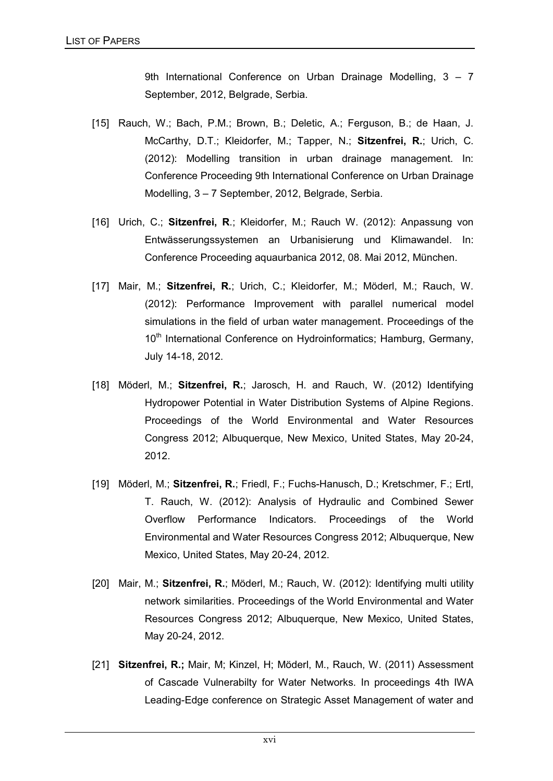9th International Conference on Urban Drainage Modelling, 3 – 7 September, 2012, Belgrade, Serbia.

- [15] Rauch, W.; Bach, P.M.; Brown, B.; Deletic, A.; Ferguson, B.; de Haan, J. McCarthy, D.T.; Kleidorfer, M.; Tapper, N.; **Sitzenfrei, R.**; Urich, C. (2012): Modelling transition in urban drainage management. In: Conference Proceeding 9th International Conference on Urban Drainage Modelling, 3 – 7 September, 2012, Belgrade, Serbia.
- [16] Urich, C.; **Sitzenfrei, R**.; Kleidorfer, M.; Rauch W. (2012): Anpassung von Entwässerungssystemen an Urbanisierung und Klimawandel. In: Conference Proceeding aquaurbanica 2012, 08. Mai 2012, München.
- [17] Mair, M.; **Sitzenfrei, R.**; Urich, C.; Kleidorfer, M.; Möderl, M.; Rauch, W. (2012): Performance Improvement with parallel numerical model simulations in the field of urban water management. Proceedings of the 10<sup>th</sup> International Conference on Hydroinformatics; Hamburg, Germany, July 14-18, 2012.
- [18] Möderl, M.; **Sitzenfrei, R.**; Jarosch, H. and Rauch, W. (2012) Identifying Hydropower Potential in Water Distribution Systems of Alpine Regions. Proceedings of the World Environmental and Water Resources Congress 2012; Albuquerque, New Mexico, United States, May 20-24, 2012.
- [19] Möderl, M.; **Sitzenfrei, R.**; Friedl, F.; Fuchs-Hanusch, D.; Kretschmer, F.; Ertl, T. Rauch, W. (2012): Analysis of Hydraulic and Combined Sewer Overflow Performance Indicators. Proceedings of the World Environmental and Water Resources Congress 2012; Albuquerque, New Mexico, United States, May 20-24, 2012.
- [20] Mair, M.; **Sitzenfrei, R.**; Möderl, M.; Rauch, W. (2012): Identifying multi utility network similarities. Proceedings of the World Environmental and Water Resources Congress 2012; Albuquerque, New Mexico, United States, May 20-24, 2012.
- [21] **Sitzenfrei, R.;** Mair, M; Kinzel, H; Möderl, M., Rauch, W. (2011) Assessment of Cascade Vulnerabilty for Water Networks. In proceedings 4th IWA Leading-Edge conference on Strategic Asset Management of water and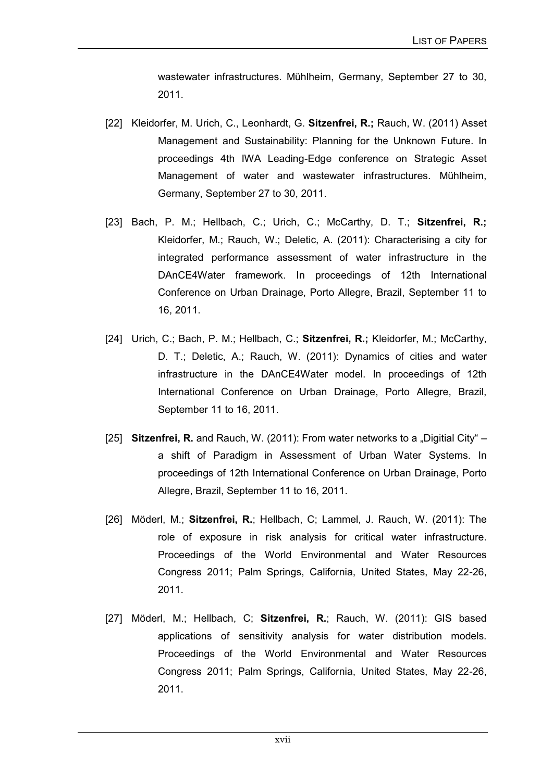wastewater infrastructures. Mühlheim, Germany, September 27 to 30, 2011.

- [22] Kleidorfer, M. Urich, C., Leonhardt, G. **Sitzenfrei, R.;** Rauch, W. (2011) Asset Management and Sustainability: Planning for the Unknown Future. In proceedings 4th IWA Leading-Edge conference on Strategic Asset Management of water and wastewater infrastructures. Mühlheim, Germany, September 27 to 30, 2011.
- [23] Bach, P. M.; Hellbach, C.; Urich, C.; McCarthy, D. T.; **Sitzenfrei, R.;** Kleidorfer, M.; Rauch, W.; Deletic, A. (2011): Characterising a city for integrated performance assessment of water infrastructure in the DAnCE4Water framework. In proceedings of 12th International Conference on Urban Drainage, Porto Allegre, Brazil, September 11 to 16, 2011.
- [24] Urich, C.; Bach, P. M.; Hellbach, C.; **Sitzenfrei, R.;** Kleidorfer, M.; McCarthy, D. T.; Deletic, A.; Rauch, W. (2011): Dynamics of cities and water infrastructure in the DAnCE4Water model. In proceedings of 12th International Conference on Urban Drainage, Porto Allegre, Brazil, September 11 to 16, 2011.
- [25] **Sitzenfrei, R.** and Rauch, W. (2011): From water networks to a "Digitial City" a shift of Paradigm in Assessment of Urban Water Systems. In proceedings of 12th International Conference on Urban Drainage, Porto Allegre, Brazil, September 11 to 16, 2011.
- [26] Möderl, M.; **Sitzenfrei, R.**; Hellbach, C; Lammel, J. Rauch, W. (2011): The role of exposure in risk analysis for critical water infrastructure. Proceedings of the World Environmental and Water Resources Congress 2011; Palm Springs, California, United States, May 22-26, 2011.
- [27] Möderl, M.; Hellbach, C; **Sitzenfrei, R.**; Rauch, W. (2011): GIS based applications of sensitivity analysis for water distribution models. Proceedings of the World Environmental and Water Resources Congress 2011; Palm Springs, California, United States, May 22-26, 2011.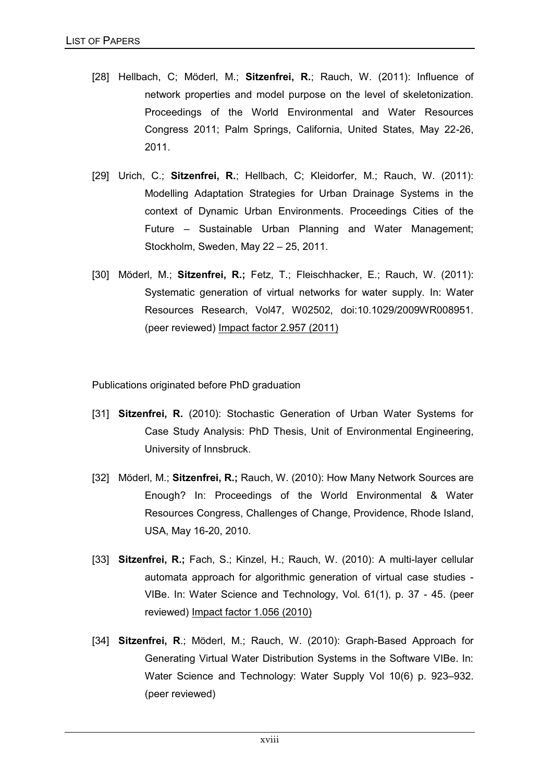- [28] Hellbach, C; Möderl, M.; **Sitzenfrei, R.**; Rauch, W. (2011): Influence of network properties and model purpose on the level of skeletonization. Proceedings of the World Environmental and Water Resources Congress 2011; Palm Springs, California, United States, May 22-26, 2011.
- [29] Urich, C.; **Sitzenfrei, R.**; Hellbach, C; Kleidorfer, M.; Rauch, W. (2011): Modelling Adaptation Strategies for Urban Drainage Systems in the context of Dynamic Urban Environments. Proceedings Cities of the Future – Sustainable Urban Planning and Water Management; Stockholm, Sweden, May 22 – 25, 2011.
- [30] Möderl, M.; **Sitzenfrei, R.;** Fetz, T.; Fleischhacker, E.; Rauch, W. (2011): Systematic generation of virtual networks for water supply. In: Water Resources Research, Vol47, W02502, doi:10.1029/2009WR008951. (peer reviewed) Impact factor 2.957 (2011)

Publications originated before PhD graduation

- [31] **Sitzenfrei, R.** (2010): Stochastic Generation of Urban Water Systems for Case Study Analysis: PhD Thesis, Unit of Environmental Engineering, University of Innsbruck.
- [32] Möderl, M.; **Sitzenfrei, R.;** Rauch, W. (2010): How Many Network Sources are Enough? In: Proceedings of the World Environmental & Water Resources Congress, Challenges of Change, Providence, Rhode Island, USA, May 16-20, 2010.
- [33] **Sitzenfrei, R.;** Fach, S.; Kinzel, H.; Rauch, W. (2010): A multi-layer cellular automata approach for algorithmic generation of virtual case studies - VIBe. In: Water Science and Technology, Vol. 61(1), p. 37 - 45. (peer reviewed) Impact factor 1.056 (2010)
- [34] **Sitzenfrei, R**.; Möderl, M.; Rauch, W. (2010): Graph-Based Approach for Generating Virtual Water Distribution Systems in the Software VIBe. In: Water Science and Technology: Water Supply Vol 10(6) p. 923–932. (peer reviewed)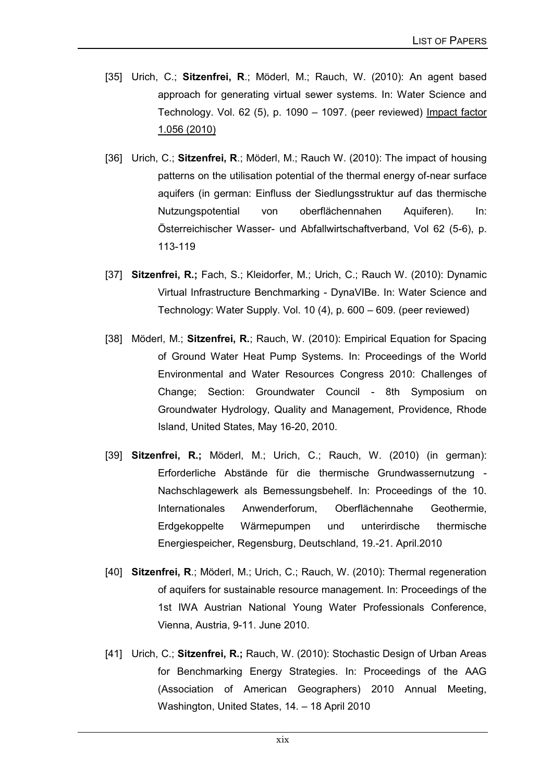- [35] Urich, C.; **Sitzenfrei, R**.; Möderl, M.; Rauch, W. (2010): An agent based approach for generating virtual sewer systems. In: Water Science and Technology. Vol. 62 (5), p. 1090 – 1097. (peer reviewed) Impact factor 1.056 (2010)
- [36] Urich, C.; **Sitzenfrei, R**.; Möderl, M.; Rauch W. (2010): The impact of housing patterns on the utilisation potential of the thermal energy of-near surface aquifers (in german: Einfluss der Siedlungsstruktur auf das thermische Nutzungspotential von oberflächennahen Aquiferen). In: Österreichischer Wasser- und Abfallwirtschaftverband, Vol 62 (5-6), p. 113-119
- [37] **Sitzenfrei, R.;** Fach, S.; Kleidorfer, M.; Urich, C.; Rauch W. (2010): Dynamic Virtual Infrastructure Benchmarking - DynaVIBe. In: Water Science and Technology: Water Supply. Vol. 10 (4), p. 600 – 609. (peer reviewed)
- [38] Möderl, M.; **Sitzenfrei, R.**; Rauch, W. (2010): Empirical Equation for Spacing of Ground Water Heat Pump Systems. In: Proceedings of the World Environmental and Water Resources Congress 2010: Challenges of Change; Section: Groundwater Council - 8th Symposium on Groundwater Hydrology, Quality and Management, Providence, Rhode Island, United States, May 16-20, 2010.
- [39] **Sitzenfrei, R.;** Möderl, M.; Urich, C.; Rauch, W. (2010) (in german): Erforderliche Abstände für die thermische Grundwassernutzung - Nachschlagewerk als Bemessungsbehelf. In: Proceedings of the 10. Internationales Anwenderforum, Oberflächennahe Geothermie, Erdgekoppelte Wärmepumpen und unterirdische thermische Energiespeicher, Regensburg, Deutschland, 19.-21. April.2010
- [40] **Sitzenfrei, R**.; Möderl, M.; Urich, C.; Rauch, W. (2010): Thermal regeneration of aquifers for sustainable resource management. In: Proceedings of the 1st IWA Austrian National Young Water Professionals Conference, Vienna, Austria, 9-11. June 2010.
- [41] Urich, C.; **Sitzenfrei, R.;** Rauch, W. (2010): Stochastic Design of Urban Areas for Benchmarking Energy Strategies. In: Proceedings of the AAG (Association of American Geographers) 2010 Annual Meeting, Washington, United States, 14. – 18 April 2010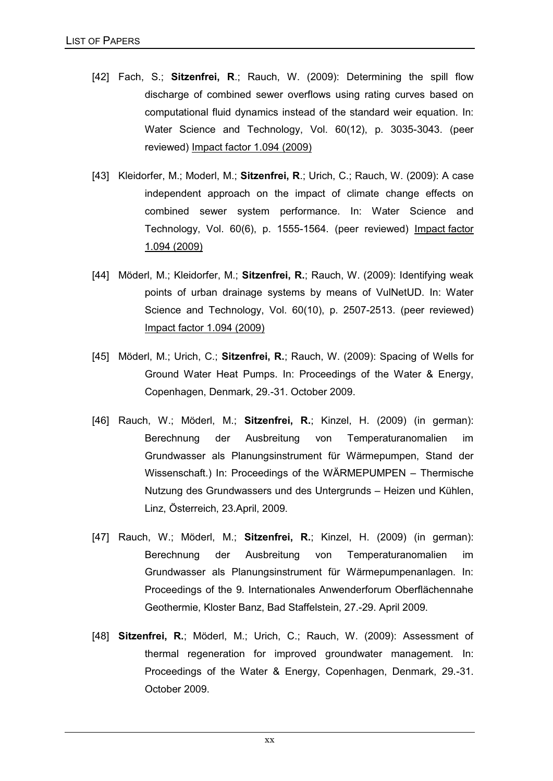- [42] Fach, S.; **Sitzenfrei, R**.; Rauch, W. (2009): Determining the spill flow discharge of combined sewer overflows using rating curves based on computational fluid dynamics instead of the standard weir equation. In: Water Science and Technology, Vol. 60(12), p. 3035-3043. (peer reviewed) Impact factor 1.094 (2009)
- [43] Kleidorfer, M.; Moderl, M.; **Sitzenfrei, R**.; Urich, C.; Rauch, W. (2009): A case independent approach on the impact of climate change effects on combined sewer system performance. In: Water Science and Technology, Vol. 60(6), p. 1555-1564. (peer reviewed) Impact factor 1.094 (2009)
- [44] Möderl, M.; Kleidorfer, M.; **Sitzenfrei, R.**; Rauch, W. (2009): Identifying weak points of urban drainage systems by means of VulNetUD. In: Water Science and Technology, Vol. 60(10), p. 2507-2513. (peer reviewed) Impact factor 1.094 (2009)
- [45] Möderl, M.; Urich, C.; **Sitzenfrei, R.**; Rauch, W. (2009): Spacing of Wells for Ground Water Heat Pumps. In: Proceedings of the Water & Energy, Copenhagen, Denmark, 29.-31. October 2009.
- [46] Rauch, W.; Möderl, M.; **Sitzenfrei, R.**; Kinzel, H. (2009) (in german): Berechnung der Ausbreitung von Temperaturanomalien im Grundwasser als Planungsinstrument für Wärmepumpen, Stand der Wissenschaft.) In: Proceedings of the WÄRMEPUMPEN – Thermische Nutzung des Grundwassers und des Untergrunds – Heizen und Kühlen, Linz, Österreich, 23.April, 2009.
- [47] Rauch, W.; Möderl, M.; **Sitzenfrei, R.**; Kinzel, H. (2009) (in german): Berechnung der Ausbreitung von Temperaturanomalien im Grundwasser als Planungsinstrument für Wärmepumpenanlagen. In: Proceedings of the 9. Internationales Anwenderforum Oberflächennahe Geothermie, Kloster Banz, Bad Staffelstein, 27.-29. April 2009.
- [48] **Sitzenfrei, R.**; Möderl, M.; Urich, C.; Rauch, W. (2009): Assessment of thermal regeneration for improved groundwater management. In: Proceedings of the Water & Energy, Copenhagen, Denmark, 29.-31. October 2009.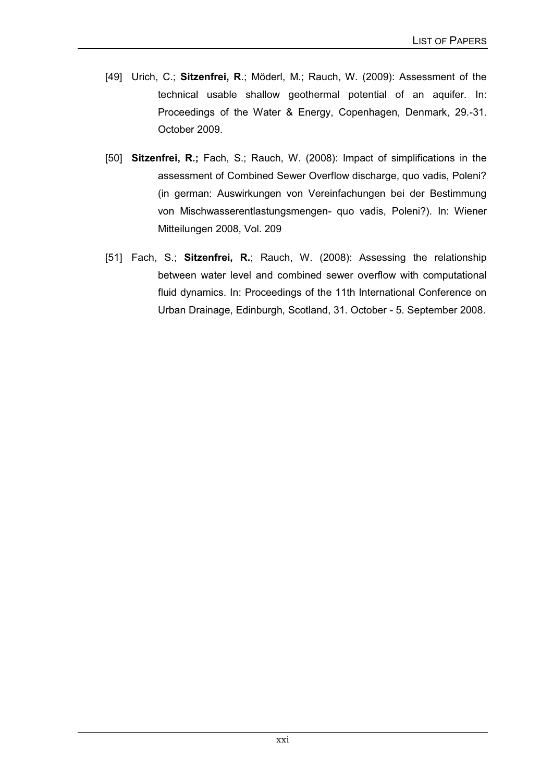- [49] Urich, C.; **Sitzenfrei, R**.; Möderl, M.; Rauch, W. (2009): Assessment of the technical usable shallow geothermal potential of an aquifer. In: Proceedings of the Water & Energy, Copenhagen, Denmark, 29.-31. October 2009.
- [50] **Sitzenfrei, R.;** Fach, S.; Rauch, W. (2008): Impact of simplifications in the assessment of Combined Sewer Overflow discharge, quo vadis, Poleni? (in german: Auswirkungen von Vereinfachungen bei der Bestimmung von Mischwasserentlastungsmengen- quo vadis, Poleni?). In: Wiener Mitteilungen 2008, Vol. 209
- [51] Fach, S.; **Sitzenfrei, R.**; Rauch, W. (2008): Assessing the relationship between water level and combined sewer overflow with computational fluid dynamics. In: Proceedings of the 11th International Conference on Urban Drainage, Edinburgh, Scotland, 31. October - 5. September 2008.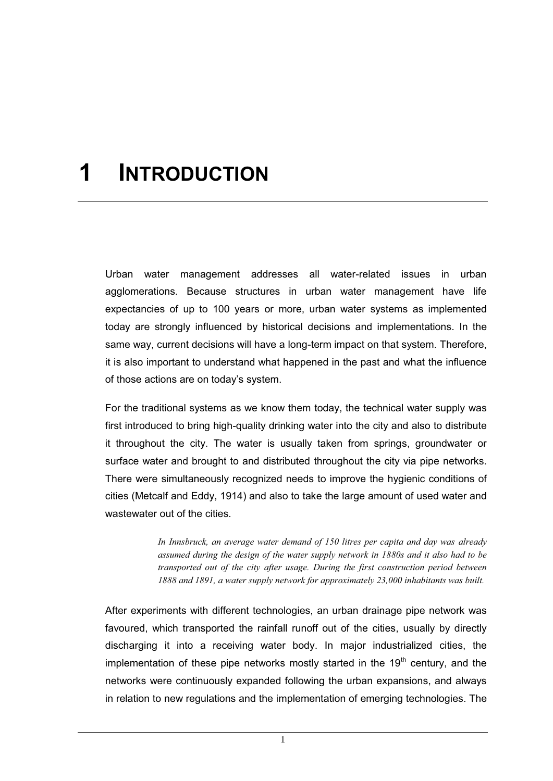# **1 INTRODUCTION**

Urban water management addresses all water-related issues in urban agglomerations. Because structures in urban water management have life expectancies of up to 100 years or more, urban water systems as implemented today are strongly influenced by historical decisions and implementations. In the same way, current decisions will have a long-term impact on that system. Therefore, it is also important to understand what happened in the past and what the influence of those actions are on today's system.

For the traditional systems as we know them today, the technical water supply was first introduced to bring high-quality drinking water into the city and also to distribute it throughout the city. The water is usually taken from springs, groundwater or surface water and brought to and distributed throughout the city via pipe networks. There were simultaneously recognized needs to improve the hygienic conditions of cities (Metcalf and Eddy, 1914) and also to take the large amount of used water and wastewater out of the cities.

> *In Innsbruck, an average water demand of 150 litres per capita and day was already assumed during the design of the water supply network in 1880s and it also had to be transported out of the city after usage. During the first construction period between 1888 and 1891, a water supply network for approximately 23,000 inhabitants was built.*

After experiments with different technologies, an urban drainage pipe network was favoured, which transported the rainfall runoff out of the cities, usually by directly discharging it into a receiving water body. In major industrialized cities, the implementation of these pipe networks mostly started in the  $19<sup>th</sup>$  century, and the networks were continuously expanded following the urban expansions, and always in relation to new regulations and the implementation of emerging technologies. The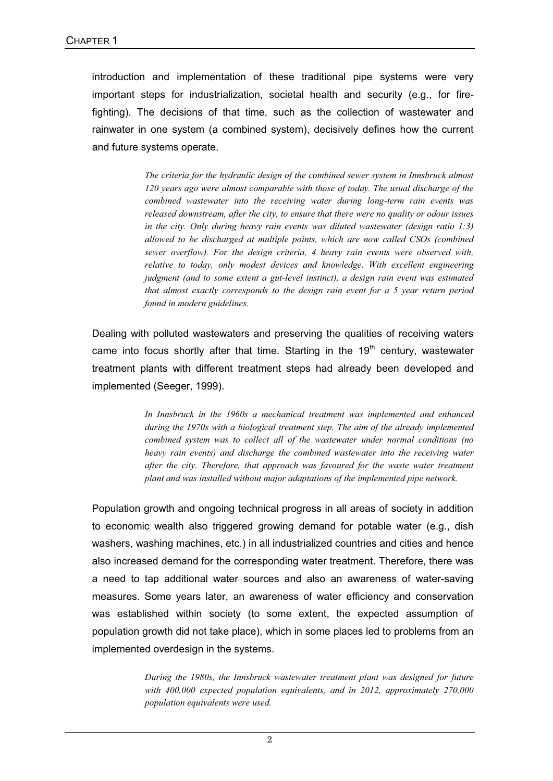introduction and implementation of these traditional pipe systems were very important steps for industrialization, societal health and security (e.g., for firefighting). The decisions of that time, such as the collection of wastewater and rainwater in one system (a combined system), decisively defines how the current and future systems operate.

> *The criteria for the hydraulic design of the combined sewer system in Innsbruck almost 120 years ago were almost comparable with those of today. The usual discharge of the combined wastewater into the receiving water during long-term rain events was released downstream, after the city, to ensure that there were no quality or odour issues in the city. Only during heavy rain events was diluted wastewater (design ratio 1:3) allowed to be discharged at multiple points, which are now called CSOs (combined sewer overflow). For the design criteria, 4 heavy rain events were observed with, relative to today, only modest devices and knowledge. With excellent engineering judgment (and to some extent a gut-level instinct), a design rain event was estimated that almost exactly corresponds to the design rain event for a 5 year return period found in modern guidelines.*

Dealing with polluted wastewaters and preserving the qualities of receiving waters came into focus shortly after that time. Starting in the 19<sup>th</sup> century, wastewater treatment plants with different treatment steps had already been developed and implemented (Seeger, 1999).

> *In Innsbruck in the 1960s a mechanical treatment was implemented and enhanced during the 1970s with a biological treatment step. The aim of the already implemented combined system was to collect all of the wastewater under normal conditions (no heavy rain events) and discharge the combined wastewater into the receiving water after the city. Therefore, that approach was favoured for the waste water treatment plant and was installed without major adaptations of the implemented pipe network.*

Population growth and ongoing technical progress in all areas of society in addition to economic wealth also triggered growing demand for potable water (e.g., dish washers, washing machines, etc.) in all industrialized countries and cities and hence also increased demand for the corresponding water treatment. Therefore, there was a need to tap additional water sources and also an awareness of water-saving measures. Some years later, an awareness of water efficiency and conservation was established within society (to some extent, the expected assumption of population growth did not take place), which in some places led to problems from an implemented overdesign in the systems.

> *During the 1980s, the Innsbruck wastewater treatment plant was designed for future with 400,000 expected population equivalents, and in 2012, approximately 270,000 population equivalents were used.*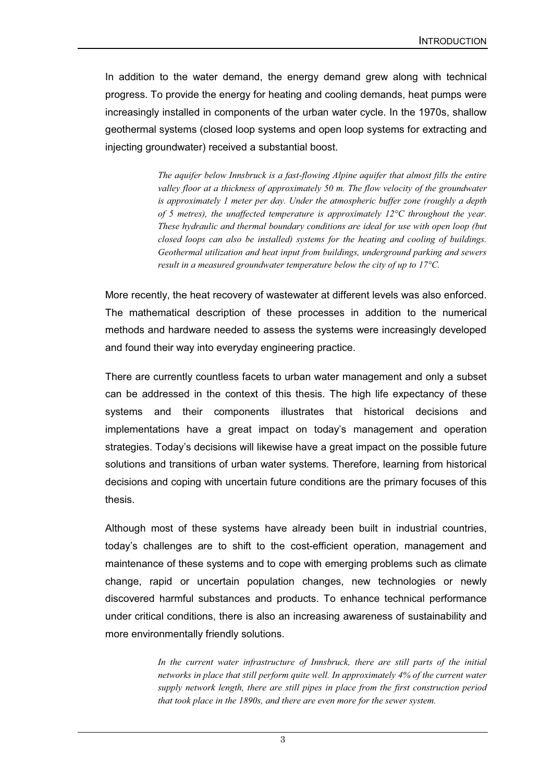In addition to the water demand, the energy demand grew along with technical progress. To provide the energy for heating and cooling demands, heat pumps were increasingly installed in components of the urban water cycle. In the 1970s, shallow geothermal systems (closed loop systems and open loop systems for extracting and injecting groundwater) received a substantial boost.

> *The aquifer below Innsbruck is a fast-flowing Alpine aquifer that almost fills the entire valley floor at a thickness of approximately 50 m. The flow velocity of the groundwater is approximately 1 meter per day. Under the atmospheric buffer zone (roughly a depth of 5 metres), the unaffected temperature is approximately 12°C throughout the year. These hydraulic and thermal boundary conditions are ideal for use with open loop (but closed loops can also be installed) systems for the heating and cooling of buildings. Geothermal utilization and heat input from buildings, underground parking and sewers result in a measured groundwater temperature below the city of up to 17°C.*

More recently, the heat recovery of wastewater at different levels was also enforced. The mathematical description of these processes in addition to the numerical methods and hardware needed to assess the systems were increasingly developed and found their way into everyday engineering practice.

There are currently countless facets to urban water management and only a subset can be addressed in the context of this thesis. The high life expectancy of these systems and their components illustrates that historical decisions and implementations have a great impact on today's management and operation strategies. Today's decisions will likewise have a great impact on the possible future solutions and transitions of urban water systems. Therefore, learning from historical decisions and coping with uncertain future conditions are the primary focuses of this thesis.

Although most of these systems have already been built in industrial countries, today's challenges are to shift to the cost-efficient operation, management and maintenance of these systems and to cope with emerging problems such as climate change, rapid or uncertain population changes, new technologies or newly discovered harmful substances and products. To enhance technical performance under critical conditions, there is also an increasing awareness of sustainability and more environmentally friendly solutions.

> *In the current water infrastructure of Innsbruck, there are still parts of the initial networks in place that still perform quite well. In approximately 4% of the current water supply network length, there are still pipes in place from the first construction period that took place in the 1890s, and there are even more for the sewer system.*

> > 3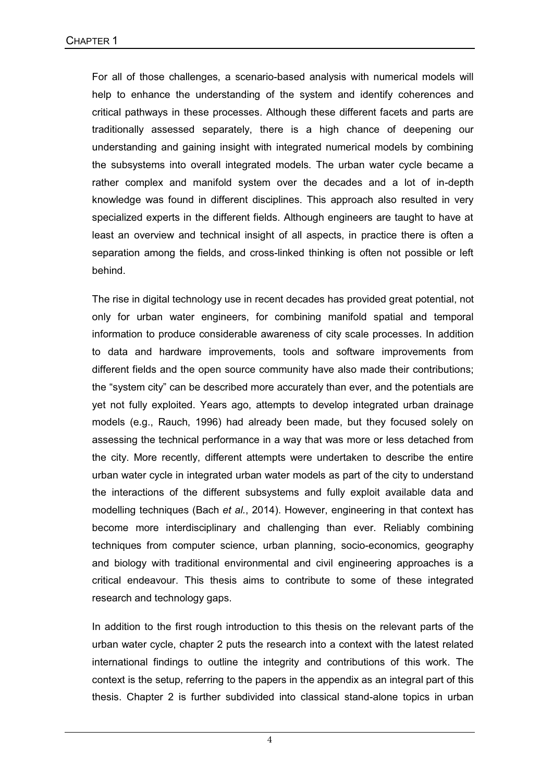For all of those challenges, a scenario-based analysis with numerical models will help to enhance the understanding of the system and identify coherences and critical pathways in these processes. Although these different facets and parts are traditionally assessed separately, there is a high chance of deepening our understanding and gaining insight with integrated numerical models by combining the subsystems into overall integrated models. The urban water cycle became a rather complex and manifold system over the decades and a lot of in-depth knowledge was found in different disciplines. This approach also resulted in very specialized experts in the different fields. Although engineers are taught to have at least an overview and technical insight of all aspects, in practice there is often a separation among the fields, and cross-linked thinking is often not possible or left behind.

The rise in digital technology use in recent decades has provided great potential, not only for urban water engineers, for combining manifold spatial and temporal information to produce considerable awareness of city scale processes. In addition to data and hardware improvements, tools and software improvements from different fields and the open source community have also made their contributions; the "system city" can be described more accurately than ever, and the potentials are yet not fully exploited. Years ago, attempts to develop integrated urban drainage models (e.g., Rauch, 1996) had already been made, but they focused solely on assessing the technical performance in a way that was more or less detached from the city. More recently, different attempts were undertaken to describe the entire urban water cycle in integrated urban water models as part of the city to understand the interactions of the different subsystems and fully exploit available data and modelling techniques (Bach *et al.*, 2014). However, engineering in that context has become more interdisciplinary and challenging than ever. Reliably combining techniques from computer science, urban planning, socio-economics, geography and biology with traditional environmental and civil engineering approaches is a critical endeavour. This thesis aims to contribute to some of these integrated research and technology gaps.

In addition to the first rough introduction to this thesis on the relevant parts of the urban water cycle, chapter 2 puts the research into a context with the latest related international findings to outline the integrity and contributions of this work. The context is the setup, referring to the papers in the appendix as an integral part of this thesis. Chapter 2 is further subdivided into classical stand-alone topics in urban

4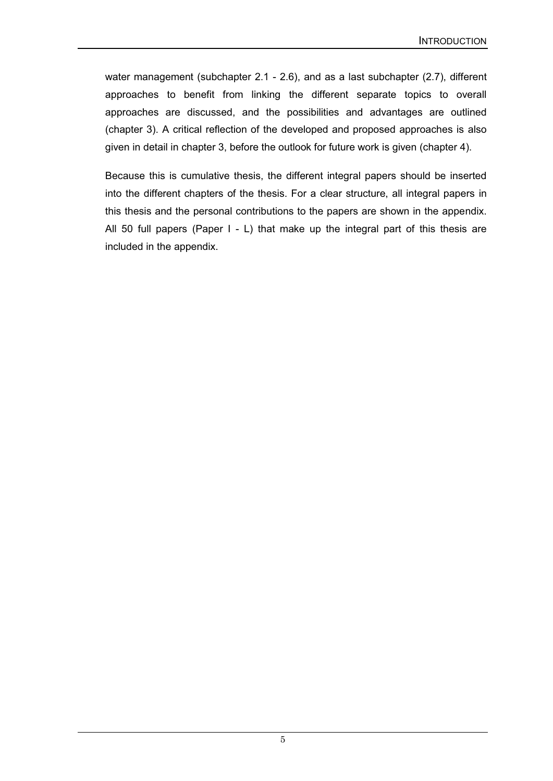water management (subchapter 2.1 - 2.6), and as a last subchapter (2.7), different approaches to benefit from linking the different separate topics to overall approaches are discussed, and the possibilities and advantages are outlined (chapter 3). A critical reflection of the developed and proposed approaches is also given in detail in chapter 3, before the outlook for future work is given (chapter 4).

Because this is cumulative thesis, the different integral papers should be inserted into the different chapters of the thesis. For a clear structure, all integral papers in this thesis and the personal contributions to the papers are shown in the appendix. All 50 full papers (Paper I - L) that make up the integral part of this thesis are included in the appendix.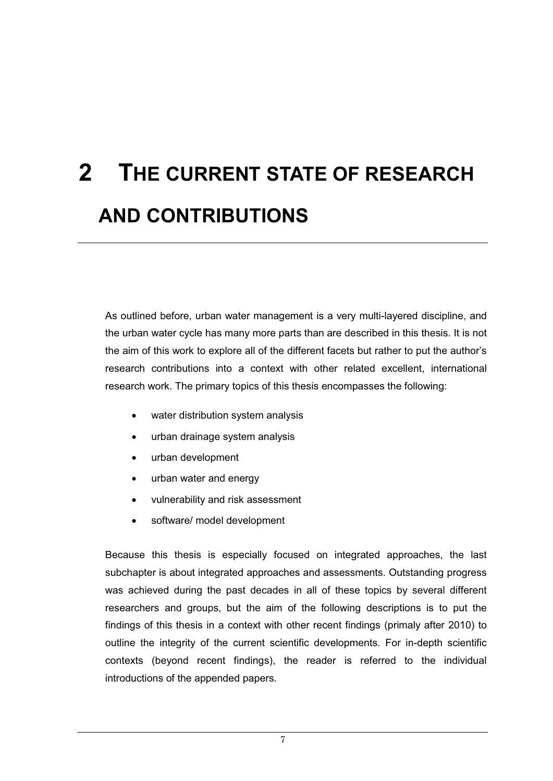# **2 THE CURRENT STATE OF RESEARCH AND CONTRIBUTIONS**

As outlined before, urban water management is a very multi-layered discipline, and the urban water cycle has many more parts than are described in this thesis. It is not the aim of this work to explore all of the different facets but rather to put the author's research contributions into a context with other related excellent, international research work. The primary topics of this thesis encompasses the following:

- $\bullet$ water distribution system analysis
- $\bullet$ urban drainage system analysis
- $\bullet$ urban development
- $\bullet$ urban water and energy
- $\bullet$ vulnerability and risk assessment
- $\bullet$ software/ model development

Because this thesis is especially focused on integrated approaches, the last subchapter is about integrated approaches and assessments. Outstanding progress was achieved during the past decades in all of these topics by several different researchers and groups, but the aim of the following descriptions is to put the findings of this thesis in a context with other recent findings (primaly after 2010) to outline the integrity of the current scientific developments. For in-depth scientific contexts (beyond recent findings), the reader is referred to the individual introductions of the appended papers.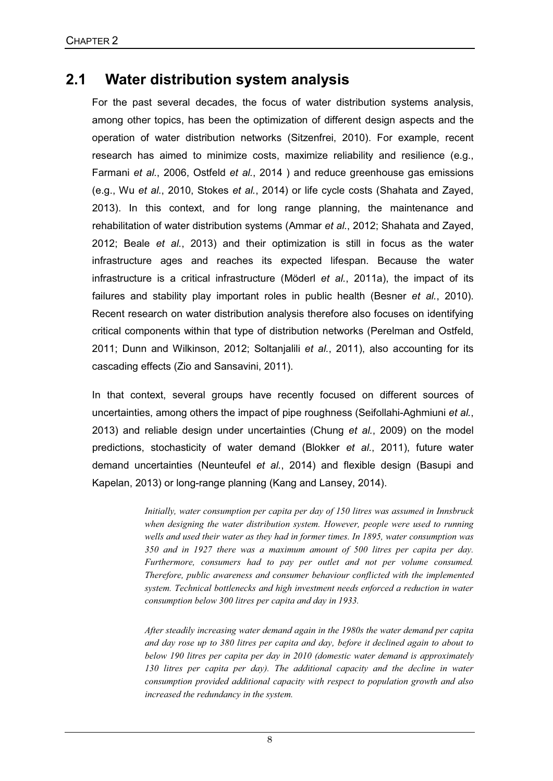#### **2.1 Water distribution system analysis**

For the past several decades, the focus of water distribution systems analysis, among other topics, has been the optimization of different design aspects and the operation of water distribution networks (Sitzenfrei, 2010). For example, recent research has aimed to minimize costs, maximize reliability and resilience (e.g., Farmani *et al.*, 2006, Ostfeld *et al.*, 2014 ) and reduce greenhouse gas emissions (e.g., Wu *et al.*, 2010, Stokes *et al.*, 2014) or life cycle costs (Shahata and Zayed, 2013). In this context, and for long range planning, the maintenance and rehabilitation of water distribution systems (Ammar *et al.*, 2012; Shahata and Zayed, 2012; Beale *et al.*, 2013) and their optimization is still in focus as the water infrastructure ages and reaches its expected lifespan. Because the water infrastructure is a critical infrastructure (Möderl *et al.*, 2011a), the impact of its failures and stability play important roles in public health (Besner *et al.*, 2010). Recent research on water distribution analysis therefore also focuses on identifying critical components within that type of distribution networks (Perelman and Ostfeld, 2011; Dunn and Wilkinson, 2012; Soltanjalili *et al.*, 2011), also accounting for its cascading effects (Zio and Sansavini, 2011).

In that context, several groups have recently focused on different sources of uncertainties, among others the impact of pipe roughness (Seifollahi-Aghmiuni *et al.*, 2013) and reliable design under uncertainties (Chung *et al.*, 2009) on the model predictions, stochasticity of water demand (Blokker *et al.*, 2011), future water demand uncertainties (Neunteufel *et al.*, 2014) and flexible design (Basupi and Kapelan, 2013) or long-range planning (Kang and Lansey, 2014).

> *Initially, water consumption per capita per day of 150 litres was assumed in Innsbruck when designing the water distribution system. However, people were used to running wells and used their water as they had in former times. In 1895, water consumption was 350 and in 1927 there was a maximum amount of 500 litres per capita per day. Furthermore, consumers had to pay per outlet and not per volume consumed. Therefore, public awareness and consumer behaviour conflicted with the implemented system. Technical bottlenecks and high investment needs enforced a reduction in water consumption below 300 litres per capita and day in 1933.*

> *After steadily increasing water demand again in the 1980s the water demand per capita and day rose up to 380 litres per capita and day, before it declined again to about to below 190 litres per capita per day in 2010 (domestic water demand is approximately 130 litres per capita per day). The additional capacity and the decline in water consumption provided additional capacity with respect to population growth and also increased the redundancy in the system.*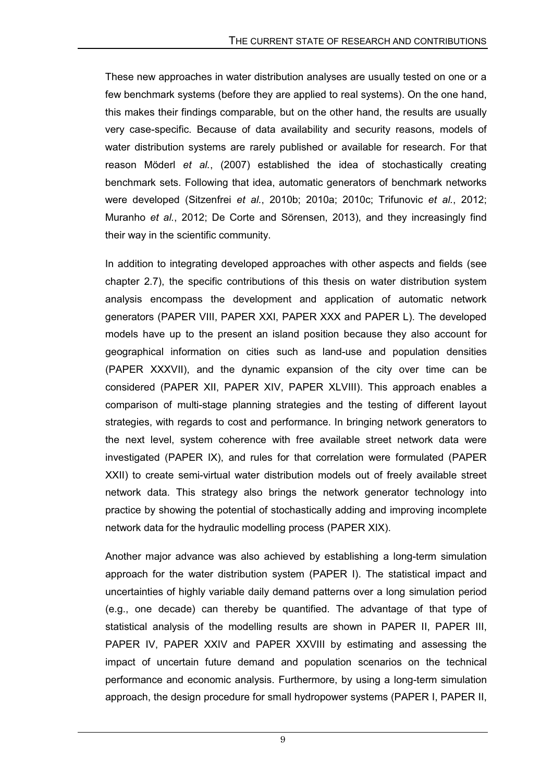These new approaches in water distribution analyses are usually tested on one or a few benchmark systems (before they are applied to real systems). On the one hand, this makes their findings comparable, but on the other hand, the results are usually very case-specific. Because of data availability and security reasons, models of water distribution systems are rarely published or available for research. For that reason Möderl *et al.*, (2007) established the idea of stochastically creating benchmark sets. Following that idea, automatic generators of benchmark networks were developed (Sitzenfrei *et al.*, 2010b; 2010a; 2010c; Trifunovic *et al.*, 2012; Muranho *et al.*, 2012; De Corte and Sörensen, 2013), and they increasingly find their way in the scientific community.

In addition to integrating developed approaches with other aspects and fields (see chapter 2.7), the specific contributions of this thesis on water distribution system analysis encompass the development and application of automatic network generators (PAPER VIII, PAPER XXI, PAPER XXX and PAPER L). The developed models have up to the present an island position because they also account for geographical information on cities such as land-use and population densities (PAPER XXXVII), and the dynamic expansion of the city over time can be considered (PAPER XII, PAPER XIV, PAPER XLVIII). This approach enables a comparison of multi-stage planning strategies and the testing of different layout strategies, with regards to cost and performance. In bringing network generators to the next level, system coherence with free available street network data were investigated (PAPER IX), and rules for that correlation were formulated (PAPER XXII) to create semi-virtual water distribution models out of freely available street network data. This strategy also brings the network generator technology into practice by showing the potential of stochastically adding and improving incomplete network data for the hydraulic modelling process (PAPER XIX).

Another major advance was also achieved by establishing a long-term simulation approach for the water distribution system (PAPER I). The statistical impact and uncertainties of highly variable daily demand patterns over a long simulation period (e.g., one decade) can thereby be quantified. The advantage of that type of statistical analysis of the modelling results are shown in PAPER II, PAPER III, PAPER IV, PAPER XXIV and PAPER XXVIII by estimating and assessing the impact of uncertain future demand and population scenarios on the technical performance and economic analysis. Furthermore, by using a long-term simulation approach, the design procedure for small hydropower systems (PAPER I, PAPER II,

9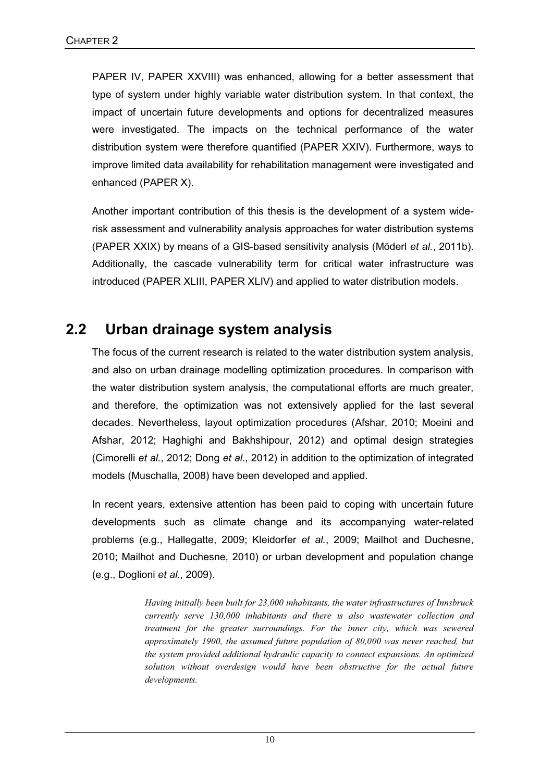PAPER IV, PAPER XXVIII) was enhanced, allowing for a better assessment that type of system under highly variable water distribution system. In that context, the impact of uncertain future developments and options for decentralized measures were investigated. The impacts on the technical performance of the water distribution system were therefore quantified (PAPER XXIV). Furthermore, ways to improve limited data availability for rehabilitation management were investigated and enhanced (PAPER X).

Another important contribution of this thesis is the development of a system widerisk assessment and vulnerability analysis approaches for water distribution systems (PAPER XXIX) by means of a GIS-based sensitivity analysis (Möderl *et al.*, 2011b). Additionally, the cascade vulnerability term for critical water infrastructure was introduced (PAPER XLIII, PAPER XLIV) and applied to water distribution models.

#### **2.2 Urban drainage system analysis**

The focus of the current research is related to the water distribution system analysis, and also on urban drainage modelling optimization procedures. In comparison with the water distribution system analysis, the computational efforts are much greater, and therefore, the optimization was not extensively applied for the last several decades. Nevertheless, layout optimization procedures (Afshar, 2010; Moeini and Afshar, 2012; Haghighi and Bakhshipour, 2012) and optimal design strategies (Cimorelli *et al.*, 2012; Dong *et al.*, 2012) in addition to the optimization of integrated models (Muschalla, 2008) have been developed and applied.

In recent years, extensive attention has been paid to coping with uncertain future developments such as climate change and its accompanying water-related problems (e.g., Hallegatte, 2009; Kleidorfer *et al.*, 2009; Mailhot and Duchesne, 2010; Mailhot and Duchesne, 2010) or urban development and population change (e.g., Doglioni *et al.*, 2009).

> *Having initially been built for 23,000 inhabitants, the water infrastructures of Innsbruck currently serve 130,000 inhabitants and there is also wastewater collection and treatment for the greater surroundings. For the inner city, which was sewered approximately 1900, the assumed future population of 80,000 was never reached, but the system provided additional hydraulic capacity to connect expansions. An optimized solution without overdesign would have been obstructive for the actual future developments.*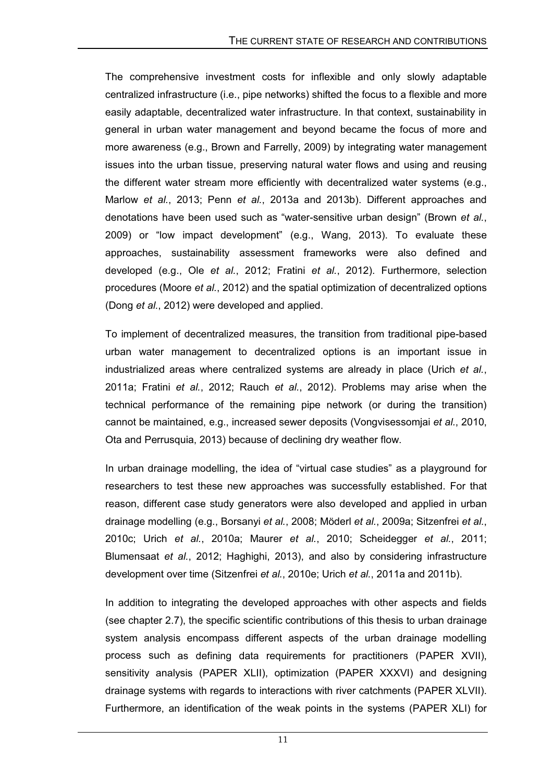The comprehensive investment costs for inflexible and only slowly adaptable centralized infrastructure (i.e., pipe networks) shifted the focus to a flexible and more easily adaptable, decentralized water infrastructure. In that context, sustainability in general in urban water management and beyond became the focus of more and more awareness (e.g., Brown and Farrelly, 2009) by integrating water management issues into the urban tissue, preserving natural water flows and using and reusing the different water stream more efficiently with decentralized water systems (e.g., Marlow *et al.*, 2013; Penn *et al.*, 2013a and 2013b). Different approaches and denotations have been used such as "water-sensitive urban design" (Brown *et al.*, 2009) or "low impact development" (e.g., Wang, 2013). To evaluate these approaches, sustainability assessment frameworks were also defined and developed (e.g., Ole *et al.*, 2012; Fratini *et al.*, 2012). Furthermore, selection procedures (Moore *et al.*, 2012) and the spatial optimization of decentralized options (Dong *et al.*, 2012) were developed and applied.

To implement of decentralized measures, the transition from traditional pipe-based urban water management to decentralized options is an important issue in industrialized areas where centralized systems are already in place (Urich *et al.*, 2011a; Fratini *et al.*, 2012; Rauch *et al.*, 2012). Problems may arise when the technical performance of the remaining pipe network (or during the transition) cannot be maintained, e.g., increased sewer deposits (Vongvisessomjai *et al.*, 2010, Ota and Perrusquia, 2013) because of declining dry weather flow.

In urban drainage modelling, the idea of "virtual case studies" as a playground for researchers to test these new approaches was successfully established. For that reason, different case study generators were also developed and applied in urban drainage modelling (e.g., Borsanyi *et al.*, 2008; Möderl *et al.*, 2009a; Sitzenfrei *et al.*, 2010c; Urich *et al.*, 2010a; Maurer *et al.*, 2010; Scheidegger *et al.*, 2011; Blumensaat *et al.*, 2012; Haghighi, 2013), and also by considering infrastructure development over time (Sitzenfrei *et al.*, 2010e; Urich *et al.*, 2011a and 2011b).

In addition to integrating the developed approaches with other aspects and fields (see chapter 2.7), the specific scientific contributions of this thesis to urban drainage system analysis encompass different aspects of the urban drainage modelling process such as defining data requirements for practitioners (PAPER XVII), sensitivity analysis (PAPER XLII), optimization (PAPER XXXVI) and designing drainage systems with regards to interactions with river catchments (PAPER XLVII). Furthermore, an identification of the weak points in the systems (PAPER XLI) for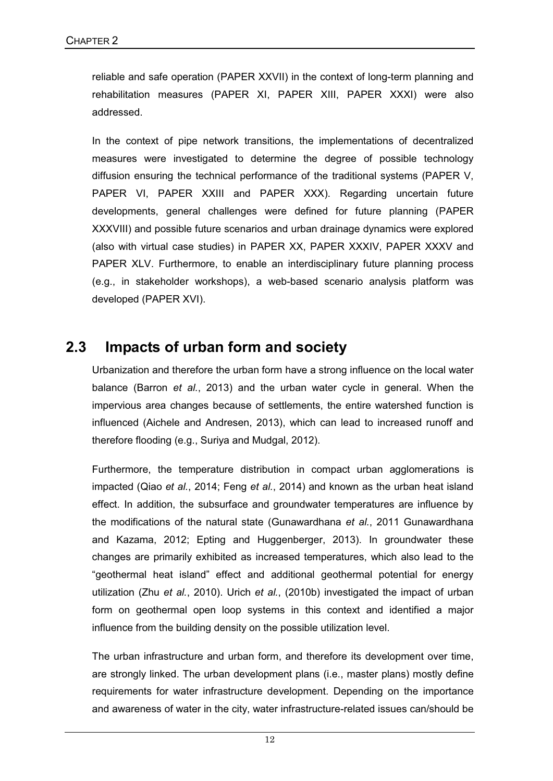reliable and safe operation (PAPER XXVII) in the context of long-term planning and rehabilitation measures (PAPER XI, PAPER XIII, PAPER XXXI) were also addressed.

In the context of pipe network transitions, the implementations of decentralized measures were investigated to determine the degree of possible technology diffusion ensuring the technical performance of the traditional systems (PAPER V, PAPER VI, PAPER XXIII and PAPER XXX). Regarding uncertain future developments, general challenges were defined for future planning (PAPER XXXVIII) and possible future scenarios and urban drainage dynamics were explored (also with virtual case studies) in PAPER XX, PAPER XXXIV, PAPER XXXV and PAPER XLV. Furthermore, to enable an interdisciplinary future planning process (e.g., in stakeholder workshops), a web-based scenario analysis platform was developed (PAPER XVI).

#### **2.3 Impacts of urban form and society**

Urbanization and therefore the urban form have a strong influence on the local water balance (Barron *et al.*, 2013) and the urban water cycle in general. When the impervious area changes because of settlements, the entire watershed function is influenced (Aichele and Andresen, 2013), which can lead to increased runoff and therefore flooding (e.g., Suriya and Mudgal, 2012).

Furthermore, the temperature distribution in compact urban agglomerations is impacted (Qiao *et al.*, 2014; Feng *et al.*, 2014) and known as the urban heat island effect. In addition, the subsurface and groundwater temperatures are influence by the modifications of the natural state (Gunawardhana *et al.*, 2011 Gunawardhana and Kazama, 2012; Epting and Huggenberger, 2013). In groundwater these changes are primarily exhibited as increased temperatures, which also lead to the "geothermal heat island" effect and additional geothermal potential for energy utilization (Zhu *et al.*, 2010). Urich *et al.*, (2010b) investigated the impact of urban form on geothermal open loop systems in this context and identified a major influence from the building density on the possible utilization level.

The urban infrastructure and urban form, and therefore its development over time, are strongly linked. The urban development plans (i.e., master plans) mostly define requirements for water infrastructure development. Depending on the importance and awareness of water in the city, water infrastructure-related issues can/should be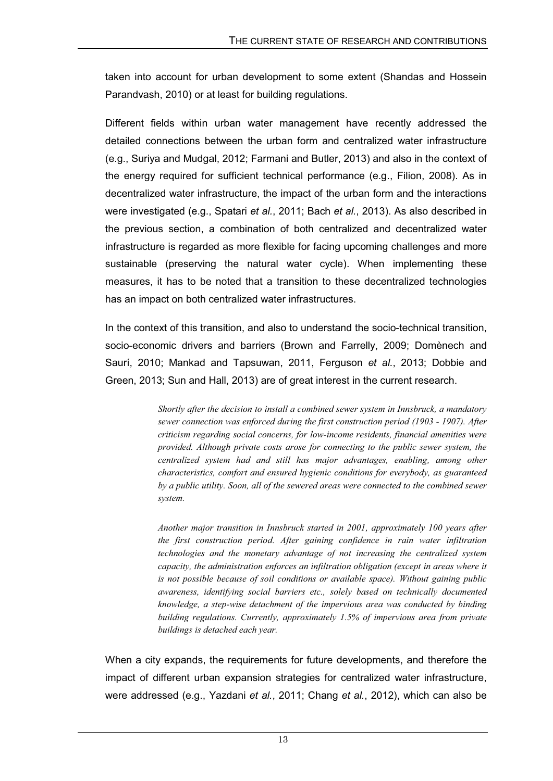taken into account for urban development to some extent (Shandas and Hossein Parandvash, 2010) or at least for building regulations.

Different fields within urban water management have recently addressed the detailed connections between the urban form and centralized water infrastructure (e.g., Suriya and Mudgal, 2012; Farmani and Butler, 2013) and also in the context of the energy required for sufficient technical performance (e.g., Filion, 2008). As in decentralized water infrastructure, the impact of the urban form and the interactions were investigated (e.g., Spatari *et al.*, 2011; Bach *et al.*, 2013). As also described in the previous section, a combination of both centralized and decentralized water infrastructure is regarded as more flexible for facing upcoming challenges and more sustainable (preserving the natural water cycle). When implementing these measures, it has to be noted that a transition to these decentralized technologies has an impact on both centralized water infrastructures.

In the context of this transition, and also to understand the socio-technical transition, socio-economic drivers and barriers (Brown and Farrelly, 2009; Domènech and Saurí, 2010; Mankad and Tapsuwan, 2011, Ferguson *et al.*, 2013; Dobbie and Green, 2013; Sun and Hall, 2013) are of great interest in the current research.

> *Shortly after the decision to install a combined sewer system in Innsbruck, a mandatory sewer connection was enforced during the first construction period (1903 - 1907). After criticism regarding social concerns, for low-income residents, financial amenities were provided. Although private costs arose for connecting to the public sewer system, the centralized system had and still has major advantages, enabling, among other characteristics, comfort and ensured hygienic conditions for everybody, as guaranteed by a public utility. Soon, all of the sewered areas were connected to the combined sewer system.*

> *Another major transition in Innsbruck started in 2001, approximately 100 years after the first construction period. After gaining confidence in rain water infiltration technologies and the monetary advantage of not increasing the centralized system capacity, the administration enforces an infiltration obligation (except in areas where it is not possible because of soil conditions or available space). Without gaining public awareness, identifying social barriers etc., solely based on technically documented knowledge, a step-wise detachment of the impervious area was conducted by binding building regulations. Currently, approximately 1.5% of impervious area from private buildings is detached each year.*

When a city expands, the requirements for future developments, and therefore the impact of different urban expansion strategies for centralized water infrastructure, were addressed (e.g., Yazdani *et al.*, 2011; Chang *et al.*, 2012), which can also be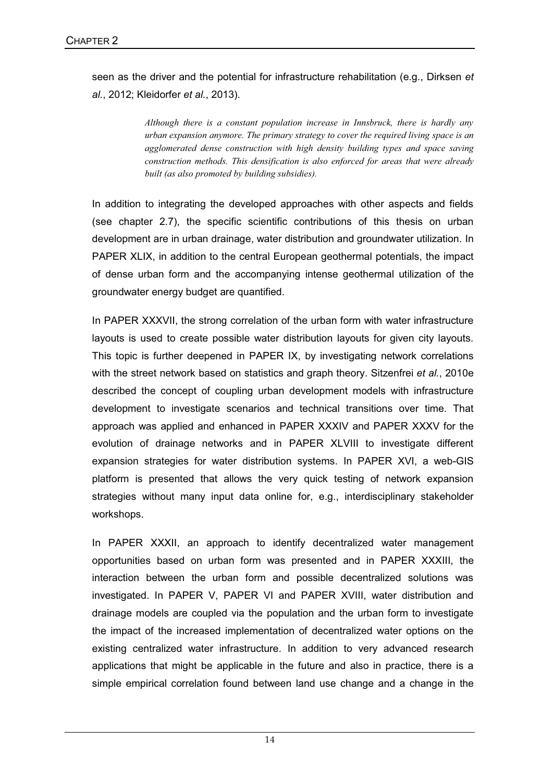seen as the driver and the potential for infrastructure rehabilitation (e.g., Dirksen *et al.*, 2012; Kleidorfer *et al.*, 2013).

> *Although there is a constant population increase in Innsbruck, there is hardly any urban expansion anymore. The primary strategy to cover the required living space is an agglomerated dense construction with high density building types and space saving construction methods. This densification is also enforced for areas that were already built (as also promoted by building subsidies).*

In addition to integrating the developed approaches with other aspects and fields (see chapter 2.7), the specific scientific contributions of this thesis on urban development are in urban drainage, water distribution and groundwater utilization. In PAPER XLIX, in addition to the central European geothermal potentials, the impact of dense urban form and the accompanying intense geothermal utilization of the groundwater energy budget are quantified.

In PAPER XXXVII, the strong correlation of the urban form with water infrastructure layouts is used to create possible water distribution layouts for given city layouts. This topic is further deepened in PAPER IX, by investigating network correlations with the street network based on statistics and graph theory. Sitzenfrei *et al.*, 2010e described the concept of coupling urban development models with infrastructure development to investigate scenarios and technical transitions over time. That approach was applied and enhanced in PAPER XXXIV and PAPER XXXV for the evolution of drainage networks and in PAPER XLVIII to investigate different expansion strategies for water distribution systems. In PAPER XVI, a web-GIS platform is presented that allows the very quick testing of network expansion strategies without many input data online for, e.g., interdisciplinary stakeholder workshops.

In PAPER XXXII, an approach to identify decentralized water management opportunities based on urban form was presented and in PAPER XXXIII, the interaction between the urban form and possible decentralized solutions was investigated. In PAPER V, PAPER VI and PAPER XVIII, water distribution and drainage models are coupled via the population and the urban form to investigate the impact of the increased implementation of decentralized water options on the existing centralized water infrastructure. In addition to very advanced research applications that might be applicable in the future and also in practice, there is a simple empirical correlation found between land use change and a change in the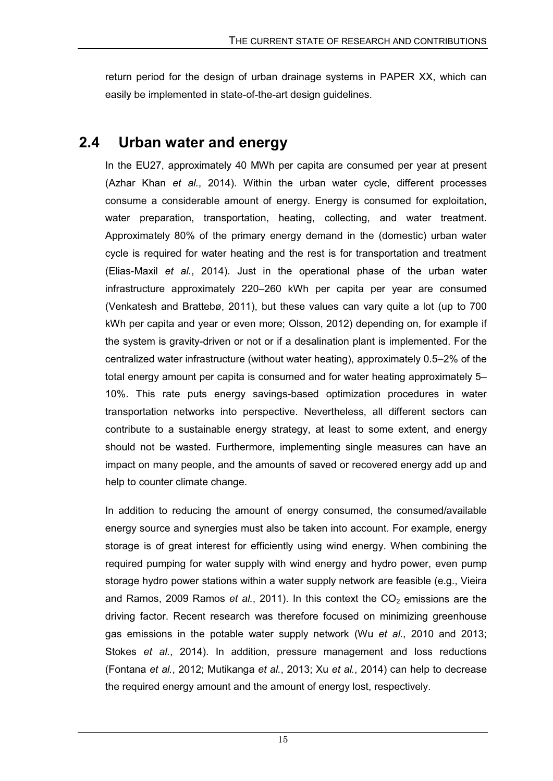return period for the design of urban drainage systems in PAPER XX, which can easily be implemented in state-of-the-art design guidelines.

#### **2.4 Urban water and energy**

In the EU27, approximately 40 MWh per capita are consumed per year at present (Azhar Khan *et al.*, 2014). Within the urban water cycle, different processes consume a considerable amount of energy. Energy is consumed for exploitation, water preparation, transportation, heating, collecting, and water treatment. Approximately 80% of the primary energy demand in the (domestic) urban water cycle is required for water heating and the rest is for transportation and treatment (Elias-Maxil *et al.*, 2014). Just in the operational phase of the urban water infrastructure approximately 220–260 kWh per capita per year are consumed (Venkatesh and Brattebø, 2011), but these values can vary quite a lot (up to 700 kWh per capita and year or even more; Olsson, 2012) depending on, for example if the system is gravity-driven or not or if a desalination plant is implemented. For the centralized water infrastructure (without water heating), approximately 0.5–2% of the total energy amount per capita is consumed and for water heating approximately 5– 10%. This rate puts energy savings-based optimization procedures in water transportation networks into perspective. Nevertheless, all different sectors can contribute to a sustainable energy strategy, at least to some extent, and energy should not be wasted. Furthermore, implementing single measures can have an impact on many people, and the amounts of saved or recovered energy add up and help to counter climate change.

In addition to reducing the amount of energy consumed, the consumed/available energy source and synergies must also be taken into account. For example, energy storage is of great interest for efficiently using wind energy. When combining the required pumping for water supply with wind energy and hydro power, even pump storage hydro power stations within a water supply network are feasible (e.g., Vieira and Ramos, 2009 Ramos *et al.*, 2011). In this context the  $CO<sub>2</sub>$  emissions are the driving factor. Recent research was therefore focused on minimizing greenhouse gas emissions in the potable water supply network (Wu *et al.*, 2010 and 2013; Stokes *et al.*, 2014). In addition, pressure management and loss reductions (Fontana *et al.*, 2012; Mutikanga *et al.*, 2013; Xu *et al.*, 2014) can help to decrease the required energy amount and the amount of energy lost, respectively.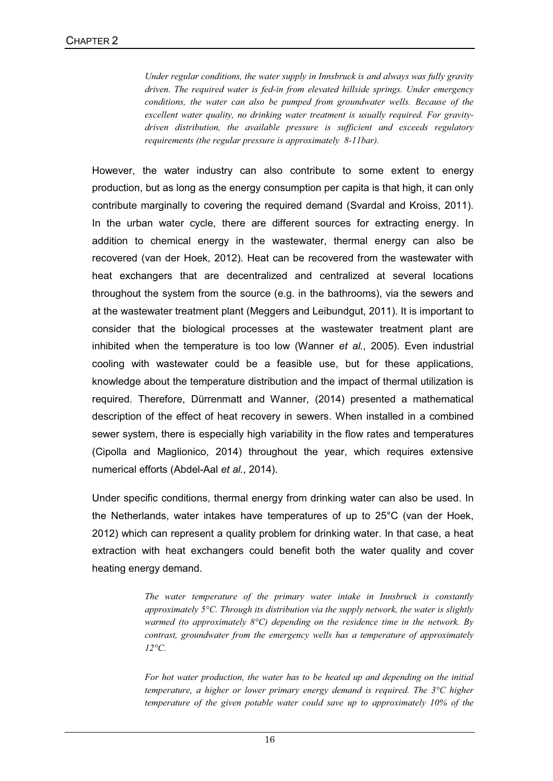*Under regular conditions, the water supply in Innsbruck is and always was fully gravity driven. The required water is fed-in from elevated hillside springs. Under emergency conditions, the water can also be pumped from groundwater wells. Because of the excellent water quality, no drinking water treatment is usually required. For gravitydriven distribution, the available pressure is sufficient and exceeds regulatory requirements (the regular pressure is approximately 8-11bar).* 

However, the water industry can also contribute to some extent to energy production, but as long as the energy consumption per capita is that high, it can only contribute marginally to covering the required demand (Svardal and Kroiss, 2011). In the urban water cycle, there are different sources for extracting energy. In addition to chemical energy in the wastewater, thermal energy can also be recovered (van der Hoek, 2012). Heat can be recovered from the wastewater with heat exchangers that are decentralized and centralized at several locations throughout the system from the source (e.g. in the bathrooms), via the sewers and at the wastewater treatment plant (Meggers and Leibundgut, 2011). It is important to consider that the biological processes at the wastewater treatment plant are inhibited when the temperature is too low (Wanner *et al.*, 2005). Even industrial cooling with wastewater could be a feasible use, but for these applications, knowledge about the temperature distribution and the impact of thermal utilization is required. Therefore, Dürrenmatt and Wanner, (2014) presented a mathematical description of the effect of heat recovery in sewers. When installed in a combined sewer system, there is especially high variability in the flow rates and temperatures (Cipolla and Maglionico, 2014) throughout the year, which requires extensive numerical efforts (Abdel-Aal *et al.*, 2014).

Under specific conditions, thermal energy from drinking water can also be used. In the Netherlands, water intakes have temperatures of up to 25°C (van der Hoek, 2012) which can represent a quality problem for drinking water. In that case, a heat extraction with heat exchangers could benefit both the water quality and cover heating energy demand.

> *The water temperature of the primary water intake in Innsbruck is constantly approximately 5°C. Through its distribution via the supply network, the water is slightly warmed (to approximately 8°C) depending on the residence time in the network. By contrast, groundwater from the emergency wells has a temperature of approximately 12°C.*

> *For hot water production, the water has to be heated up and depending on the initial temperature, a higher or lower primary energy demand is required. The 3°C higher temperature of the given potable water could save up to approximately 10% of the*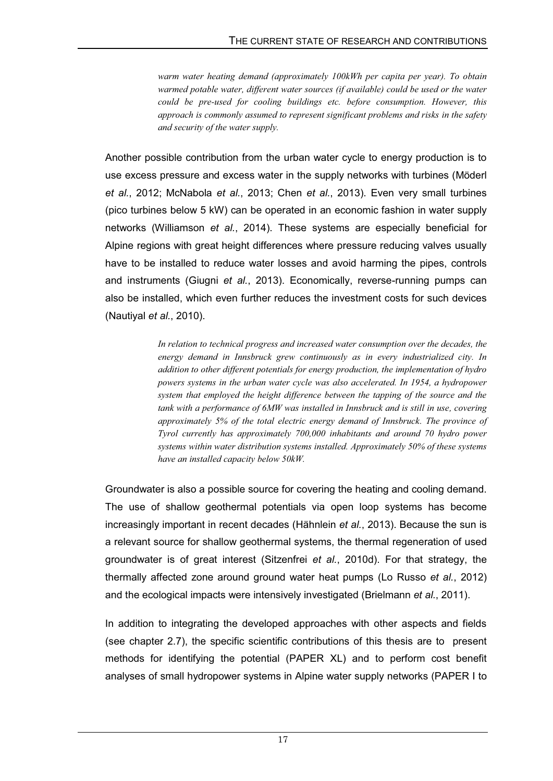*warm water heating demand (approximately 100kWh per capita per year). To obtain warmed potable water, different water sources (if available) could be used or the water could be pre-used for cooling buildings etc. before consumption. However, this approach is commonly assumed to represent significant problems and risks in the safety and security of the water supply.* 

Another possible contribution from the urban water cycle to energy production is to use excess pressure and excess water in the supply networks with turbines (Möderl *et al.*, 2012; McNabola *et al.*, 2013; Chen *et al.*, 2013). Even very small turbines (pico turbines below 5 kW) can be operated in an economic fashion in water supply networks (Williamson *et al.*, 2014). These systems are especially beneficial for Alpine regions with great height differences where pressure reducing valves usually have to be installed to reduce water losses and avoid harming the pipes, controls and instruments (Giugni *et al.*, 2013). Economically, reverse-running pumps can also be installed, which even further reduces the investment costs for such devices (Nautiyal *et al.*, 2010).

> *In relation to technical progress and increased water consumption over the decades, the energy demand in Innsbruck grew continuously as in every industrialized city. In addition to other different potentials for energy production, the implementation of hydro powers systems in the urban water cycle was also accelerated. In 1954, a hydropower system that employed the height difference between the tapping of the source and the tank with a performance of 6MW was installed in Innsbruck and is still in use, covering approximately 5% of the total electric energy demand of Innsbruck. The province of Tyrol currently has approximately 700,000 inhabitants and around 70 hydro power systems within water distribution systems installed. Approximately 50% of these systems have an installed capacity below 50kW.*

Groundwater is also a possible source for covering the heating and cooling demand. The use of shallow geothermal potentials via open loop systems has become increasingly important in recent decades (Hähnlein *et al.*, 2013). Because the sun is a relevant source for shallow geothermal systems, the thermal regeneration of used groundwater is of great interest (Sitzenfrei *et al.*, 2010d). For that strategy, the thermally affected zone around ground water heat pumps (Lo Russo *et al.*, 2012) and the ecological impacts were intensively investigated (Brielmann *et al.*, 2011).

In addition to integrating the developed approaches with other aspects and fields (see chapter 2.7), the specific scientific contributions of this thesis are to present methods for identifying the potential (PAPER XL) and to perform cost benefit analyses of small hydropower systems in Alpine water supply networks (PAPER I to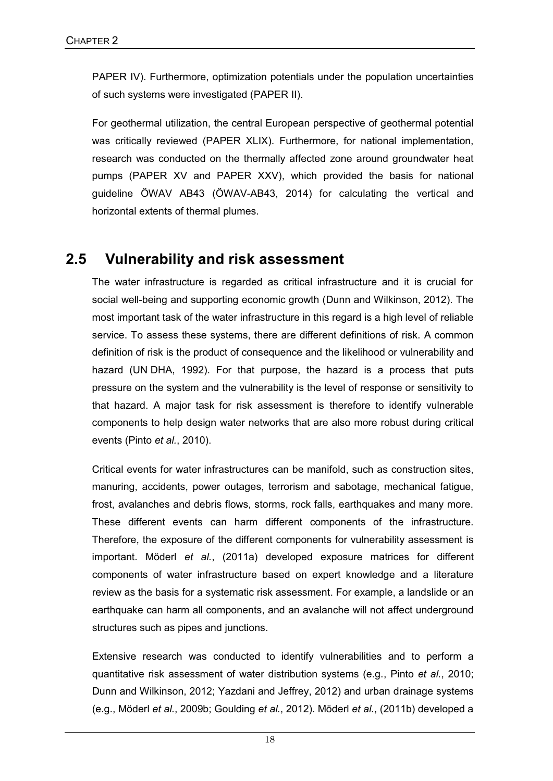PAPER IV). Furthermore, optimization potentials under the population uncertainties of such systems were investigated (PAPER II).

For geothermal utilization, the central European perspective of geothermal potential was critically reviewed (PAPER XLIX). Furthermore, for national implementation, research was conducted on the thermally affected zone around groundwater heat pumps (PAPER XV and PAPER XXV), which provided the basis for national guideline ÖWAV AB43 (ÖWAV-AB43, 2014) for calculating the vertical and horizontal extents of thermal plumes.

#### **2.5 Vulnerability and risk assessment**

The water infrastructure is regarded as critical infrastructure and it is crucial for social well-being and supporting economic growth (Dunn and Wilkinson, 2012). The most important task of the water infrastructure in this regard is a high level of reliable service. To assess these systems, there are different definitions of risk. A common definition of risk is the product of consequence and the likelihood or vulnerability and hazard (UN DHA, 1992). For that purpose, the hazard is a process that puts pressure on the system and the vulnerability is the level of response or sensitivity to that hazard. A major task for risk assessment is therefore to identify vulnerable components to help design water networks that are also more robust during critical events (Pinto *et al.*, 2010).

Critical events for water infrastructures can be manifold, such as construction sites, manuring, accidents, power outages, terrorism and sabotage, mechanical fatigue, frost, avalanches and debris flows, storms, rock falls, earthquakes and many more. These different events can harm different components of the infrastructure. Therefore, the exposure of the different components for vulnerability assessment is important. Möderl *et al.*, (2011a) developed exposure matrices for different components of water infrastructure based on expert knowledge and a literature review as the basis for a systematic risk assessment. For example, a landslide or an earthquake can harm all components, and an avalanche will not affect underground structures such as pipes and junctions.

Extensive research was conducted to identify vulnerabilities and to perform a quantitative risk assessment of water distribution systems (e.g., Pinto *et al.*, 2010; Dunn and Wilkinson, 2012; Yazdani and Jeffrey, 2012) and urban drainage systems (e.g., Möderl *et al.*, 2009b; Goulding *et al.*, 2012). Möderl *et al.*, (2011b) developed a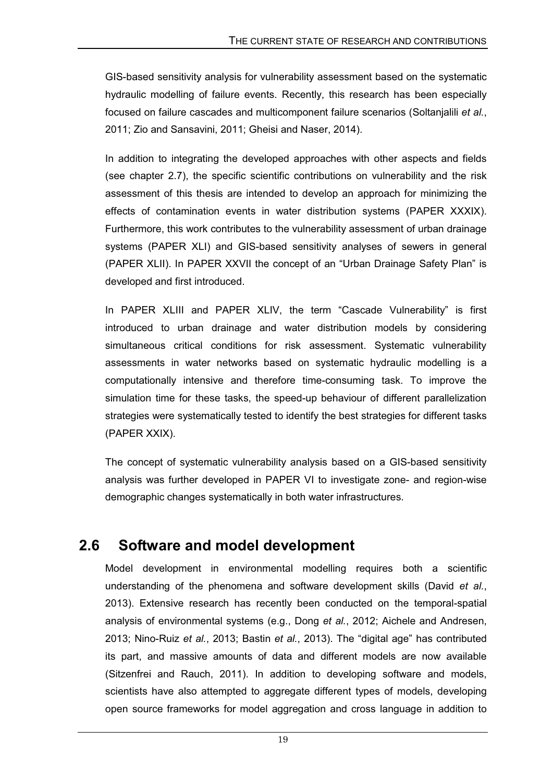GIS-based sensitivity analysis for vulnerability assessment based on the systematic hydraulic modelling of failure events. Recently, this research has been especially focused on failure cascades and multicomponent failure scenarios (Soltanjalili *et al.*, 2011; Zio and Sansavini, 2011; Gheisi and Naser, 2014).

In addition to integrating the developed approaches with other aspects and fields (see chapter 2.7), the specific scientific contributions on vulnerability and the risk assessment of this thesis are intended to develop an approach for minimizing the effects of contamination events in water distribution systems (PAPER XXXIX). Furthermore, this work contributes to the vulnerability assessment of urban drainage systems (PAPER XLI) and GIS-based sensitivity analyses of sewers in general (PAPER XLII). In PAPER XXVII the concept of an "Urban Drainage Safety Plan" is developed and first introduced.

In PAPER XLIII and PAPER XLIV, the term "Cascade Vulnerability" is first introduced to urban drainage and water distribution models by considering simultaneous critical conditions for risk assessment. Systematic vulnerability assessments in water networks based on systematic hydraulic modelling is a computationally intensive and therefore time-consuming task. To improve the simulation time for these tasks, the speed-up behaviour of different parallelization strategies were systematically tested to identify the best strategies for different tasks (PAPER XXIX).

The concept of systematic vulnerability analysis based on a GIS-based sensitivity analysis was further developed in PAPER VI to investigate zone- and region-wise demographic changes systematically in both water infrastructures.

#### **2.6 Software and model development**

Model development in environmental modelling requires both a scientific understanding of the phenomena and software development skills (David *et al.*, 2013). Extensive research has recently been conducted on the temporal-spatial analysis of environmental systems (e.g., Dong *et al.*, 2012; Aichele and Andresen, 2013; Nino-Ruiz *et al.*, 2013; Bastin *et al.*, 2013). The "digital age" has contributed its part, and massive amounts of data and different models are now available (Sitzenfrei and Rauch, 2011). In addition to developing software and models, scientists have also attempted to aggregate different types of models, developing open source frameworks for model aggregation and cross language in addition to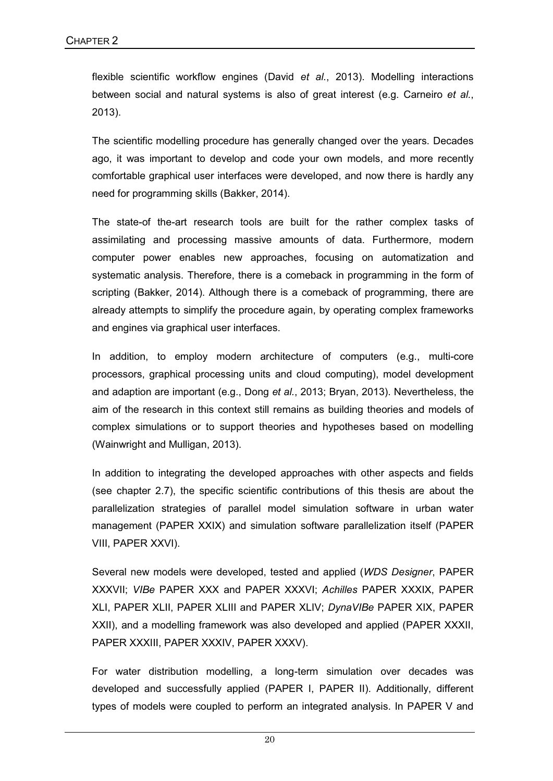flexible scientific workflow engines (David *et al.*, 2013). Modelling interactions between social and natural systems is also of great interest (e.g. Carneiro *et al.*, 2013).

The scientific modelling procedure has generally changed over the years. Decades ago, it was important to develop and code your own models, and more recently comfortable graphical user interfaces were developed, and now there is hardly any need for programming skills (Bakker, 2014).

The state-of the-art research tools are built for the rather complex tasks of assimilating and processing massive amounts of data. Furthermore, modern computer power enables new approaches, focusing on automatization and systematic analysis. Therefore, there is a comeback in programming in the form of scripting (Bakker, 2014). Although there is a comeback of programming, there are already attempts to simplify the procedure again, by operating complex frameworks and engines via graphical user interfaces.

In addition, to employ modern architecture of computers (e.g., multi-core processors, graphical processing units and cloud computing), model development and adaption are important (e.g., Dong *et al.*, 2013; Bryan, 2013). Nevertheless, the aim of the research in this context still remains as building theories and models of complex simulations or to support theories and hypotheses based on modelling (Wainwright and Mulligan, 2013).

In addition to integrating the developed approaches with other aspects and fields (see chapter 2.7), the specific scientific contributions of this thesis are about the parallelization strategies of parallel model simulation software in urban water management (PAPER XXIX) and simulation software parallelization itself (PAPER VIII, PAPER XXVI).

Several new models were developed, tested and applied (*WDS Designer*, PAPER XXXVII; *VIBe* PAPER XXX and PAPER XXXVI; *Achilles* PAPER XXXIX, PAPER XLI, PAPER XLII, PAPER XLIII and PAPER XLIV; *DynaVIBe* PAPER XIX, PAPER XXII), and a modelling framework was also developed and applied (PAPER XXXII, PAPER XXXIII, PAPER XXXIV, PAPER XXXV).

For water distribution modelling, a long-term simulation over decades was developed and successfully applied (PAPER I, PAPER II). Additionally, different types of models were coupled to perform an integrated analysis. In PAPER V and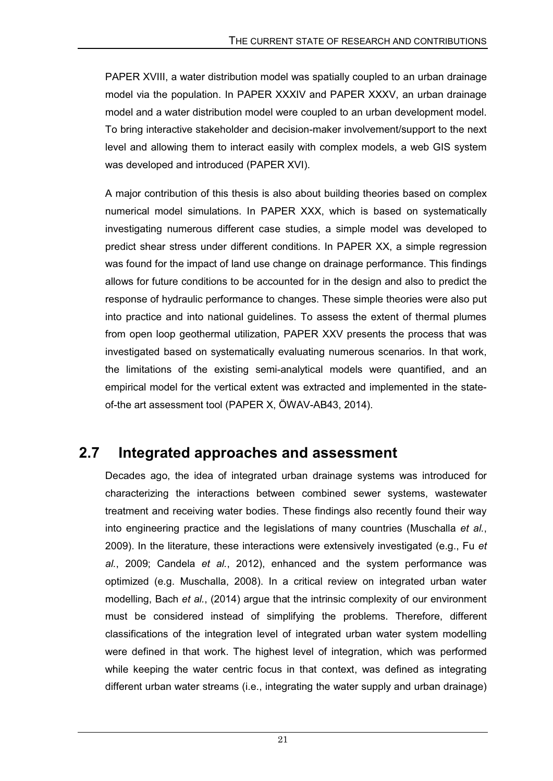PAPER XVIII, a water distribution model was spatially coupled to an urban drainage model via the population. In PAPER XXXIV and PAPER XXXV, an urban drainage model and a water distribution model were coupled to an urban development model. To bring interactive stakeholder and decision-maker involvement/support to the next level and allowing them to interact easily with complex models, a web GIS system was developed and introduced (PAPER XVI).

A major contribution of this thesis is also about building theories based on complex numerical model simulations. In PAPER XXX, which is based on systematically investigating numerous different case studies, a simple model was developed to predict shear stress under different conditions. In PAPER XX, a simple regression was found for the impact of land use change on drainage performance. This findings allows for future conditions to be accounted for in the design and also to predict the response of hydraulic performance to changes. These simple theories were also put into practice and into national guidelines. To assess the extent of thermal plumes from open loop geothermal utilization, PAPER XXV presents the process that was investigated based on systematically evaluating numerous scenarios. In that work, the limitations of the existing semi-analytical models were quantified, and an empirical model for the vertical extent was extracted and implemented in the stateof-the art assessment tool (PAPER X, ÖWAV-AB43, 2014).

#### **2.7 Integrated approaches and assessment**

Decades ago, the idea of integrated urban drainage systems was introduced for characterizing the interactions between combined sewer systems, wastewater treatment and receiving water bodies. These findings also recently found their way into engineering practice and the legislations of many countries (Muschalla *et al.*, 2009). In the literature, these interactions were extensively investigated (e.g., Fu *et al.*, 2009; Candela *et al.*, 2012), enhanced and the system performance was optimized (e.g. Muschalla, 2008). In a critical review on integrated urban water modelling, Bach *et al.*, (2014) argue that the intrinsic complexity of our environment must be considered instead of simplifying the problems. Therefore, different classifications of the integration level of integrated urban water system modelling were defined in that work. The highest level of integration, which was performed while keeping the water centric focus in that context, was defined as integrating different urban water streams (i.e., integrating the water supply and urban drainage)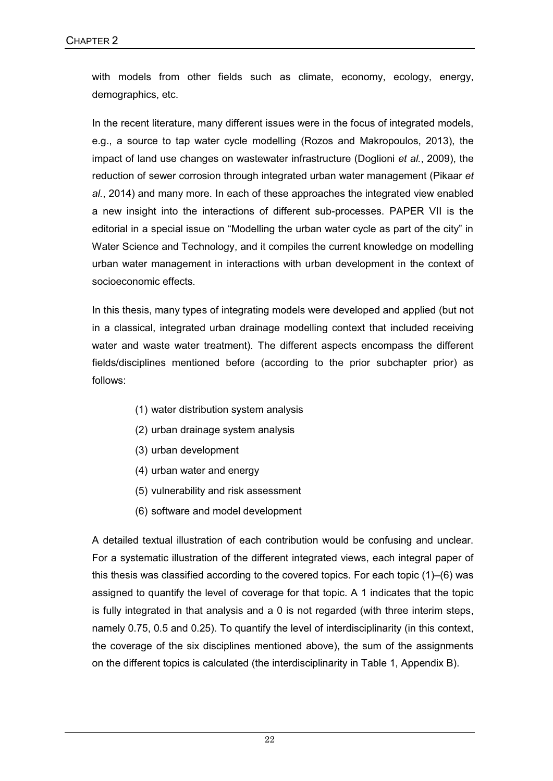with models from other fields such as climate, economy, ecology, energy, demographics, etc.

In the recent literature, many different issues were in the focus of integrated models, e.g., a source to tap water cycle modelling (Rozos and Makropoulos, 2013), the impact of land use changes on wastewater infrastructure (Doglioni *et al.*, 2009), the reduction of sewer corrosion through integrated urban water management (Pikaar *et al.*, 2014) and many more. In each of these approaches the integrated view enabled a new insight into the interactions of different sub-processes. PAPER VII is the editorial in a special issue on "Modelling the urban water cycle as part of the city" in Water Science and Technology, and it compiles the current knowledge on modelling urban water management in interactions with urban development in the context of socioeconomic effects.

In this thesis, many types of integrating models were developed and applied (but not in a classical, integrated urban drainage modelling context that included receiving water and waste water treatment). The different aspects encompass the different fields/disciplines mentioned before (according to the prior subchapter prior) as follows:

- (1) water distribution system analysis
- (2) urban drainage system analysis
- (3) urban development
- (4) urban water and energy
- (5) vulnerability and risk assessment
- (6) software and model development

A detailed textual illustration of each contribution would be confusing and unclear. For a systematic illustration of the different integrated views, each integral paper of this thesis was classified according to the covered topics. For each topic (1)–(6) was assigned to quantify the level of coverage for that topic. A 1 indicates that the topic is fully integrated in that analysis and a 0 is not regarded (with three interim steps, namely 0.75, 0.5 and 0.25). To quantify the level of interdisciplinarity (in this context, the coverage of the six disciplines mentioned above), the sum of the assignments on the different topics is calculated (the interdisciplinarity in Table 1, Appendix B).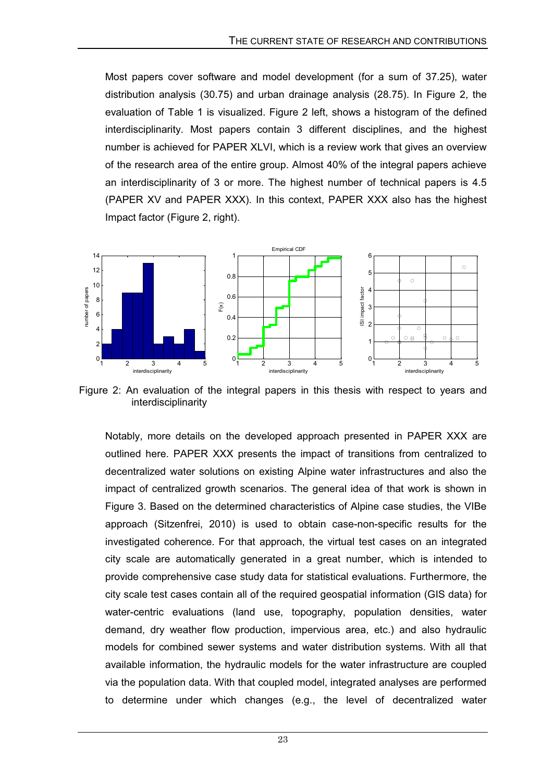Most papers cover software and model development (for a sum of 37.25), water distribution analysis (30.75) and urban drainage analysis (28.75). In Figure 2, the evaluation of Table 1 is visualized. Figure 2 left, shows a histogram of the defined interdisciplinarity. Most papers contain 3 different disciplines, and the highest number is achieved for PAPER XLVI, which is a review work that gives an overview of the research area of the entire group. Almost 40% of the integral papers achieve an interdisciplinarity of 3 or more. The highest number of technical papers is 4.5 (PAPER XV and PAPER XXX). In this context, PAPER XXX also has the highest Impact factor (Figure 2, right).



Figure 2: An evaluation of the integral papers in this thesis with respect to years and interdisciplinarity

Notably, more details on the developed approach presented in PAPER XXX are outlined here. PAPER XXX presents the impact of transitions from centralized to decentralized water solutions on existing Alpine water infrastructures and also the impact of centralized growth scenarios. The general idea of that work is shown in Figure 3. Based on the determined characteristics of Alpine case studies, the VIBe approach (Sitzenfrei, 2010) is used to obtain case-non-specific results for the investigated coherence. For that approach, the virtual test cases on an integrated city scale are automatically generated in a great number, which is intended to provide comprehensive case study data for statistical evaluations. Furthermore, the city scale test cases contain all of the required geospatial information (GIS data) for water-centric evaluations (land use, topography, population densities, water demand, dry weather flow production, impervious area, etc.) and also hydraulic models for combined sewer systems and water distribution systems. With all that available information, the hydraulic models for the water infrastructure are coupled via the population data. With that coupled model, integrated analyses are performed to determine under which changes (e.g., the level of decentralized water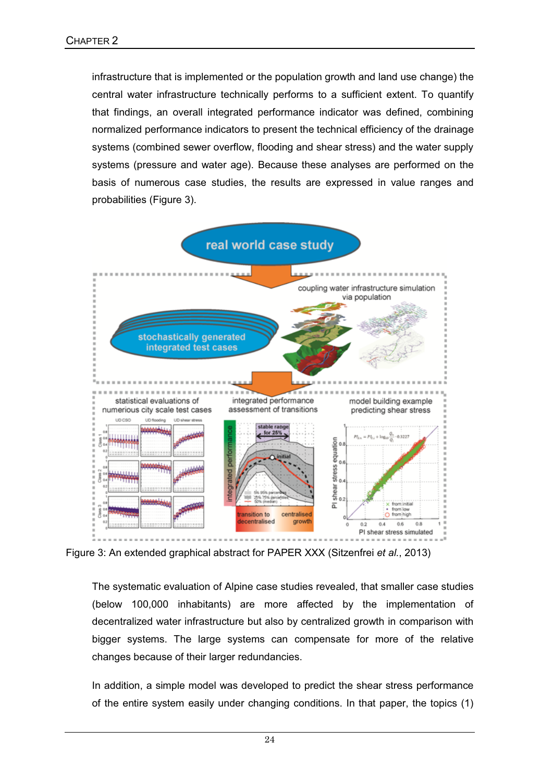infrastructure that is implemented or the population growth and land use change) the central water infrastructure technically performs to a sufficient extent. To quantify that findings, an overall integrated performance indicator was defined, combining normalized performance indicators to present the technical efficiency of the drainage systems (combined sewer overflow, flooding and shear stress) and the water supply systems (pressure and water age). Because these analyses are performed on the basis of numerous case studies, the results are expressed in value ranges and probabilities (Figure 3).



Figure 3: An extended graphical abstract for PAPER XXX (Sitzenfrei *et al.*, 2013)

The systematic evaluation of Alpine case studies revealed, that smaller case studies (below 100,000 inhabitants) are more affected by the implementation of decentralized water infrastructure but also by centralized growth in comparison with bigger systems. The large systems can compensate for more of the relative changes because of their larger redundancies.

In addition, a simple model was developed to predict the shear stress performance of the entire system easily under changing conditions. In that paper, the topics (1)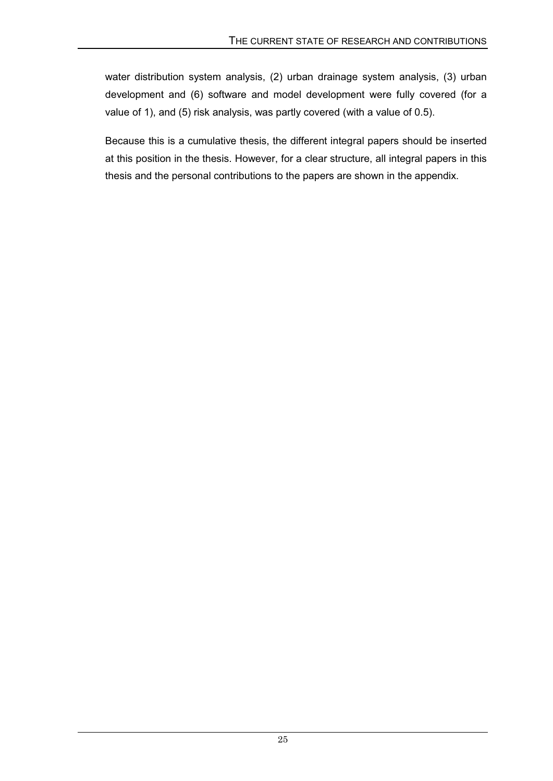water distribution system analysis, (2) urban drainage system analysis, (3) urban development and (6) software and model development were fully covered (for a value of 1), and (5) risk analysis, was partly covered (with a value of 0.5).

Because this is a cumulative thesis, the different integral papers should be inserted at this position in the thesis. However, for a clear structure, all integral papers in this thesis and the personal contributions to the papers are shown in the appendix.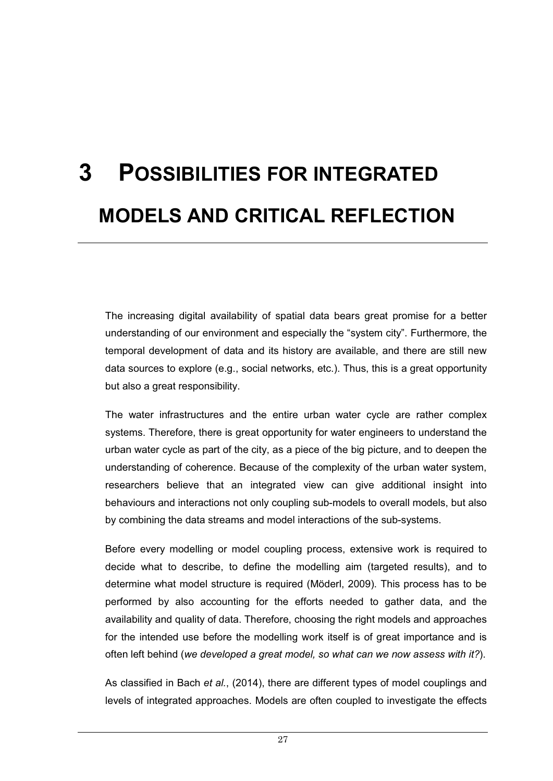## **3 POSSIBILITIES FOR INTEGRATED MODELS AND CRITICAL REFLECTION**

The increasing digital availability of spatial data bears great promise for a better understanding of our environment and especially the "system city". Furthermore, the temporal development of data and its history are available, and there are still new data sources to explore (e.g., social networks, etc.). Thus, this is a great opportunity but also a great responsibility.

The water infrastructures and the entire urban water cycle are rather complex systems. Therefore, there is great opportunity for water engineers to understand the urban water cycle as part of the city, as a piece of the big picture, and to deepen the understanding of coherence. Because of the complexity of the urban water system, researchers believe that an integrated view can give additional insight into behaviours and interactions not only coupling sub-models to overall models, but also by combining the data streams and model interactions of the sub-systems.

Before every modelling or model coupling process, extensive work is required to decide what to describe, to define the modelling aim (targeted results), and to determine what model structure is required (Möderl, 2009). This process has to be performed by also accounting for the efforts needed to gather data, and the availability and quality of data. Therefore, choosing the right models and approaches for the intended use before the modelling work itself is of great importance and is often left behind (*we developed a great model, so what can we now assess with it?*).

As classified in Bach *et al.*, (2014), there are different types of model couplings and levels of integrated approaches. Models are often coupled to investigate the effects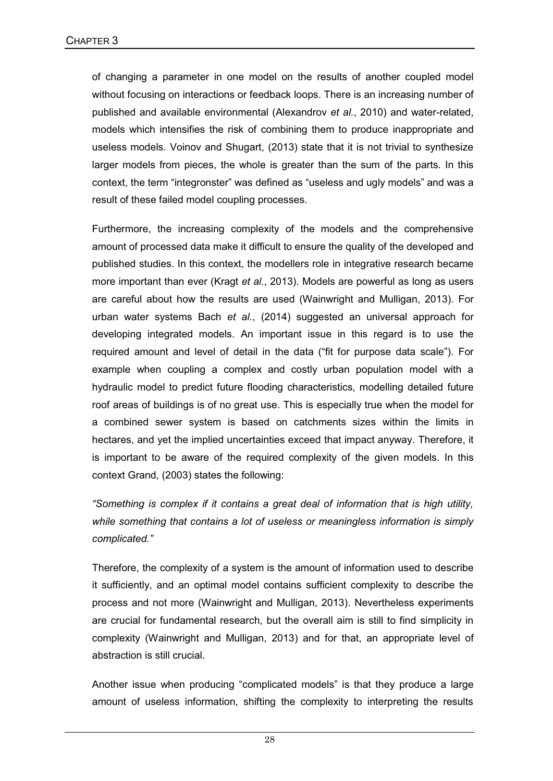of changing a parameter in one model on the results of another coupled model without focusing on interactions or feedback loops. There is an increasing number of published and available environmental (Alexandrov *et al.*, 2010) and water-related, models which intensifies the risk of combining them to produce inappropriate and useless models. Voinov and Shugart, (2013) state that it is not trivial to synthesize larger models from pieces, the whole is greater than the sum of the parts. In this context, the term "integronster" was defined as "useless and ugly models" and was a result of these failed model coupling processes.

Furthermore, the increasing complexity of the models and the comprehensive amount of processed data make it difficult to ensure the quality of the developed and published studies. In this context, the modellers role in integrative research became more important than ever (Kragt *et al.*, 2013). Models are powerful as long as users are careful about how the results are used (Wainwright and Mulligan, 2013). For urban water systems Bach *et al.*, (2014) suggested an universal approach for developing integrated models. An important issue in this regard is to use the required amount and level of detail in the data ("fit for purpose data scale"). For example when coupling a complex and costly urban population model with a hydraulic model to predict future flooding characteristics, modelling detailed future roof areas of buildings is of no great use. This is especially true when the model for a combined sewer system is based on catchments sizes within the limits in hectares, and yet the implied uncertainties exceed that impact anyway. Therefore, it is important to be aware of the required complexity of the given models. In this context Grand, (2003) states the following:

*"Something is complex if it contains a great deal of information that is high utility, while something that contains a lot of useless or meaningless information is simply complicated."*

Therefore, the complexity of a system is the amount of information used to describe it sufficiently, and an optimal model contains sufficient complexity to describe the process and not more (Wainwright and Mulligan, 2013). Nevertheless experiments are crucial for fundamental research, but the overall aim is still to find simplicity in complexity (Wainwright and Mulligan, 2013) and for that, an appropriate level of abstraction is still crucial.

Another issue when producing "complicated models" is that they produce a large amount of useless information, shifting the complexity to interpreting the results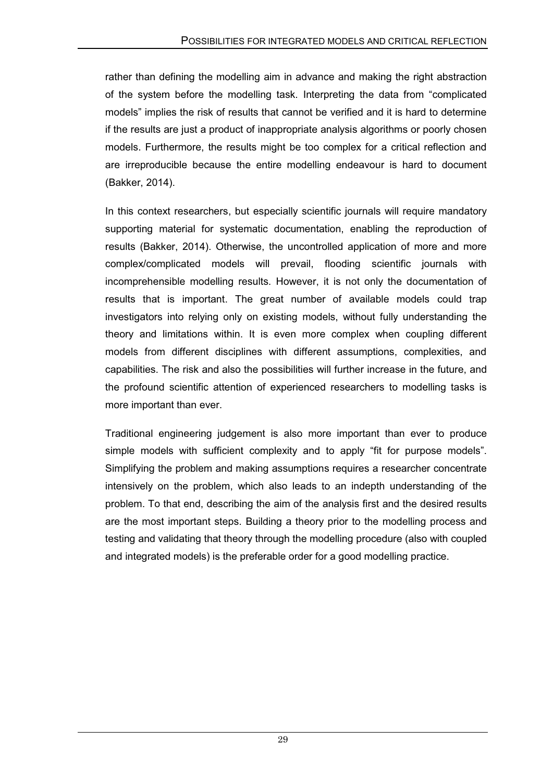rather than defining the modelling aim in advance and making the right abstraction of the system before the modelling task. Interpreting the data from "complicated models" implies the risk of results that cannot be verified and it is hard to determine if the results are just a product of inappropriate analysis algorithms or poorly chosen models. Furthermore, the results might be too complex for a critical reflection and are irreproducible because the entire modelling endeavour is hard to document (Bakker, 2014).

In this context researchers, but especially scientific journals will require mandatory supporting material for systematic documentation, enabling the reproduction of results (Bakker, 2014). Otherwise, the uncontrolled application of more and more complex/complicated models will prevail, flooding scientific journals with incomprehensible modelling results. However, it is not only the documentation of results that is important. The great number of available models could trap investigators into relying only on existing models, without fully understanding the theory and limitations within. It is even more complex when coupling different models from different disciplines with different assumptions, complexities, and capabilities. The risk and also the possibilities will further increase in the future, and the profound scientific attention of experienced researchers to modelling tasks is more important than ever.

Traditional engineering judgement is also more important than ever to produce simple models with sufficient complexity and to apply "fit for purpose models". Simplifying the problem and making assumptions requires a researcher concentrate intensively on the problem, which also leads to an indepth understanding of the problem. To that end, describing the aim of the analysis first and the desired results are the most important steps. Building a theory prior to the modelling process and testing and validating that theory through the modelling procedure (also with coupled and integrated models) is the preferable order for a good modelling practice.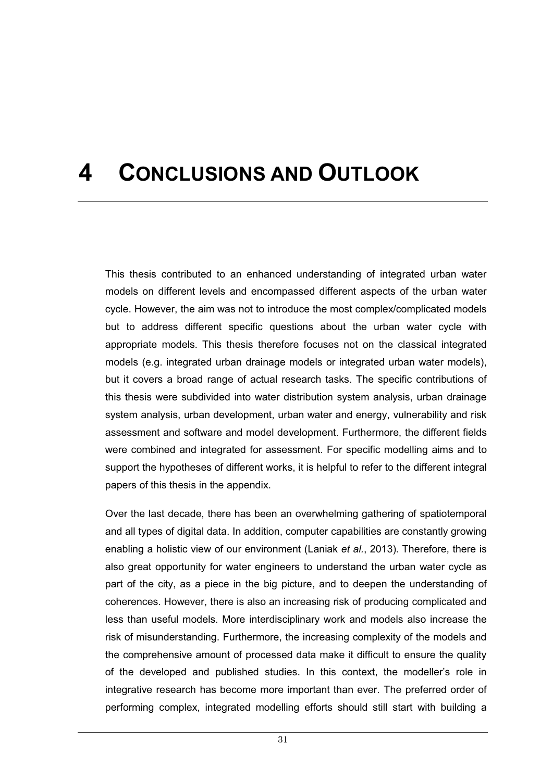### **4 CONCLUSIONS AND OUTLOOK**

This thesis contributed to an enhanced understanding of integrated urban water models on different levels and encompassed different aspects of the urban water cycle. However, the aim was not to introduce the most complex/complicated models but to address different specific questions about the urban water cycle with appropriate models. This thesis therefore focuses not on the classical integrated models (e.g. integrated urban drainage models or integrated urban water models), but it covers a broad range of actual research tasks. The specific contributions of this thesis were subdivided into water distribution system analysis, urban drainage system analysis, urban development, urban water and energy, vulnerability and risk assessment and software and model development. Furthermore, the different fields were combined and integrated for assessment. For specific modelling aims and to support the hypotheses of different works, it is helpful to refer to the different integral papers of this thesis in the appendix.

Over the last decade, there has been an overwhelming gathering of spatiotemporal and all types of digital data. In addition, computer capabilities are constantly growing enabling a holistic view of our environment (Laniak *et al.*, 2013). Therefore, there is also great opportunity for water engineers to understand the urban water cycle as part of the city, as a piece in the big picture, and to deepen the understanding of coherences. However, there is also an increasing risk of producing complicated and less than useful models. More interdisciplinary work and models also increase the risk of misunderstanding. Furthermore, the increasing complexity of the models and the comprehensive amount of processed data make it difficult to ensure the quality of the developed and published studies. In this context, the modeller's role in integrative research has become more important than ever. The preferred order of performing complex, integrated modelling efforts should still start with building a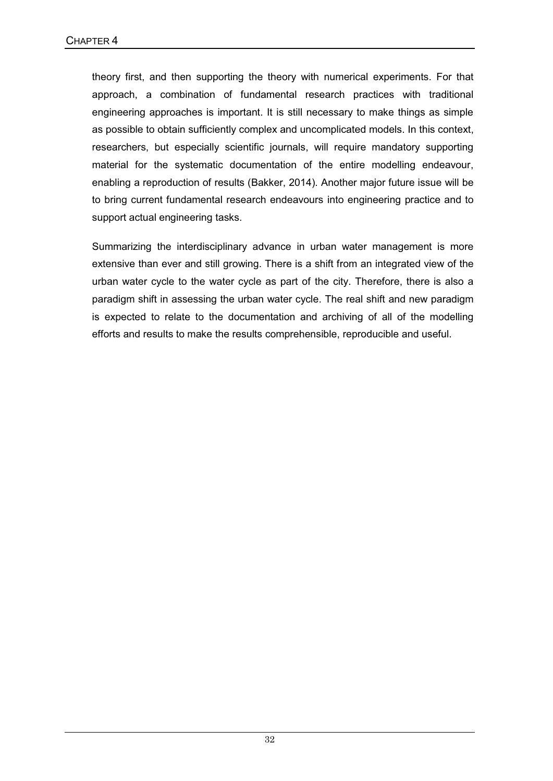theory first, and then supporting the theory with numerical experiments. For that approach, a combination of fundamental research practices with traditional engineering approaches is important. It is still necessary to make things as simple as possible to obtain sufficiently complex and uncomplicated models. In this context, researchers, but especially scientific journals, will require mandatory supporting material for the systematic documentation of the entire modelling endeavour, enabling a reproduction of results (Bakker, 2014). Another major future issue will be to bring current fundamental research endeavours into engineering practice and to support actual engineering tasks.

Summarizing the interdisciplinary advance in urban water management is more extensive than ever and still growing. There is a shift from an integrated view of the urban water cycle to the water cycle as part of the city. Therefore, there is also a paradigm shift in assessing the urban water cycle. The real shift and new paradigm is expected to relate to the documentation and archiving of all of the modelling efforts and results to make the results comprehensible, reproducible and useful.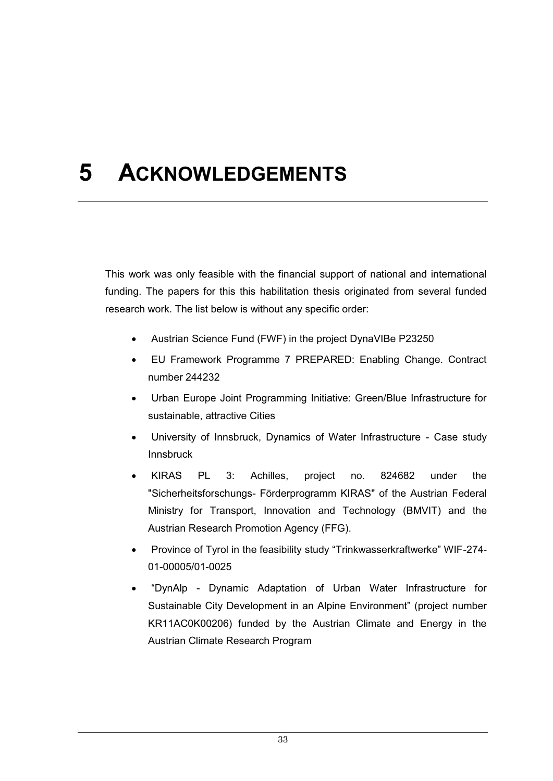## **5 ACKNOWLEDGEMENTS**

This work was only feasible with the financial support of national and international funding. The papers for this this habilitation thesis originated from several funded research work. The list below is without any specific order:

- $\bullet$ Austrian Science Fund (FWF) in the project DynaVIBe P23250
- $\bullet$  EU Framework Programme 7 PREPARED: Enabling Change. Contract number 244232
- - Urban Europe Joint Programming Initiative: Green/Blue Infrastructure for sustainable, attractive Cities
- - University of Innsbruck, Dynamics of Water Infrastructure - Case study Innsbruck
- - KIRAS PL 3: Achilles, project no. 824682 under the "Sicherheitsforschungs- Förderprogramm KIRAS" of the Austrian Federal Ministry for Transport, Innovation and Technology (BMVIT) and the Austrian Research Promotion Agency (FFG).
- - Province of Tyrol in the feasibility study "Trinkwasserkraftwerke" WIF-274- 01-00005/01-0025
- - "DynAlp - Dynamic Adaptation of Urban Water Infrastructure for Sustainable City Development in an Alpine Environment" (project number KR11AC0K00206) funded by the Austrian Climate and Energy in the Austrian Climate Research Program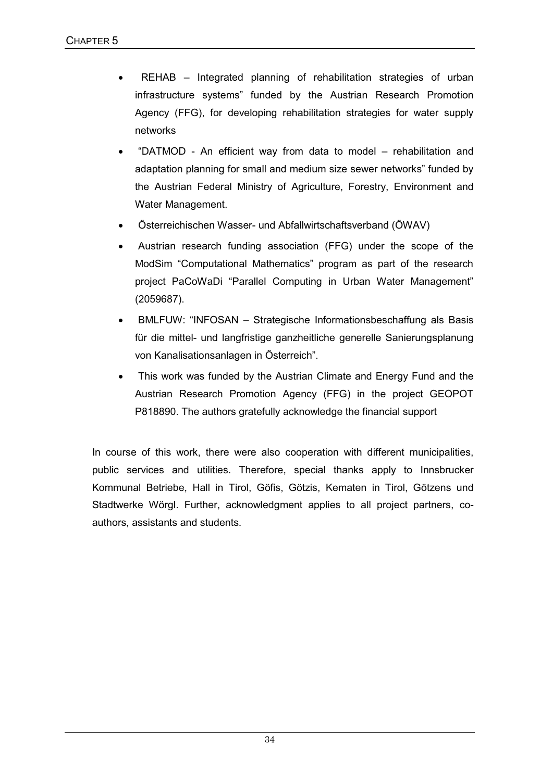- $\bullet$  REHAB – Integrated planning of rehabilitation strategies of urban infrastructure systems" funded by the Austrian Research Promotion Agency (FFG), for developing rehabilitation strategies for water supply networks
- $\bullet$  "DATMOD - An efficient way from data to model – rehabilitation and adaptation planning for small and medium size sewer networks" funded by the Austrian Federal Ministry of Agriculture, Forestry, Environment and Water Management.
- $\bullet$ Österreichischen Wasser- und Abfallwirtschaftsverband (ÖWAV)
- $\bullet$  Austrian research funding association (FFG) under the scope of the ModSim "Computational Mathematics" program as part of the research project PaCoWaDi "Parallel Computing in Urban Water Management" (2059687).
- $\bullet$  BMLFUW: "INFOSAN – Strategische Informationsbeschaffung als Basis für die mittel- und langfristige ganzheitliche generelle Sanierungsplanung von Kanalisationsanlagen in Österreich".
- $\bullet$  This work was funded by the Austrian Climate and Energy Fund and the Austrian Research Promotion Agency (FFG) in the project GEOPOT P818890. The authors gratefully acknowledge the financial support

In course of this work, there were also cooperation with different municipalities, public services and utilities. Therefore, special thanks apply to Innsbrucker Kommunal Betriebe, Hall in Tirol, Göfis, Götzis, Kematen in Tirol, Götzens und Stadtwerke Wörgl. Further, acknowledgment applies to all project partners, coauthors, assistants and students.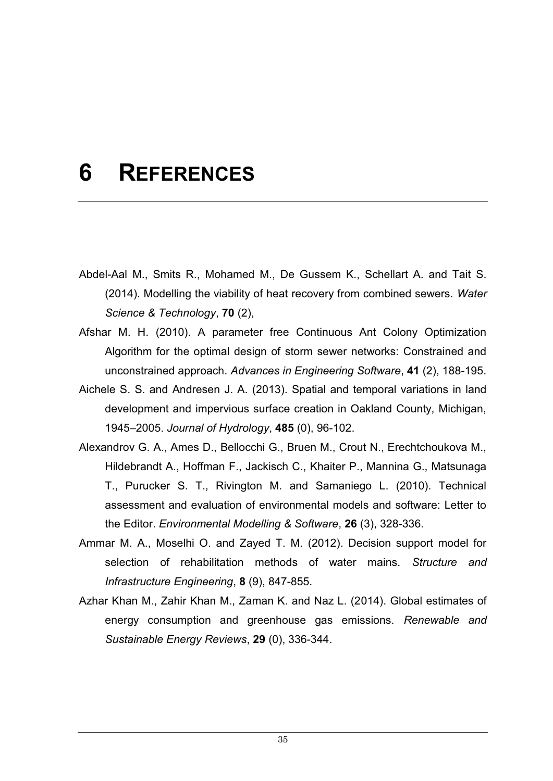### **6 REFERENCES**

- Abdel-Aal M., Smits R., Mohamed M., De Gussem K., Schellart A. and Tait S. (2014). Modelling the viability of heat recovery from combined sewers. *Water Science & Technology*, **70** (2),
- Afshar M. H. (2010). A parameter free Continuous Ant Colony Optimization Algorithm for the optimal design of storm sewer networks: Constrained and unconstrained approach. *Advances in Engineering Software*, **41** (2), 188-195.
- Aichele S. S. and Andresen J. A. (2013). Spatial and temporal variations in land development and impervious surface creation in Oakland County, Michigan, 1945–2005. *Journal of Hydrology*, **485** (0), 96-102.
- Alexandrov G. A., Ames D., Bellocchi G., Bruen M., Crout N., Erechtchoukova M., Hildebrandt A., Hoffman F., Jackisch C., Khaiter P., Mannina G., Matsunaga T., Purucker S. T., Rivington M. and Samaniego L. (2010). Technical assessment and evaluation of environmental models and software: Letter to the Editor. *Environmental Modelling & Software*, **26** (3), 328-336.
- Ammar M. A., Moselhi O. and Zayed T. M. (2012). Decision support model for selection of rehabilitation methods of water mains. *Structure and Infrastructure Engineering*, **8** (9), 847-855.
- Azhar Khan M., Zahir Khan M., Zaman K. and Naz L. (2014). Global estimates of energy consumption and greenhouse gas emissions. *Renewable and Sustainable Energy Reviews*, **29** (0), 336-344.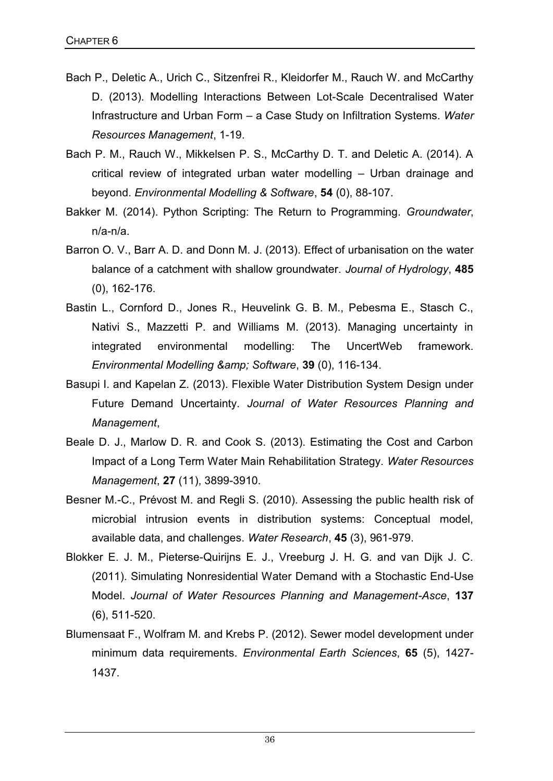- Bach P., Deletic A., Urich C., Sitzenfrei R., Kleidorfer M., Rauch W. and McCarthy D. (2013). Modelling Interactions Between Lot-Scale Decentralised Water Infrastructure and Urban Form – a Case Study on Infiltration Systems. *Water Resources Management*, 1-19.
- Bach P. M., Rauch W., Mikkelsen P. S., McCarthy D. T. and Deletic A. (2014). A critical review of integrated urban water modelling – Urban drainage and beyond. *Environmental Modelling & Software*, **54** (0), 88-107.
- Bakker M. (2014). Python Scripting: The Return to Programming. *Groundwater*, n/a-n/a.
- Barron O. V., Barr A. D. and Donn M. J. (2013). Effect of urbanisation on the water balance of a catchment with shallow groundwater. *Journal of Hydrology*, **485**  (0), 162-176.
- Bastin L., Cornford D., Jones R., Heuvelink G. B. M., Pebesma E., Stasch C., Nativi S., Mazzetti P. and Williams M. (2013). Managing uncertainty in integrated environmental modelling: The UncertWeb framework. *Environmental Modelling & Software*, **39** (0), 116-134.
- Basupi I. and Kapelan Z. (2013). Flexible Water Distribution System Design under Future Demand Uncertainty. *Journal of Water Resources Planning and Management*,
- Beale D. J., Marlow D. R. and Cook S. (2013). Estimating the Cost and Carbon Impact of a Long Term Water Main Rehabilitation Strategy. *Water Resources Management*, **27** (11), 3899-3910.
- Besner M.-C., Prévost M. and Regli S. (2010). Assessing the public health risk of microbial intrusion events in distribution systems: Conceptual model, available data, and challenges. *Water Research*, **45** (3), 961-979.
- Blokker E. J. M., Pieterse-Quirijns E. J., Vreeburg J. H. G. and van Dijk J. C. (2011). Simulating Nonresidential Water Demand with a Stochastic End-Use Model. *Journal of Water Resources Planning and Management-Asce*, **137**  (6), 511-520.
- Blumensaat F., Wolfram M. and Krebs P. (2012). Sewer model development under minimum data requirements. *Environmental Earth Sciences*, **65** (5), 1427- 1437.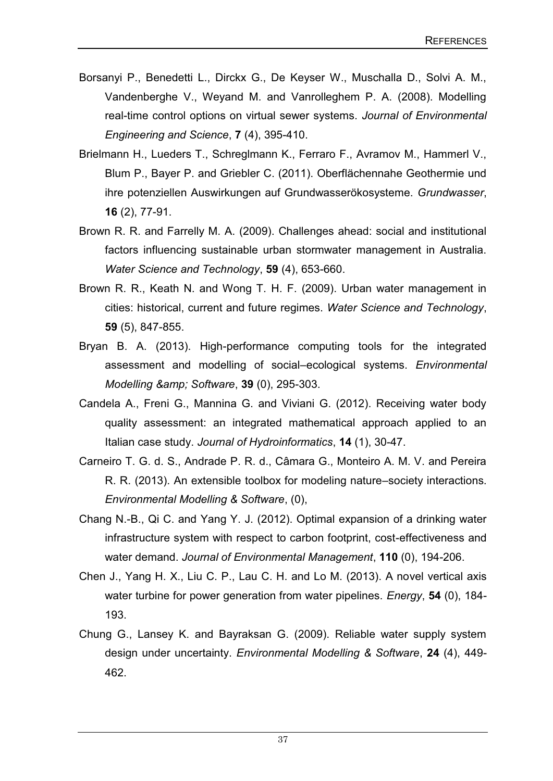- Borsanyi P., Benedetti L., Dirckx G., De Keyser W., Muschalla D., Solvi A. M., Vandenberghe V., Weyand M. and Vanrolleghem P. A. (2008). Modelling real-time control options on virtual sewer systems. *Journal of Environmental Engineering and Science*, **7** (4), 395-410.
- Brielmann H., Lueders T., Schreglmann K., Ferraro F., Avramov M., Hammerl V., Blum P., Bayer P. and Griebler C. (2011). Oberflächennahe Geothermie und ihre potenziellen Auswirkungen auf Grundwasserökosysteme. *Grundwasser*, **16** (2), 77-91.
- Brown R. R. and Farrelly M. A. (2009). Challenges ahead: social and institutional factors influencing sustainable urban stormwater management in Australia. *Water Science and Technology*, **59** (4), 653-660.
- Brown R. R., Keath N. and Wong T. H. F. (2009). Urban water management in cities: historical, current and future regimes. *Water Science and Technology*, **59** (5), 847-855.
- Bryan B. A. (2013). High-performance computing tools for the integrated assessment and modelling of social–ecological systems. *Environmental Modelling & Software*, **39** (0), 295-303.
- Candela A., Freni G., Mannina G. and Viviani G. (2012). Receiving water body quality assessment: an integrated mathematical approach applied to an Italian case study. *Journal of Hydroinformatics*, **14** (1), 30-47.
- Carneiro T. G. d. S., Andrade P. R. d., Câmara G., Monteiro A. M. V. and Pereira R. R. (2013). An extensible toolbox for modeling nature–society interactions. *Environmental Modelling & Software*, (0),
- Chang N.-B., Qi C. and Yang Y. J. (2012). Optimal expansion of a drinking water infrastructure system with respect to carbon footprint, cost-effectiveness and water demand. *Journal of Environmental Management*, **110** (0), 194-206.
- Chen J., Yang H. X., Liu C. P., Lau C. H. and Lo M. (2013). A novel vertical axis water turbine for power generation from water pipelines. *Energy*, **54** (0), 184- 193.
- Chung G., Lansey K. and Bayraksan G. (2009). Reliable water supply system design under uncertainty. *Environmental Modelling & Software*, **24** (4), 449- 462.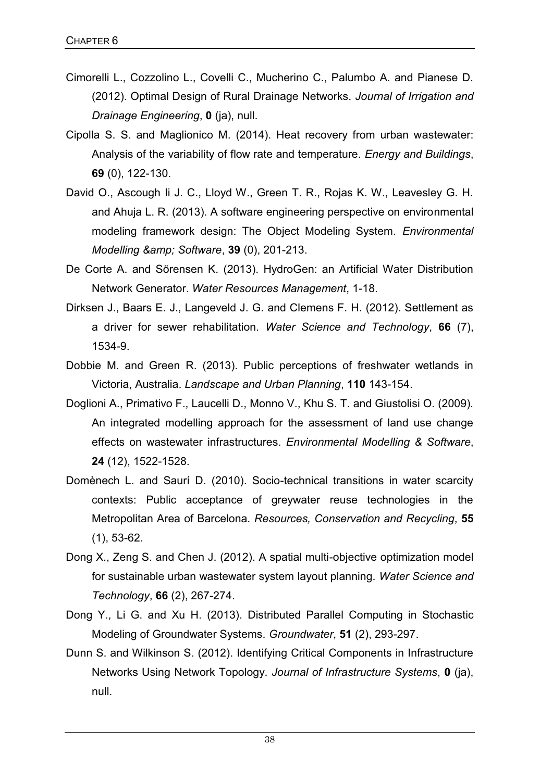- Cimorelli L., Cozzolino L., Covelli C., Mucherino C., Palumbo A. and Pianese D. (2012). Optimal Design of Rural Drainage Networks. *Journal of Irrigation and Drainage Engineering*, **0** (ja), null.
- Cipolla S. S. and Maglionico M. (2014). Heat recovery from urban wastewater: Analysis of the variability of flow rate and temperature. *Energy and Buildings*, **69** (0), 122-130.
- David O., Ascough Ii J. C., Lloyd W., Green T. R., Rojas K. W., Leavesley G. H. and Ahuja L. R. (2013). A software engineering perspective on environmental modeling framework design: The Object Modeling System. *Environmental Modelling & Software*, **39** (0), 201-213.
- De Corte A. and Sörensen K. (2013). HydroGen: an Artificial Water Distribution Network Generator. *Water Resources Management*, 1-18.
- Dirksen J., Baars E. J., Langeveld J. G. and Clemens F. H. (2012). Settlement as a driver for sewer rehabilitation. *Water Science and Technology*, **66** (7), 1534-9.
- Dobbie M. and Green R. (2013). Public perceptions of freshwater wetlands in Victoria, Australia. *Landscape and Urban Planning*, **110** 143-154.
- Doglioni A., Primativo F., Laucelli D., Monno V., Khu S. T. and Giustolisi O. (2009). An integrated modelling approach for the assessment of land use change effects on wastewater infrastructures. *Environmental Modelling & Software*, **24** (12), 1522-1528.
- Domènech L. and Saurí D. (2010). Socio-technical transitions in water scarcity contexts: Public acceptance of greywater reuse technologies in the Metropolitan Area of Barcelona. *Resources, Conservation and Recycling*, **55**  (1), 53-62.
- Dong X., Zeng S. and Chen J. (2012). A spatial multi-objective optimization model for sustainable urban wastewater system layout planning. *Water Science and Technology*, **66** (2), 267-274.
- Dong Y., Li G. and Xu H. (2013). Distributed Parallel Computing in Stochastic Modeling of Groundwater Systems. *Groundwater*, **51** (2), 293-297.
- Dunn S. and Wilkinson S. (2012). Identifying Critical Components in Infrastructure Networks Using Network Topology. *Journal of Infrastructure Systems*, **0** (ja), null.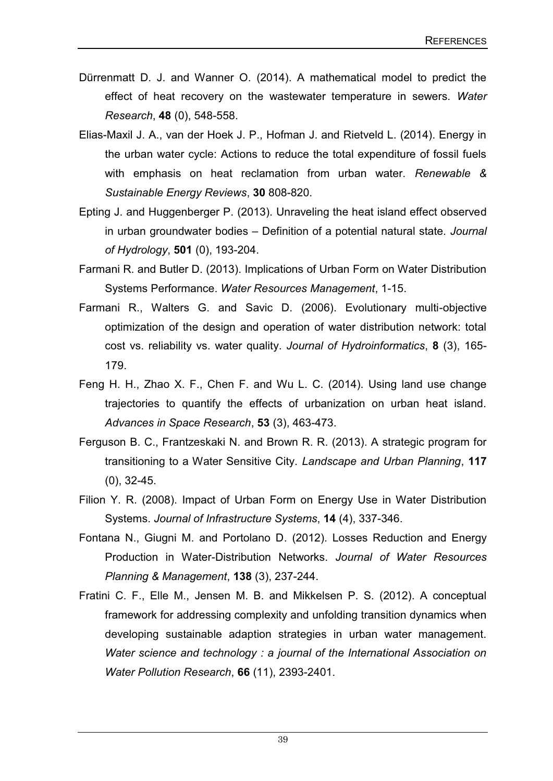- Dürrenmatt D. J. and Wanner O. (2014). A mathematical model to predict the effect of heat recovery on the wastewater temperature in sewers. *Water Research*, **48** (0), 548-558.
- Elias-Maxil J. A., van der Hoek J. P., Hofman J. and Rietveld L. (2014). Energy in the urban water cycle: Actions to reduce the total expenditure of fossil fuels with emphasis on heat reclamation from urban water. *Renewable & Sustainable Energy Reviews*, **30** 808-820.
- Epting J. and Huggenberger P. (2013). Unraveling the heat island effect observed in urban groundwater bodies – Definition of a potential natural state. *Journal of Hydrology*, **501** (0), 193-204.
- Farmani R. and Butler D. (2013). Implications of Urban Form on Water Distribution Systems Performance. *Water Resources Management*, 1-15.
- Farmani R., Walters G. and Savic D. (2006). Evolutionary multi-objective optimization of the design and operation of water distribution network: total cost vs. reliability vs. water quality. *Journal of Hydroinformatics*, **8** (3), 165- 179.
- Feng H. H., Zhao X. F., Chen F. and Wu L. C. (2014). Using land use change trajectories to quantify the effects of urbanization on urban heat island. *Advances in Space Research*, **53** (3), 463-473.
- Ferguson B. C., Frantzeskaki N. and Brown R. R. (2013). A strategic program for transitioning to a Water Sensitive City. *Landscape and Urban Planning*, **117**  (0), 32-45.
- Filion Y. R. (2008). Impact of Urban Form on Energy Use in Water Distribution Systems. *Journal of Infrastructure Systems*, **14** (4), 337-346.
- Fontana N., Giugni M. and Portolano D. (2012). Losses Reduction and Energy Production in Water-Distribution Networks. *Journal of Water Resources Planning & Management*, **138** (3), 237-244.
- Fratini C. F., Elle M., Jensen M. B. and Mikkelsen P. S. (2012). A conceptual framework for addressing complexity and unfolding transition dynamics when developing sustainable adaption strategies in urban water management. *Water science and technology : a journal of the International Association on Water Pollution Research*, **66** (11), 2393-2401.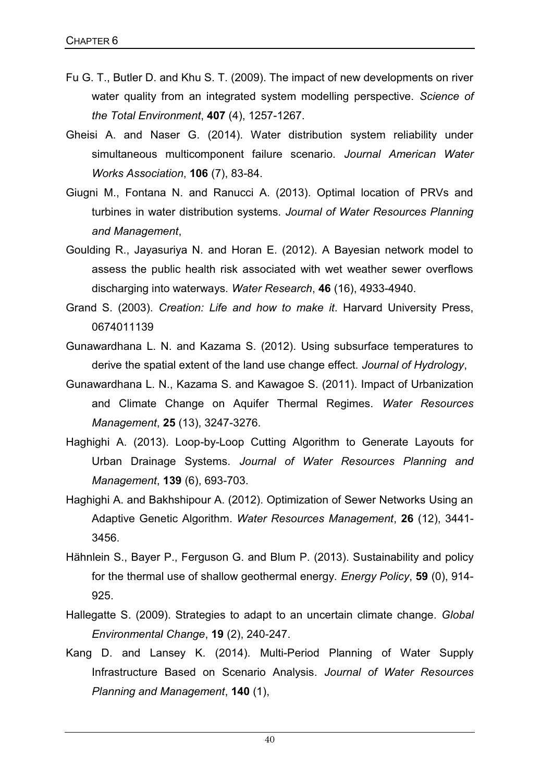- Fu G. T., Butler D. and Khu S. T. (2009). The impact of new developments on river water quality from an integrated system modelling perspective. *Science of the Total Environment*, **407** (4), 1257-1267.
- Gheisi A. and Naser G. (2014). Water distribution system reliability under simultaneous multicomponent failure scenario. *Journal American Water Works Association*, **106** (7), 83-84.
- Giugni M., Fontana N. and Ranucci A. (2013). Optimal location of PRVs and turbines in water distribution systems. *Journal of Water Resources Planning and Management*,
- Goulding R., Jayasuriya N. and Horan E. (2012). A Bayesian network model to assess the public health risk associated with wet weather sewer overflows discharging into waterways. *Water Research*, **46** (16), 4933-4940.
- Grand S. (2003). *Creation: Life and how to make it*. Harvard University Press, 0674011139
- Gunawardhana L. N. and Kazama S. (2012). Using subsurface temperatures to derive the spatial extent of the land use change effect. *Journal of Hydrology*,
- Gunawardhana L. N., Kazama S. and Kawagoe S. (2011). Impact of Urbanization and Climate Change on Aquifer Thermal Regimes. *Water Resources Management*, **25** (13), 3247-3276.
- Haghighi A. (2013). Loop-by-Loop Cutting Algorithm to Generate Layouts for Urban Drainage Systems. *Journal of Water Resources Planning and Management*, **139** (6), 693-703.
- Haghighi A. and Bakhshipour A. (2012). Optimization of Sewer Networks Using an Adaptive Genetic Algorithm. *Water Resources Management*, **26** (12), 3441- 3456.
- Hähnlein S., Bayer P., Ferguson G. and Blum P. (2013). Sustainability and policy for the thermal use of shallow geothermal energy. *Energy Policy*, **59** (0), 914- 925.
- Hallegatte S. (2009). Strategies to adapt to an uncertain climate change. *Global Environmental Change*, **19** (2), 240-247.
- Kang D. and Lansey K. (2014). Multi-Period Planning of Water Supply Infrastructure Based on Scenario Analysis. *Journal of Water Resources Planning and Management*, **140** (1),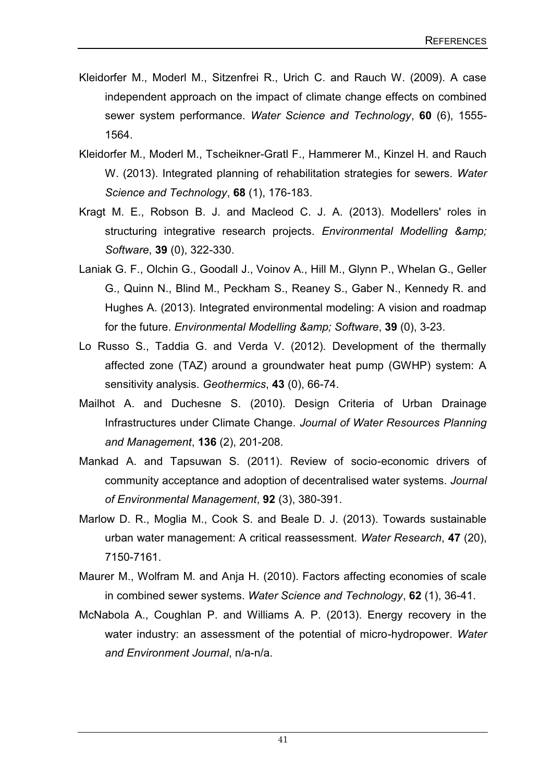- Kleidorfer M., Moderl M., Sitzenfrei R., Urich C. and Rauch W. (2009). A case independent approach on the impact of climate change effects on combined sewer system performance. *Water Science and Technology*, **60** (6), 1555- 1564.
- Kleidorfer M., Moderl M., Tscheikner-Gratl F., Hammerer M., Kinzel H. and Rauch W. (2013). Integrated planning of rehabilitation strategies for sewers. *Water Science and Technology*, **68** (1), 176-183.
- Kragt M. E., Robson B. J. and Macleod C. J. A. (2013). Modellers' roles in structuring integrative research projects. *Environmental Modelling & amp*; *Software*, **39** (0), 322-330.
- Laniak G. F., Olchin G., Goodall J., Voinov A., Hill M., Glynn P., Whelan G., Geller G., Quinn N., Blind M., Peckham S., Reaney S., Gaber N., Kennedy R. and Hughes A. (2013). Integrated environmental modeling: A vision and roadmap for the future. *Environmental Modelling & amp*; *Software*, 39 (0), 3-23.
- Lo Russo S., Taddia G. and Verda V. (2012). Development of the thermally affected zone (TAZ) around a groundwater heat pump (GWHP) system: A sensitivity analysis. *Geothermics*, **43** (0), 66-74.
- Mailhot A. and Duchesne S. (2010). Design Criteria of Urban Drainage Infrastructures under Climate Change. *Journal of Water Resources Planning and Management*, **136** (2), 201-208.
- Mankad A. and Tapsuwan S. (2011). Review of socio-economic drivers of community acceptance and adoption of decentralised water systems. *Journal of Environmental Management*, **92** (3), 380-391.
- Marlow D. R., Moglia M., Cook S. and Beale D. J. (2013). Towards sustainable urban water management: A critical reassessment. *Water Research*, **47** (20), 7150-7161.
- Maurer M., Wolfram M. and Anja H. (2010). Factors affecting economies of scale in combined sewer systems. *Water Science and Technology*, **62** (1), 36-41.
- McNabola A., Coughlan P. and Williams A. P. (2013). Energy recovery in the water industry: an assessment of the potential of micro-hydropower. *Water and Environment Journal*, n/a-n/a.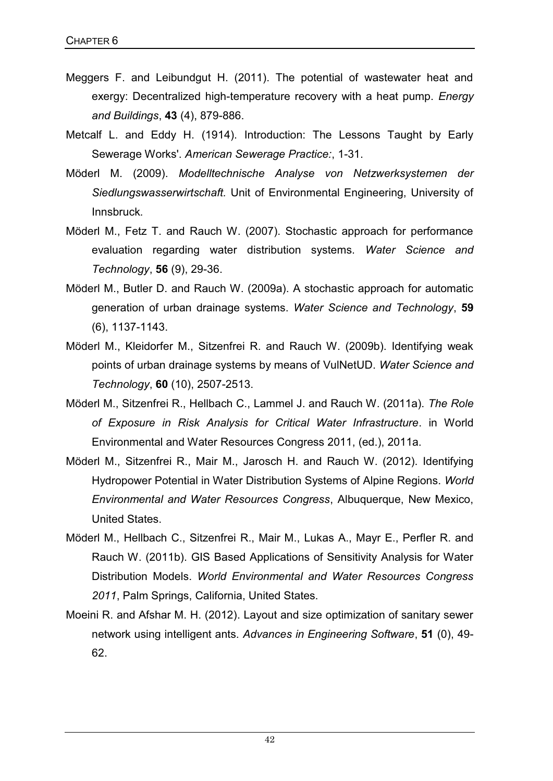- Meggers F. and Leibundgut H. (2011). The potential of wastewater heat and exergy: Decentralized high-temperature recovery with a heat pump. *Energy and Buildings*, **43** (4), 879-886.
- Metcalf L. and Eddy H. (1914). Introduction: The Lessons Taught by Early Sewerage Works'. *American Sewerage Practice:*, 1-31.
- Möderl M. (2009). *Modelltechnische Analyse von Netzwerksystemen der Siedlungswasserwirtschaft.* Unit of Environmental Engineering, University of Innsbruck.
- Möderl M., Fetz T. and Rauch W. (2007). Stochastic approach for performance evaluation regarding water distribution systems. *Water Science and Technology*, **56** (9), 29-36.
- Möderl M., Butler D. and Rauch W. (2009a). A stochastic approach for automatic generation of urban drainage systems. *Water Science and Technology*, **59**  (6), 1137-1143.
- Möderl M., Kleidorfer M., Sitzenfrei R. and Rauch W. (2009b). Identifying weak points of urban drainage systems by means of VulNetUD. *Water Science and Technology*, **60** (10), 2507-2513.
- Möderl M., Sitzenfrei R., Hellbach C., Lammel J. and Rauch W. (2011a). *The Role of Exposure in Risk Analysis for Critical Water Infrastructure*. in World Environmental and Water Resources Congress 2011, (ed.), 2011a.
- Möderl M., Sitzenfrei R., Mair M., Jarosch H. and Rauch W. (2012). Identifying Hydropower Potential in Water Distribution Systems of Alpine Regions. *World Environmental and Water Resources Congress*, Albuquerque, New Mexico, United States.
- Möderl M., Hellbach C., Sitzenfrei R., Mair M., Lukas A., Mayr E., Perfler R. and Rauch W. (2011b). GIS Based Applications of Sensitivity Analysis for Water Distribution Models. *World Environmental and Water Resources Congress 2011*, Palm Springs, California, United States.
- Moeini R. and Afshar M. H. (2012). Layout and size optimization of sanitary sewer network using intelligent ants. *Advances in Engineering Software*, **51** (0), 49- 62.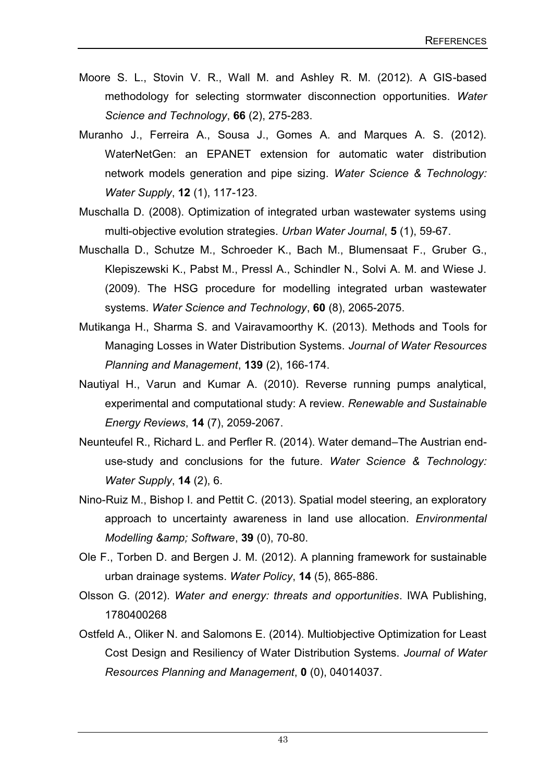- Moore S. L., Stovin V. R., Wall M. and Ashley R. M. (2012). A GIS-based methodology for selecting stormwater disconnection opportunities. *Water Science and Technology*, **66** (2), 275-283.
- Muranho J., Ferreira A., Sousa J., Gomes A. and Marques A. S. (2012). WaterNetGen: an EPANET extension for automatic water distribution network models generation and pipe sizing. *Water Science & Technology: Water Supply*, **12** (1), 117-123.
- Muschalla D. (2008). Optimization of integrated urban wastewater systems using multi-objective evolution strategies. *Urban Water Journal*, **5** (1), 59-67.
- Muschalla D., Schutze M., Schroeder K., Bach M., Blumensaat F., Gruber G., Klepiszewski K., Pabst M., Pressl A., Schindler N., Solvi A. M. and Wiese J. (2009). The HSG procedure for modelling integrated urban wastewater systems. *Water Science and Technology*, **60** (8), 2065-2075.
- Mutikanga H., Sharma S. and Vairavamoorthy K. (2013). Methods and Tools for Managing Losses in Water Distribution Systems. *Journal of Water Resources Planning and Management*, **139** (2), 166-174.
- Nautiyal H., Varun and Kumar A. (2010). Reverse running pumps analytical, experimental and computational study: A review. *Renewable and Sustainable Energy Reviews*, **14** (7), 2059-2067.
- Neunteufel R., Richard L. and Perfler R. (2014). Water demand–The Austrian enduse-study and conclusions for the future. *Water Science & Technology: Water Supply*, **14** (2), 6.
- Nino-Ruiz M., Bishop I. and Pettit C. (2013). Spatial model steering, an exploratory approach to uncertainty awareness in land use allocation. *Environmental Modelling & Software*, **39** (0), 70-80.
- Ole F., Torben D. and Bergen J. M. (2012). A planning framework for sustainable urban drainage systems. *Water Policy*, **14** (5), 865-886.
- Olsson G. (2012). *Water and energy: threats and opportunities*. IWA Publishing, 1780400268
- Ostfeld A., Oliker N. and Salomons E. (2014). Multiobjective Optimization for Least Cost Design and Resiliency of Water Distribution Systems. *Journal of Water Resources Planning and Management*, **0** (0), 04014037.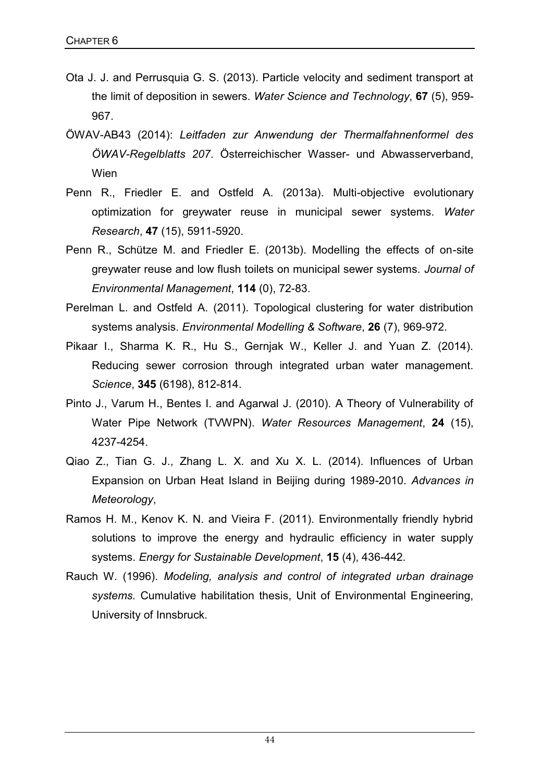- Ota J. J. and Perrusquia G. S. (2013). Particle velocity and sediment transport at the limit of deposition in sewers. *Water Science and Technology*, **67** (5), 959- 967.
- ÖWAV-AB43 (2014): *Leitfaden zur Anwendung der Thermalfahnenformel des ÖWAV-Regelblatts 207*. Österreichischer Wasser- und Abwasserverband, Wien
- Penn R., Friedler E. and Ostfeld A. (2013a). Multi-objective evolutionary optimization for greywater reuse in municipal sewer systems. *Water Research*, **47** (15), 5911-5920.
- Penn R., Schütze M. and Friedler E. (2013b). Modelling the effects of on-site greywater reuse and low flush toilets on municipal sewer systems. *Journal of Environmental Management*, **114** (0), 72-83.
- Perelman L. and Ostfeld A. (2011). Topological clustering for water distribution systems analysis. *Environmental Modelling & Software*, **26** (7), 969-972.
- Pikaar I., Sharma K. R., Hu S., Gernjak W., Keller J. and Yuan Z. (2014). Reducing sewer corrosion through integrated urban water management. *Science*, **345** (6198), 812-814.
- Pinto J., Varum H., Bentes I. and Agarwal J. (2010). A Theory of Vulnerability of Water Pipe Network (TVWPN). *Water Resources Management*, **24** (15), 4237-4254.
- Qiao Z., Tian G. J., Zhang L. X. and Xu X. L. (2014). Influences of Urban Expansion on Urban Heat Island in Beijing during 1989-2010. *Advances in Meteorology*,
- Ramos H. M., Kenov K. N. and Vieira F. (2011). Environmentally friendly hybrid solutions to improve the energy and hydraulic efficiency in water supply systems. *Energy for Sustainable Development*, **15** (4), 436-442.
- Rauch W. (1996). *Modeling, analysis and control of integrated urban drainage systems.* Cumulative habilitation thesis, Unit of Environmental Engineering, University of Innsbruck.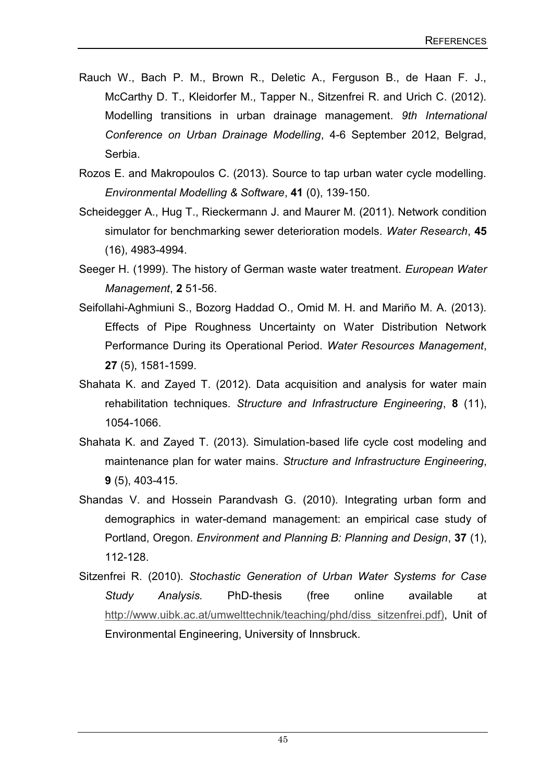- Rauch W., Bach P. M., Brown R., Deletic A., Ferguson B., de Haan F. J., McCarthy D. T., Kleidorfer M., Tapper N., Sitzenfrei R. and Urich C. (2012). Modelling transitions in urban drainage management. *9th International Conference on Urban Drainage Modelling*, 4-6 September 2012, Belgrad, Serbia.
- Rozos E. and Makropoulos C. (2013). Source to tap urban water cycle modelling. *Environmental Modelling & Software*, **41** (0), 139-150.
- Scheidegger A., Hug T., Rieckermann J. and Maurer M. (2011). Network condition simulator for benchmarking sewer deterioration models. *Water Research*, **45** (16), 4983-4994.
- Seeger H. (1999). The history of German waste water treatment. *European Water Management*, **2** 51-56.
- Seifollahi-Aghmiuni S., Bozorg Haddad O., Omid M. H. and Mariño M. A. (2013). Effects of Pipe Roughness Uncertainty on Water Distribution Network Performance During its Operational Period. *Water Resources Management*, **27** (5), 1581-1599.
- Shahata K. and Zayed T. (2012). Data acquisition and analysis for water main rehabilitation techniques. *Structure and Infrastructure Engineering*, **8** (11), 1054-1066.
- Shahata K. and Zayed T. (2013). Simulation-based life cycle cost modeling and maintenance plan for water mains. *Structure and Infrastructure Engineering*, **9** (5), 403-415.
- Shandas V. and Hossein Parandvash G. (2010). Integrating urban form and demographics in water-demand management: an empirical case study of Portland, Oregon. *Environment and Planning B: Planning and Design*, **37** (1), 112-128.
- Sitzenfrei R. (2010). *Stochastic Generation of Urban Water Systems for Case Study Analysis.* PhD-thesis (free online available at http://www.uibk.ac.at/umwelttechnik/teaching/phd/diss\_sitzenfrei.pdf), Unit of Environmental Engineering, University of Innsbruck.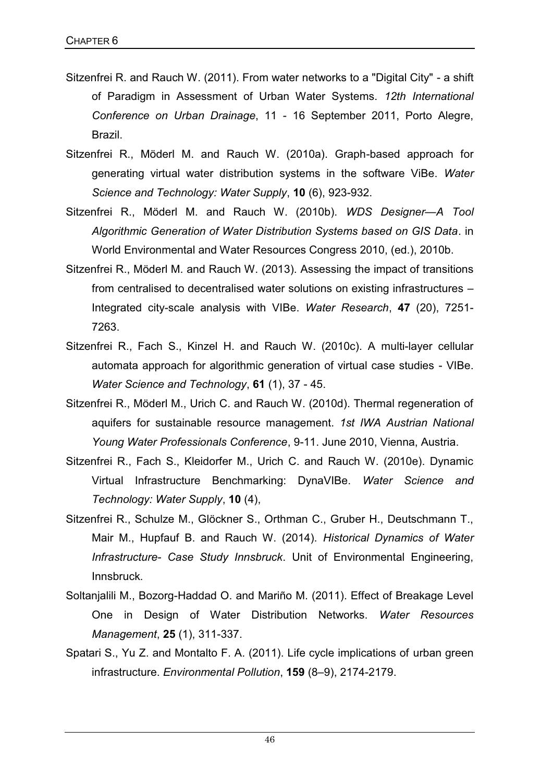- Sitzenfrei R. and Rauch W. (2011). From water networks to a "Digital City" a shift of Paradigm in Assessment of Urban Water Systems. *12th International Conference on Urban Drainage*, 11 - 16 September 2011, Porto Alegre, Brazil.
- Sitzenfrei R., Möderl M. and Rauch W. (2010a). Graph-based approach for generating virtual water distribution systems in the software ViBe. *Water Science and Technology: Water Supply*, **10** (6), 923-932.
- Sitzenfrei R., Möderl M. and Rauch W. (2010b). *WDS Designer—A Tool Algorithmic Generation of Water Distribution Systems based on GIS Data*. in World Environmental and Water Resources Congress 2010, (ed.), 2010b.
- Sitzenfrei R., Möderl M. and Rauch W. (2013). Assessing the impact of transitions from centralised to decentralised water solutions on existing infrastructures – Integrated city-scale analysis with VIBe. *Water Research*, **47** (20), 7251- 7263.
- Sitzenfrei R., Fach S., Kinzel H. and Rauch W. (2010c). A multi-layer cellular automata approach for algorithmic generation of virtual case studies - VIBe. *Water Science and Technology*, **61** (1), 37 - 45.
- Sitzenfrei R., Möderl M., Urich C. and Rauch W. (2010d). Thermal regeneration of aquifers for sustainable resource management. *1st IWA Austrian National Young Water Professionals Conference*, 9-11. June 2010, Vienna, Austria.
- Sitzenfrei R., Fach S., Kleidorfer M., Urich C. and Rauch W. (2010e). Dynamic Virtual Infrastructure Benchmarking: DynaVIBe. *Water Science and Technology: Water Supply*, **10** (4),
- Sitzenfrei R., Schulze M., Glöckner S., Orthman C., Gruber H., Deutschmann T., Mair M., Hupfauf B. and Rauch W. (2014). *Historical Dynamics of Water Infrastructure- Case Study Innsbruck*. Unit of Environmental Engineering, Innsbruck.
- Soltanjalili M., Bozorg-Haddad O. and Mariño M. (2011). Effect of Breakage Level One in Design of Water Distribution Networks. *Water Resources Management*, **25** (1), 311-337.
- Spatari S., Yu Z. and Montalto F. A. (2011). Life cycle implications of urban green infrastructure. *Environmental Pollution*, **159** (8–9), 2174-2179.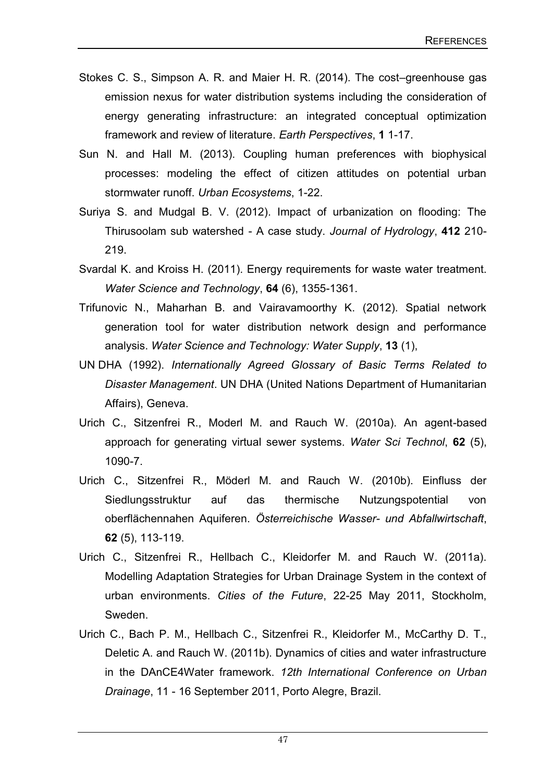- Stokes C. S., Simpson A. R. and Maier H. R. (2014). The cost–greenhouse gas emission nexus for water distribution systems including the consideration of energy generating infrastructure: an integrated conceptual optimization framework and review of literature. *Earth Perspectives*, **1** 1-17.
- Sun N. and Hall M. (2013). Coupling human preferences with biophysical processes: modeling the effect of citizen attitudes on potential urban stormwater runoff. *Urban Ecosystems*, 1-22.
- Suriya S. and Mudgal B. V. (2012). Impact of urbanization on flooding: The Thirusoolam sub watershed - A case study. *Journal of Hydrology*, **412** 210- 219.
- Svardal K. and Kroiss H. (2011). Energy requirements for waste water treatment. *Water Science and Technology*, **64** (6), 1355-1361.
- Trifunovic N., Maharhan B. and Vairavamoorthy K. (2012). Spatial network generation tool for water distribution network design and performance analysis. *Water Science and Technology: Water Supply*, **13** (1),
- UN DHA (1992). *Internationally Agreed Glossary of Basic Terms Related to Disaster Management*. UN DHA (United Nations Department of Humanitarian Affairs), Geneva.
- Urich C., Sitzenfrei R., Moderl M. and Rauch W. (2010a). An agent-based approach for generating virtual sewer systems. *Water Sci Technol*, **62** (5), 1090-7.
- Urich C., Sitzenfrei R., Möderl M. and Rauch W. (2010b). Einfluss der Siedlungsstruktur auf das thermische Nutzungspotential von oberflächennahen Aquiferen. *Österreichische Wasser- und Abfallwirtschaft*, **62** (5), 113-119.
- Urich C., Sitzenfrei R., Hellbach C., Kleidorfer M. and Rauch W. (2011a). Modelling Adaptation Strategies for Urban Drainage System in the context of urban environments. *Cities of the Future*, 22-25 May 2011, Stockholm, Sweden.
- Urich C., Bach P. M., Hellbach C., Sitzenfrei R., Kleidorfer M., McCarthy D. T., Deletic A. and Rauch W. (2011b). Dynamics of cities and water infrastructure in the DAnCE4Water framework. *12th International Conference on Urban Drainage*, 11 - 16 September 2011, Porto Alegre, Brazil.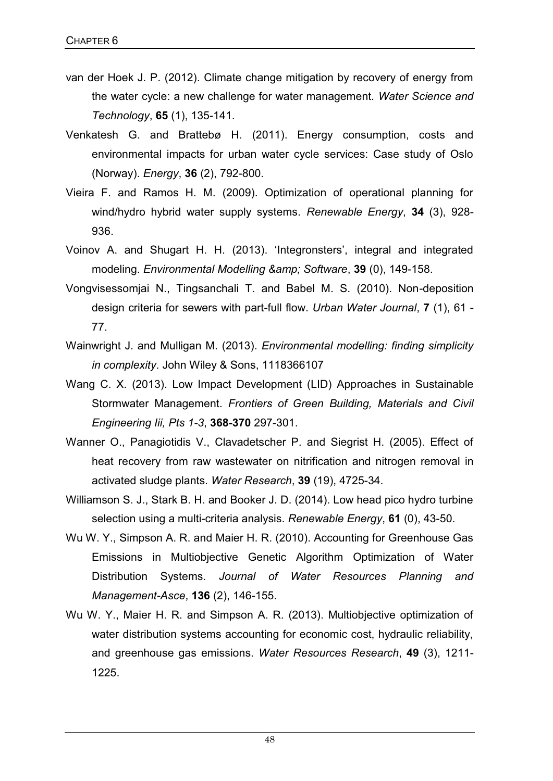- van der Hoek J. P. (2012). Climate change mitigation by recovery of energy from the water cycle: a new challenge for water management. *Water Science and Technology*, **65** (1), 135-141.
- Venkatesh G. and Brattebø H. (2011). Energy consumption, costs and environmental impacts for urban water cycle services: Case study of Oslo (Norway). *Energy*, **36** (2), 792-800.
- Vieira F. and Ramos H. M. (2009). Optimization of operational planning for wind/hydro hybrid water supply systems. *Renewable Energy*, **34** (3), 928- 936.
- Voinov A. and Shugart H. H. (2013). 'Integronsters', integral and integrated modeling. *Environmental Modelling & amp*; Software, 39 (0), 149-158.
- Vongvisessomjai N., Tingsanchali T. and Babel M. S. (2010). Non-deposition design criteria for sewers with part-full flow. *Urban Water Journal*, **7** (1), 61 - 77.
- Wainwright J. and Mulligan M. (2013). *Environmental modelling: finding simplicity in complexity*. John Wiley & Sons, 1118366107
- Wang C. X. (2013). Low Impact Development (LID) Approaches in Sustainable Stormwater Management. *Frontiers of Green Building, Materials and Civil Engineering Iii, Pts 1-3*, **368-370** 297-301.
- Wanner O., Panagiotidis V., Clavadetscher P. and Siegrist H. (2005). Effect of heat recovery from raw wastewater on nitrification and nitrogen removal in activated sludge plants. *Water Research*, **39** (19), 4725-34.
- Williamson S. J., Stark B. H. and Booker J. D. (2014). Low head pico hydro turbine selection using a multi-criteria analysis. *Renewable Energy*, **61** (0), 43-50.
- Wu W. Y., Simpson A. R. and Maier H. R. (2010). Accounting for Greenhouse Gas Emissions in Multiobjective Genetic Algorithm Optimization of Water Distribution Systems. *Journal of Water Resources Planning and Management-Asce*, **136** (2), 146-155.
- Wu W. Y., Maier H. R. and Simpson A. R. (2013). Multiobjective optimization of water distribution systems accounting for economic cost, hydraulic reliability, and greenhouse gas emissions. *Water Resources Research*, **49** (3), 1211- 1225.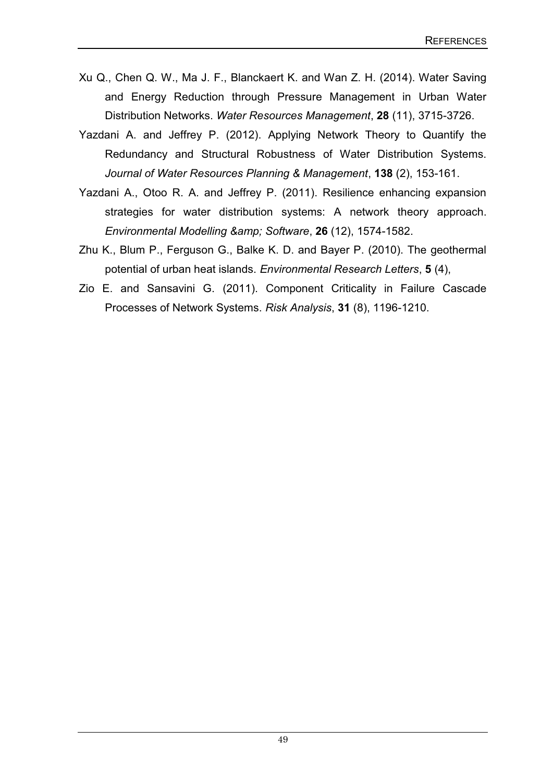- Xu Q., Chen Q. W., Ma J. F., Blanckaert K. and Wan Z. H. (2014). Water Saving and Energy Reduction through Pressure Management in Urban Water Distribution Networks. *Water Resources Management*, **28** (11), 3715-3726.
- Yazdani A. and Jeffrey P. (2012). Applying Network Theory to Quantify the Redundancy and Structural Robustness of Water Distribution Systems. *Journal of Water Resources Planning & Management*, **138** (2), 153-161.
- Yazdani A., Otoo R. A. and Jeffrey P. (2011). Resilience enhancing expansion strategies for water distribution systems: A network theory approach. *Environmental Modelling & Software*, **26** (12), 1574-1582.
- Zhu K., Blum P., Ferguson G., Balke K. D. and Bayer P. (2010). The geothermal potential of urban heat islands. *Environmental Research Letters*, **5** (4),
- Zio E. and Sansavini G. (2011). Component Criticality in Failure Cascade Processes of Network Systems. *Risk Analysis*, **31** (8), 1196-1210.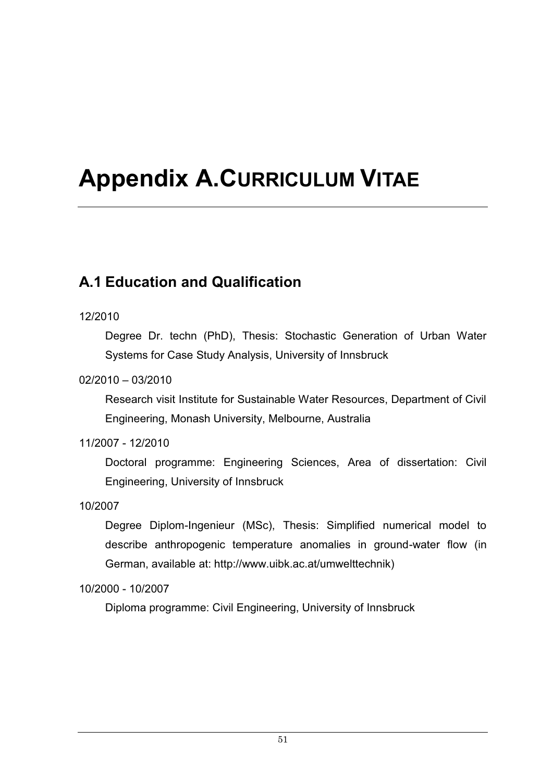# **Appendix A.CURRICULUM VITAE**

#### **A.1 Education and Qualification**

#### 12/2010

Degree Dr. techn (PhD), Thesis: Stochastic Generation of Urban Water Systems for Case Study Analysis, University of Innsbruck

#### 02/2010 – 03/2010

Research visit Institute for Sustainable Water Resources, Department of Civil Engineering, Monash University, Melbourne, Australia

#### 11/2007 - 12/2010

Doctoral programme: Engineering Sciences, Area of dissertation: Civil Engineering, University of Innsbruck

#### 10/2007

Degree Diplom-Ingenieur (MSc), Thesis: Simplified numerical model to describe anthropogenic temperature anomalies in ground-water flow (in German, available at: http://www.uibk.ac.at/umwelttechnik)

10/2000 - 10/2007

Diploma programme: Civil Engineering, University of Innsbruck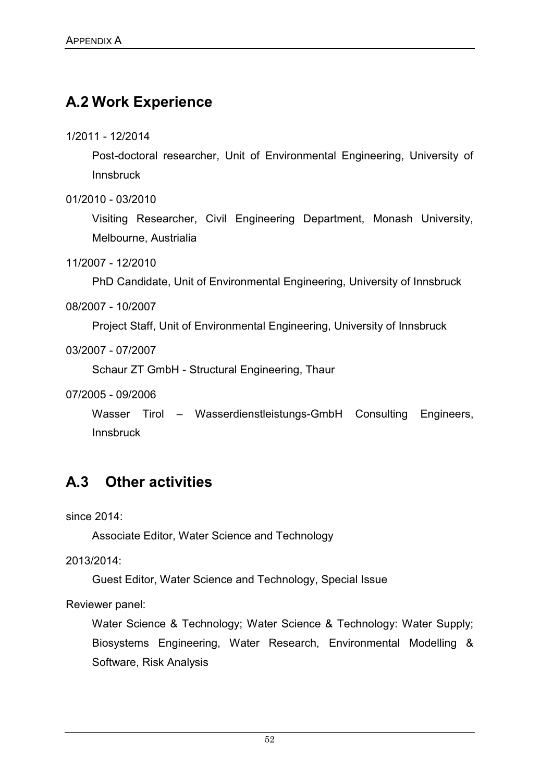#### **A.2 Work Experience**

1/2011 - 12/2014

Post-doctoral researcher, Unit of Environmental Engineering, University of **Innsbruck** 

01/2010 - 03/2010

Visiting Researcher, Civil Engineering Department, Monash University, Melbourne, Austrialia

11/2007 - 12/2010

PhD Candidate, Unit of Environmental Engineering, University of Innsbruck

08/2007 - 10/2007

Project Staff, Unit of Environmental Engineering, University of Innsbruck

03/2007 - 07/2007

Schaur ZT GmbH - Structural Engineering, Thaur

07/2005 - 09/2006

Wasser Tirol – Wasserdienstleistungs-GmbH Consulting Engineers, Innsbruck

#### **A.3 Other activities**

since 2014:

Associate Editor, Water Science and Technology

2013/2014:

Guest Editor, Water Science and Technology, Special Issue

Reviewer panel:

Water Science & Technology; Water Science & Technology: Water Supply; Biosystems Engineering, Water Research, Environmental Modelling & Software, Risk Analysis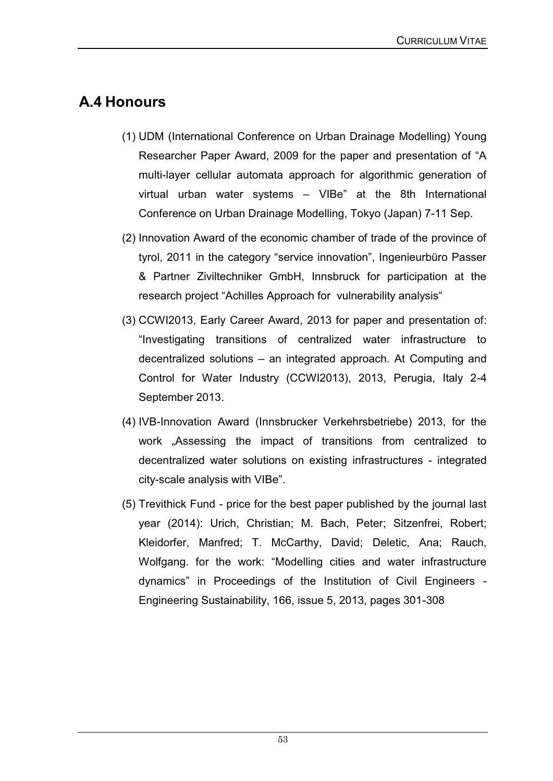#### **A.4 Honours**

- (1) UDM (International Conference on Urban Drainage Modelling) Young Researcher Paper Award, 2009 for the paper and presentation of "A multi-layer cellular automata approach for algorithmic generation of virtual urban water systems – VIBe" at the 8th International Conference on Urban Drainage Modelling, Tokyo (Japan) 7-11 Sep.
- (2) Innovation Award of the economic chamber of trade of the province of tyrol, 2011 in the category "service innovation", Ingenieurbüro Passer & Partner Ziviltechniker GmbH, Innsbruck for participation at the research project "Achilles Approach for vulnerability analysis"
- (3) CCWI2013, Early Career Award, 2013 for paper and presentation of: "Investigating transitions of centralized water infrastructure to decentralized solutions – an integrated approach. At Computing and Control for Water Industry (CCWI2013), 2013, Perugia, Italy 2-4 September 2013.
- (4) IVB-Innovation Award (Innsbrucker Verkehrsbetriebe) 2013, for the work "Assessing the impact of transitions from centralized to decentralized water solutions on existing infrastructures - integrated city-scale analysis with VIBe".
- (5) Trevithick Fund price for the best paper published by the journal last year (2014): Urich, Christian; M. Bach, Peter; Sitzenfrei, Robert; Kleidorfer, Manfred; T. McCarthy, David; Deletic, Ana; Rauch, Wolfgang. for the work: "Modelling cities and water infrastructure dynamics" in Proceedings of the Institution of Civil Engineers - Engineering Sustainability, 166, issue 5, 2013, pages 301-308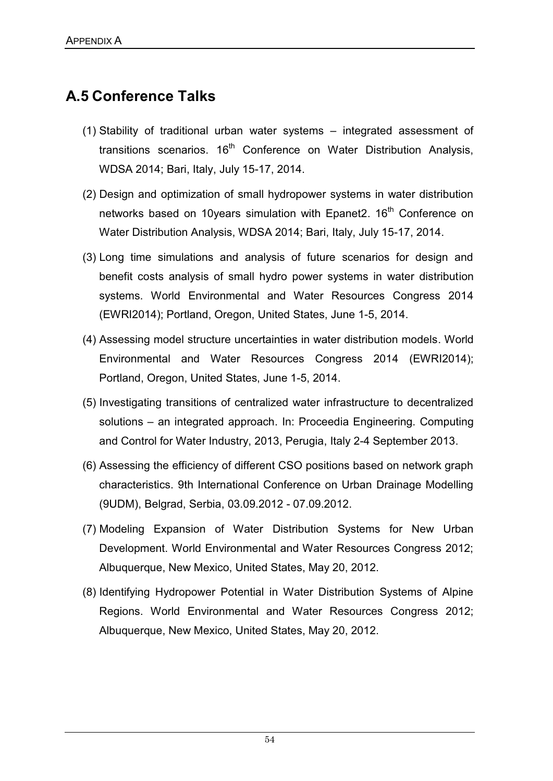#### **A.5 Conference Talks**

- (1) Stability of traditional urban water systems integrated assessment of transitions scenarios. 16<sup>th</sup> Conference on Water Distribution Analysis, WDSA 2014; Bari, Italy, July 15-17, 2014.
- (2) Design and optimization of small hydropower systems in water distribution networks based on 10years simulation with Epanet2. 16<sup>th</sup> Conference on Water Distribution Analysis, WDSA 2014; Bari, Italy, July 15-17, 2014.
- (3) Long time simulations and analysis of future scenarios for design and benefit costs analysis of small hydro power systems in water distribution systems. World Environmental and Water Resources Congress 2014 (EWRI2014); Portland, Oregon, United States, June 1-5, 2014.
- (4) Assessing model structure uncertainties in water distribution models. World Environmental and Water Resources Congress 2014 (EWRI2014); Portland, Oregon, United States, June 1-5, 2014.
- (5) Investigating transitions of centralized water infrastructure to decentralized solutions – an integrated approach. In: Proceedia Engineering. Computing and Control for Water Industry, 2013, Perugia, Italy 2-4 September 2013.
- (6) Assessing the efficiency of different CSO positions based on network graph characteristics. 9th International Conference on Urban Drainage Modelling (9UDM), Belgrad, Serbia, 03.09.2012 - 07.09.2012.
- (7) Modeling Expansion of Water Distribution Systems for New Urban Development. World Environmental and Water Resources Congress 2012; Albuquerque, New Mexico, United States, May 20, 2012.
- (8) Identifying Hydropower Potential in Water Distribution Systems of Alpine Regions. World Environmental and Water Resources Congress 2012; Albuquerque, New Mexico, United States, May 20, 2012.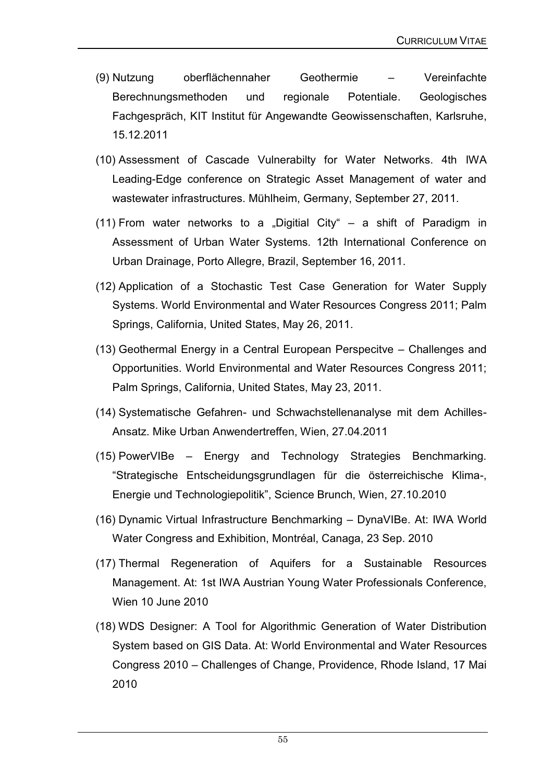- (9) Nutzung oberflächennaher Geothermie Vereinfachte Berechnungsmethoden und regionale Potentiale. Geologisches Fachgespräch, KIT Institut für Angewandte Geowissenschaften, Karlsruhe, 15.12.2011
- (10) Assessment of Cascade Vulnerabilty for Water Networks. 4th IWA Leading-Edge conference on Strategic Asset Management of water and wastewater infrastructures. Mühlheim, Germany, September 27, 2011.
- (11) From water networks to a "Digitial City" a shift of Paradigm in Assessment of Urban Water Systems. 12th International Conference on Urban Drainage, Porto Allegre, Brazil, September 16, 2011.
- (12) Application of a Stochastic Test Case Generation for Water Supply Systems. World Environmental and Water Resources Congress 2011; Palm Springs, California, United States, May 26, 2011.
- (13) Geothermal Energy in a Central European Perspecitve Challenges and Opportunities. World Environmental and Water Resources Congress 2011; Palm Springs, California, United States, May 23, 2011.
- (14) Systematische Gefahren- und Schwachstellenanalyse mit dem Achilles-Ansatz. Mike Urban Anwendertreffen, Wien, 27.04.2011
- (15) PowerVIBe Energy and Technology Strategies Benchmarking. "Strategische Entscheidungsgrundlagen für die österreichische Klima-, Energie und Technologiepolitik", Science Brunch, Wien, 27.10.2010
- (16) Dynamic Virtual Infrastructure Benchmarking DynaVIBe. At: IWA World Water Congress and Exhibition, Montréal, Canaga, 23 Sep. 2010
- (17) Thermal Regeneration of Aquifers for a Sustainable Resources Management. At: 1st IWA Austrian Young Water Professionals Conference, Wien 10 June 2010
- (18) WDS Designer: A Tool for Algorithmic Generation of Water Distribution System based on GIS Data. At: World Environmental and Water Resources Congress 2010 – Challenges of Change, Providence, Rhode Island, 17 Mai 2010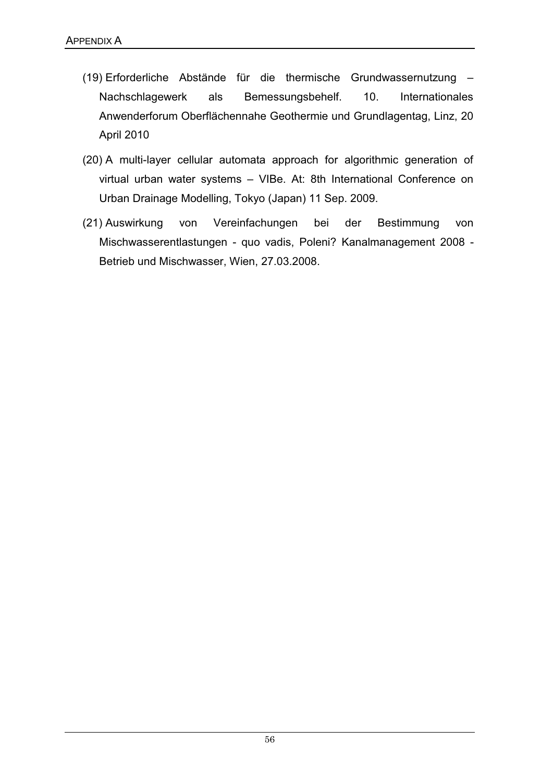- (19) Erforderliche Abstände für die thermische Grundwassernutzung Nachschlagewerk als Bemessungsbehelf. 10. Internationales Anwenderforum Oberflächennahe Geothermie und Grundlagentag, Linz, 20 April 2010
- (20) A multi-layer cellular automata approach for algorithmic generation of virtual urban water systems – VIBe. At: 8th International Conference on Urban Drainage Modelling, Tokyo (Japan) 11 Sep. 2009.
- (21) Auswirkung von Vereinfachungen bei der Bestimmung von Mischwasserentlastungen - quo vadis, Poleni? Kanalmanagement 2008 - Betrieb und Mischwasser, Wien, 27.03.2008.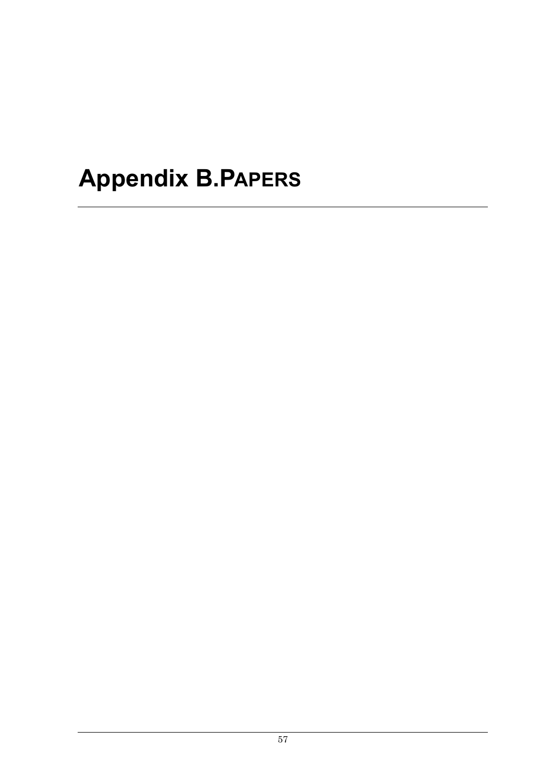# **Appendix B.PAPERS**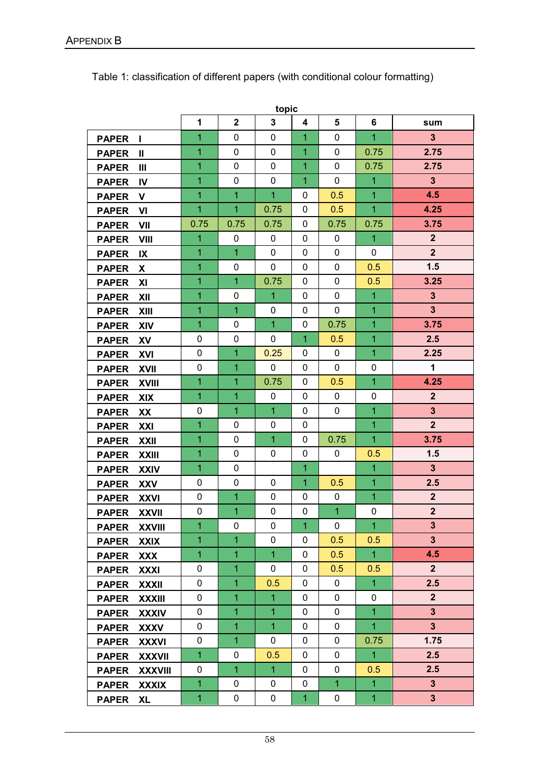|              |                |                |                | topic          |              |              |                |                         |
|--------------|----------------|----------------|----------------|----------------|--------------|--------------|----------------|-------------------------|
|              |                | $\mathbf{1}$   | $\overline{2}$ | $\overline{3}$ | 4            | 5            | 6              | sum                     |
| <b>PAPER</b> | L              | 1              | 0              | 0              | 1            | 0            | $\overline{1}$ | $\overline{\mathbf{3}}$ |
| <b>PAPER</b> | $\mathbf{I}$   | 1              | 0              | 0              | 1            | 0            | 0.75           | 2.75                    |
| <b>PAPER</b> | Ш              | 1              | 0              | 0              | 1            | 0            | 0.75           | 2.75                    |
| <b>PAPER</b> | <b>IV</b>      | $\overline{1}$ | 0              | $\mathbf 0$    | $\mathbf{1}$ | $\mathbf{0}$ | $\mathbf{1}$   | $\mathbf{3}$            |
| <b>PAPER</b> | V              | $\overline{1}$ | $\overline{1}$ | 1              | 0            | 0.5          | $\overline{1}$ | 4.5                     |
| <b>PAPER</b> | VI             | 1              | 1              | 0.75           | 0            | 0.5          | $\overline{1}$ | 4.25                    |
| <b>PAPER</b> | VII            | 0.75           | 0.75           | 0.75           | 0            | 0.75         | 0.75           | 3.75                    |
| <b>PAPER</b> | <b>VIII</b>    | $\overline{1}$ | 0              | 0              | 0            | 0            | $\overline{1}$ | $\overline{2}$          |
| <b>PAPER</b> | IX             | $\overline{1}$ | $\overline{1}$ | $\mathbf{0}$   | 0            | $\Omega$     | 0              | $\overline{2}$          |
| <b>PAPER</b> | X.             | 1              | 0              | $\pmb{0}$      | 0            | 0            | 0.5            | 1.5                     |
| <b>PAPER</b> | XI             | 1              | $\overline{1}$ | 0.75           | 0            | $\mathbf{0}$ | 0.5            | 3.25                    |
| <b>PAPER</b> | XII            | $\overline{1}$ | 0              | 1              | $\Omega$     | 0            | $\overline{1}$ | $\overline{\mathbf{3}}$ |
| <b>PAPER</b> | <b>XIII</b>    | 1              | $\overline{1}$ | 0              | 0            | 0            | $\overline{1}$ | $\overline{\mathbf{3}}$ |
| <b>PAPER</b> | <b>XIV</b>     | $\mathbf{1}$   | 0              | $\mathbf{1}$   | 0            | 0.75         | 1              | 3.75                    |
| <b>PAPER</b> | XV             | 0              | 0              | $\mathbf{0}$   | 1            | 0.5          | $\overline{1}$ | 2.5                     |
| <b>PAPER</b> | XVI            | 0              | $\mathbf{1}$   | 0.25           | 0            | $\mathbf{0}$ | 1              | 2.25                    |
| <b>PAPER</b> | <b>XVII</b>    | 0              | 1              | 0              | 0            | 0            | 0              | $\mathbf 1$             |
| <b>PAPER</b> | <b>XVIII</b>   | $\overline{1}$ | 1              | 0.75           | 0            | 0.5          | $\overline{1}$ | 4.25                    |
| <b>PAPER</b> | <b>XIX</b>     | $\overline{1}$ | $\mathbf{1}$   | 0              | 0            | 0            | 0              | $\overline{2}$          |
| <b>PAPER</b> | XX             | 0              | 1              | 1              | 0            | 0            | $\overline{1}$ | $\overline{\mathbf{3}}$ |
| <b>PAPER</b> | XXI            | $\mathbf{1}$   | 0              | 0              | 0            |              | 1              | $\overline{2}$          |
| <b>PAPER</b> | <b>XXII</b>    | $\overline{1}$ | 0              | 1              | 0            | 0.75         | $\overline{1}$ | 3.75                    |
| <b>PAPER</b> | <b>XXIII</b>   | $\overline{1}$ | $\pmb{0}$      | 0              | 0            | 0            | 0.5            | 1.5                     |
| <b>PAPER</b> | <b>XXIV</b>    | $\overline{1}$ | 0              |                | 1            |              | $\overline{1}$ | 3 <sup>5</sup>          |
| <b>PAPER</b> | <b>XXV</b>     | 0              | 0              | 0              | 1            | 0.5          | $\overline{1}$ | 2.5                     |
| <b>PAPER</b> | <b>XXVI</b>    | 0              | $\mathbf{1}$   | 0              | 0            | 0            | $\overline{1}$ | $\overline{2}$          |
| <b>PAPER</b> | <b>XXVII</b>   | 0              | 1              | 0              | 0            | 1            | 0              | $\overline{2}$          |
| <b>PAPER</b> | <b>XXVIII</b>  | $\overline{1}$ | 0              | 0              | 1            | 0            | $\overline{1}$ | $\mathbf{3}$            |
| <b>PAPER</b> | <b>XXIX</b>    | 1              | $\mathbf{1}$   | 0              | 0            | 0.5          | 0.5            | 3 <sup>5</sup>          |
| <b>PAPER</b> | <b>XXX</b>     | $\overline{1}$ | $\mathbf{1}$   | $\mathbf{1}$   | 0            | 0.5          | $\overline{1}$ | 4.5                     |
| <b>PAPER</b> | <b>XXXI</b>    | 0              | $\mathbf{1}$   | 0              | 0            | 0.5          | 0.5            | 2 <sup>2</sup>          |
| <b>PAPER</b> | <b>XXXII</b>   | 0              | $\mathbf{1}$   | 0.5            | 0            | 0            | $\mathbf{1}$   | 2.5                     |
| <b>PAPER</b> | <b>XXXIII</b>  | 0              | $\mathbf{1}$   | 1              | 0            | 0            | 0              | 2 <sup>2</sup>          |
| <b>PAPER</b> | <b>XXXIV</b>   | 0              | $\mathbf{1}$   | $\mathbf{1}$   | 0            | 0            | $\overline{1}$ | $3\phantom{a}$          |
| <b>PAPER</b> | <b>XXXV</b>    | 0              | $\mathbf{1}$   | $\mathbf{1}$   | 0            | 0            | $\mathbf{1}$   | $\mathbf{3}$            |
| <b>PAPER</b> | <b>XXXVI</b>   | 0              | $\mathbf{1}$   | 0              | 0            | 0            | 0.75           | 1.75                    |
| <b>PAPER</b> | <b>XXXVII</b>  | $\mathbf{1}$   | 0              | 0.5            | 0            | 0            | $\mathbf{1}$   | 2.5                     |
| <b>PAPER</b> | <b>XXXVIII</b> | 0              | $\overline{1}$ | $\mathbf{1}$   | 0            | 0            | 0.5            | 2.5                     |
| <b>PAPER</b> | <b>XXXIX</b>   | $\mathbf{1}$   | 0              | 0              | 0            | 1            | $\overline{1}$ | 3 <sup>5</sup>          |
| <b>PAPER</b> | XL             | $\mathbf{1}$   | 0              | 0              | $\mathbf{1}$ | $\pmb{0}$    | $\overline{1}$ | 3 <sup>5</sup>          |

Table 1: classification of different papers (with conditional colour formatting)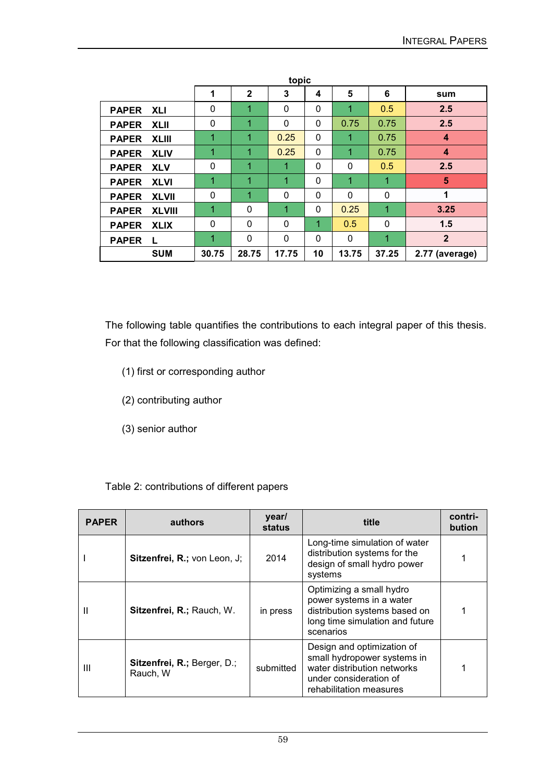| topic                         |              |              |       |    |              |          |                  |
|-------------------------------|--------------|--------------|-------|----|--------------|----------|------------------|
|                               | 1            | $\mathbf{2}$ | 3     | 4  | 5            | 6        | sum              |
| <b>PAPER XLI</b>              | $\mathbf{0}$ | 1            | 0     | 0  | 1            | 0.5      | 2.5              |
| <b>PAPER</b><br><b>XLII</b>   | $\mathbf{0}$ | 1            | 0     | 0  | 0.75         | 0.75     | 2.5              |
| <b>XLIII</b><br><b>PAPER</b>  | 1            | 1            | 0.25  | 0  | 1            | 0.75     | 4                |
| <b>PAPER</b><br><b>XLIV</b>   | 1            | 1            | 0.25  | 0  | 1            | 0.75     | $\boldsymbol{4}$ |
| <b>PAPER</b><br><b>XLV</b>    | $\mathbf{0}$ | 1            | 1     | 0  | $\mathbf{0}$ | 0.5      | 2.5              |
| <b>XLVI</b><br><b>PAPER</b>   | 1            | 1            | 1     | 0  | 1            | 1        | 5                |
| <b>XLVII</b><br><b>PAPER</b>  | 0            | 1            | 0     | 0  | $\mathbf 0$  | $\Omega$ | 1                |
| <b>PAPER</b><br><b>XLVIII</b> | 1            | 0            | 1     | 0  | 0.25         | 1        | 3.25             |
| <b>PAPER</b><br><b>XLIX</b>   | 0            | 0            | 0     | 1  | 0.5          | 0        | 1.5              |
| <b>PAPER</b><br>L             | 1            | $\mathbf 0$  | 0     | 0  | 0            | 1        | $\overline{2}$   |
| <b>SUM</b>                    | 30.75        | 28.75        | 17.75 | 10 | 13.75        | 37.25    | 2.77 (average)   |

The following table quantifies the contributions to each integral paper of this thesis. For that the following classification was defined:

- (1) first or corresponding author
- (2) contributing author
- (3) senior author

#### Table 2: contributions of different papers

| <b>PAPER</b> | authors                                 | year/<br>status | title                                                                                                                                         | contri-<br>bution |
|--------------|-----------------------------------------|-----------------|-----------------------------------------------------------------------------------------------------------------------------------------------|-------------------|
|              | Sitzenfrei, R.; von Leon, J;            | 2014            | Long-time simulation of water<br>distribution systems for the<br>design of small hydro power<br>systems                                       |                   |
| Ш            | Sitzenfrei, R.; Rauch, W.               | in press        | Optimizing a small hydro<br>power systems in a water<br>distribution systems based on<br>long time simulation and future<br>scenarios         |                   |
| Ш            | Sitzenfrei, R.; Berger, D.;<br>Rauch, W | submitted       | Design and optimization of<br>small hydropower systems in<br>water distribution networks<br>under consideration of<br>rehabilitation measures |                   |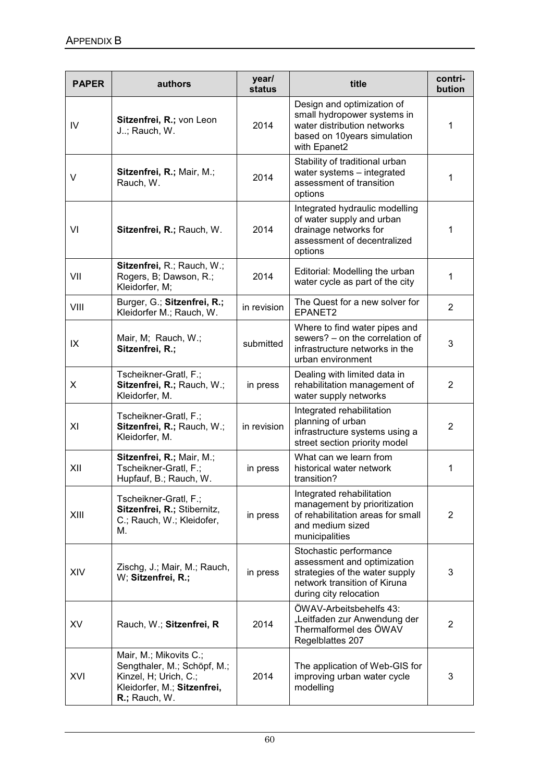| <b>PAPER</b> | authors                                                                                                                        | year/<br>status | title                                                                                                                                             | contri-<br>bution |
|--------------|--------------------------------------------------------------------------------------------------------------------------------|-----------------|---------------------------------------------------------------------------------------------------------------------------------------------------|-------------------|
| IV           | Sitzenfrei, R.; von Leon<br>J; Rauch, W.                                                                                       | 2014            | Design and optimization of<br>small hydropower systems in<br>water distribution networks<br>based on 10years simulation<br>with Epanet2           | 1                 |
| V            | Sitzenfrei, R.; Mair, M.;<br>Rauch, W.                                                                                         | 2014            | Stability of traditional urban<br>water systems - integrated<br>assessment of transition<br>options                                               | 1                 |
| VI           | Sitzenfrei, R.; Rauch, W.                                                                                                      | 2014            | Integrated hydraulic modelling<br>of water supply and urban<br>drainage networks for<br>assessment of decentralized<br>options                    | 1                 |
| VII          | Sitzenfrei, R.; Rauch, W.;<br>Rogers, B; Dawson, R.;<br>Kleidorfer, M;                                                         | 2014            | Editorial: Modelling the urban<br>water cycle as part of the city                                                                                 | 1                 |
| VIII         | Burger, G.; Sitzenfrei, R.;<br>Kleidorfer M.; Rauch, W.                                                                        | in revision     | The Quest for a new solver for<br>EPANET2                                                                                                         | $\overline{2}$    |
| IX           | Mair, M; Rauch, W.;<br>Sitzenfrei, R.;                                                                                         | submitted       | Where to find water pipes and<br>sewers? - on the correlation of<br>infrastructure networks in the<br>urban environment                           | 3                 |
| X            | Tscheikner-Gratl, F.;<br>Sitzenfrei, R.; Rauch, W.;<br>Kleidorfer, M.                                                          | in press        | Dealing with limited data in<br>rehabilitation management of<br>water supply networks                                                             | $\overline{2}$    |
| XI           | Tscheikner-Gratl, F.;<br>Sitzenfrei, R.; Rauch, W.;<br>Kleidorfer, M.                                                          | in revision     | Integrated rehabilitation<br>planning of urban<br>infrastructure systems using a<br>street section priority model                                 | 2                 |
| XII          | Sitzenfrei, R.; Mair, M.;<br>Tscheikner-Gratl, F.;<br>Hupfauf, B.; Rauch, W.                                                   | in press        | What can we learn from<br>historical water network<br>transition?                                                                                 | $\mathbf{1}$      |
| XIII         | Tscheikner-Gratl, F.;<br>Sitzenfrei, R.; Stibernitz,<br>C.; Rauch, W.; Kleidofer,<br>М.                                        | in press        | Integrated rehabilitation<br>management by prioritization<br>of rehabilitation areas for small<br>and medium sized<br>municipalities              | 2                 |
| XIV          | Zischg, J.; Mair, M.; Rauch,<br>W; Sitzenfrei, R.;                                                                             | in press        | Stochastic performance<br>assessment and optimization<br>strategies of the water supply<br>network transition of Kiruna<br>during city relocation | 3                 |
| XV           | Rauch, W.; Sitzenfrei, R                                                                                                       | 2014            | <b>OWAV-Arbeitsbehelfs 43:</b><br>"Leitfaden zur Anwendung der<br>Thermalformel des ÖWAV<br>Regelblattes 207                                      | $\overline{2}$    |
| XVI          | Mair, M.; Mikovits C.;<br>Sengthaler, M.; Schöpf, M.;<br>Kinzel, H; Urich, C.;<br>Kleidorfer, M.; Sitzenfrei,<br>R.; Rauch, W. | 2014            | The application of Web-GIS for<br>improving urban water cycle<br>modelling                                                                        | 3                 |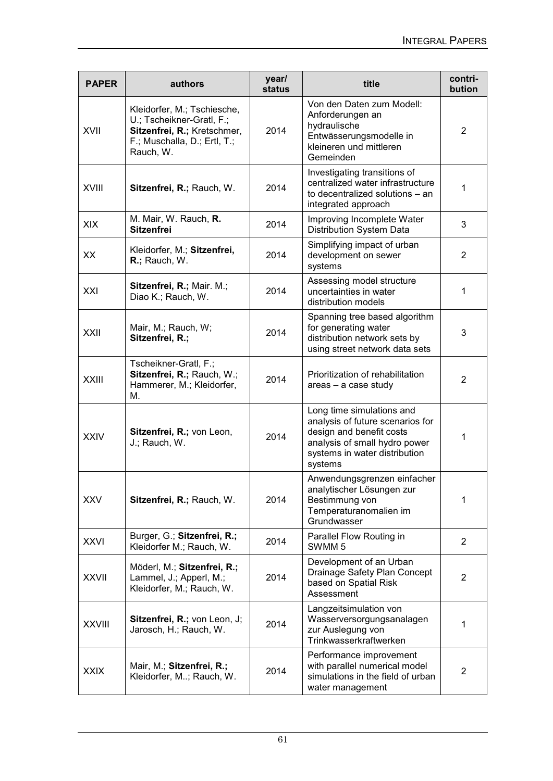| <b>PAPER</b>  | authors                                                                                                                              | year/<br>status | title                                                                                                                                                                  | contri-<br>bution |
|---------------|--------------------------------------------------------------------------------------------------------------------------------------|-----------------|------------------------------------------------------------------------------------------------------------------------------------------------------------------------|-------------------|
| XVII          | Kleidorfer, M.; Tschiesche,<br>U.; Tscheikner-Gratl, F.;<br>Sitzenfrei, R.; Kretschmer,<br>F.; Muschalla, D.; Ertl, T.;<br>Rauch, W. | 2014            | Von den Daten zum Modell:<br>Anforderungen an<br>hydraulische<br>Entwässerungsmodelle in<br>kleineren und mittleren<br>Gemeinden                                       | 2                 |
| <b>XVIII</b>  | Sitzenfrei, R.; Rauch, W.                                                                                                            | 2014            | Investigating transitions of<br>centralized water infrastructure<br>to decentralized solutions - an<br>integrated approach                                             | 1                 |
| <b>XIX</b>    | M. Mair, W. Rauch, R.<br><b>Sitzenfrei</b>                                                                                           | 2014            | Improving Incomplete Water<br>Distribution System Data                                                                                                                 | 3                 |
| XX            | Kleidorfer, M.; Sitzenfrei,<br>R.; Rauch, W.                                                                                         | 2014            | Simplifying impact of urban<br>development on sewer<br>systems                                                                                                         | $\overline{2}$    |
| XXI           | Sitzenfrei, R.; Mair. M.;<br>Diao K.; Rauch, W.                                                                                      | 2014            | Assessing model structure<br>uncertainties in water<br>distribution models                                                                                             | 1                 |
| XXII          | Mair, M.; Rauch, W;<br>Sitzenfrei, R.;                                                                                               | 2014            | Spanning tree based algorithm<br>for generating water<br>distribution network sets by<br>using street network data sets                                                | 3                 |
| <b>XXIII</b>  | Tscheikner-Gratl, F.;<br>Sitzenfrei, R.; Rauch, W.;<br>Hammerer, M.; Kleidorfer,<br>М.                                               | 2014            | Prioritization of rehabilitation<br>areas - a case study                                                                                                               | 2                 |
| <b>XXIV</b>   | Sitzenfrei, R.; von Leon,<br>J.; Rauch, W.                                                                                           | 2014            | Long time simulations and<br>analysis of future scenarios for<br>design and benefit costs<br>analysis of small hydro power<br>systems in water distribution<br>systems | 1                 |
| <b>XXV</b>    | Sitzenfrei, R.; Rauch, W.                                                                                                            | 2014            | Anwendungsgrenzen einfacher<br>analytischer Lösungen zur<br>Bestimmung von<br>Temperaturanomalien im<br>Grundwasser                                                    | 1                 |
| <b>XXVI</b>   | Burger, G.; Sitzenfrei, R.;<br>Kleidorfer M.; Rauch, W.                                                                              | 2014            | Parallel Flow Routing in<br>SWMM <sub>5</sub>                                                                                                                          | $\overline{2}$    |
| <b>XXVII</b>  | Möderl, M.; Sitzenfrei, R.;<br>Lammel, J.; Apperl, M.;<br>Kleidorfer, M.; Rauch, W.                                                  | 2014            | Development of an Urban<br>Drainage Safety Plan Concept<br>based on Spatial Risk<br>Assessment                                                                         | $\overline{2}$    |
| <b>XXVIII</b> | Sitzenfrei, R.; von Leon, J;<br>Jarosch, H.; Rauch, W.                                                                               | 2014            | Langzeitsimulation von<br>Wasserversorgungsanalagen<br>zur Auslegung von<br>Trinkwasserkraftwerken                                                                     | 1                 |
| <b>XXIX</b>   | Mair, M.; Sitzenfrei, R.;<br>Kleidorfer, M; Rauch, W.                                                                                | 2014            | Performance improvement<br>with parallel numerical model<br>simulations in the field of urban<br>water management                                                      | $\overline{2}$    |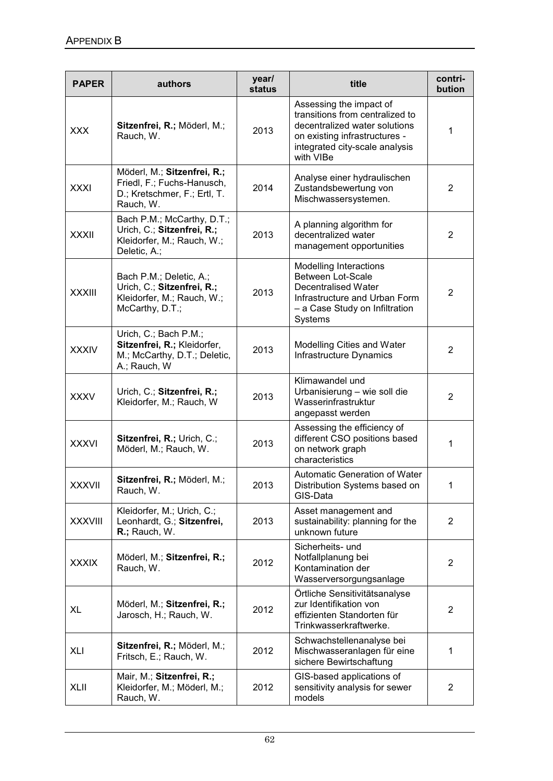| <b>PAPER</b>   | authors                                                                                                  | year/<br>status | title                                                                                                                                                                       | contri-<br>bution |
|----------------|----------------------------------------------------------------------------------------------------------|-----------------|-----------------------------------------------------------------------------------------------------------------------------------------------------------------------------|-------------------|
| <b>XXX</b>     | Sitzenfrei, R.; Möderl, M.;<br>Rauch, W.                                                                 | 2013            | Assessing the impact of<br>transitions from centralized to<br>decentralized water solutions<br>on existing infrastructures -<br>integrated city-scale analysis<br>with VIBe | 1                 |
| <b>XXXI</b>    | Möderl, M.; Sitzenfrei, R.;<br>Friedl, F.; Fuchs-Hanusch,<br>D.; Kretschmer, F.; Ertl, T.<br>Rauch, W.   | 2014            | Analyse einer hydraulischen<br>Zustandsbewertung von<br>Mischwassersystemen.                                                                                                | 2                 |
| <b>XXXII</b>   | Bach P.M.; McCarthy, D.T.;<br>Urich, C .; Sitzenfrei, R .;<br>Kleidorfer, M.; Rauch, W.;<br>Deletic, A.; | 2013            | A planning algorithm for<br>decentralized water<br>management opportunities                                                                                                 | $\overline{2}$    |
| <b>XXXIII</b>  | Bach P.M.; Deletic, A.;<br>Urich, C.; Sitzenfrei, R.;<br>Kleidorfer, M.; Rauch, W.;<br>McCarthy, D.T.;   | 2013            | <b>Modelling Interactions</b><br><b>Between Lot-Scale</b><br><b>Decentralised Water</b><br>Infrastructure and Urban Form<br>- a Case Study on Infiltration<br>Systems       | 2                 |
| <b>XXXIV</b>   | Urich, C.; Bach P.M.;<br>Sitzenfrei, R.; Kleidorfer,<br>M.; McCarthy, D.T.; Deletic,<br>A.; Rauch, W     | 2013            | Modelling Cities and Water<br>Infrastructure Dynamics                                                                                                                       | 2                 |
| <b>XXXV</b>    | Urich, C.; Sitzenfrei, R.;<br>Kleidorfer, M.; Rauch, W                                                   | 2013            | Klimawandel und<br>Urbanisierung - wie soll die<br>Wasserinfrastruktur<br>angepasst werden                                                                                  | 2                 |
| <b>XXXVI</b>   | Sitzenfrei, R.; Urich, C.;<br>Möderl, M.; Rauch, W.                                                      | 2013            | Assessing the efficiency of<br>different CSO positions based<br>on network graph<br>characteristics                                                                         | 1                 |
| <b>XXXVII</b>  | Sitzenfrei, R.; Möderl, M.;<br>Rauch, W.                                                                 | 2013            | Automatic Generation of Water<br>Distribution Systems based on<br>GIS-Data                                                                                                  | 1                 |
| <b>XXXVIII</b> | Kleidorfer, M.; Urich, C.;<br>Leonhardt, G.; Sitzenfrei,<br>R.; Rauch, W.                                | 2013            | Asset management and<br>sustainability: planning for the<br>unknown future                                                                                                  | 2                 |
| <b>XXXIX</b>   | Möderl, M.; Sitzenfrei, R.;<br>Rauch, W.                                                                 | 2012            | Sicherheits- und<br>Notfallplanung bei<br>Kontamination der<br>Wasserversorgungsanlage                                                                                      | 2                 |
| XL             | Möderl, M.; Sitzenfrei, R.;<br>Jarosch, H.; Rauch, W.                                                    | 2012            | Örtliche Sensitivitätsanalyse<br>zur Identifikation von<br>effizienten Standorten für<br>Trinkwasserkraftwerke.                                                             | 2                 |
| XLI            | Sitzenfrei, R.; Möderl, M.;<br>Fritsch, E.; Rauch, W.                                                    | 2012            | Schwachstellenanalyse bei<br>Mischwasseranlagen für eine<br>sichere Bewirtschaftung                                                                                         | 1                 |
| <b>XLII</b>    | Mair, M.; Sitzenfrei, R.;<br>Kleidorfer, M.; Möderl, M.;<br>Rauch, W.                                    | 2012            | GIS-based applications of<br>sensitivity analysis for sewer<br>models                                                                                                       | 2                 |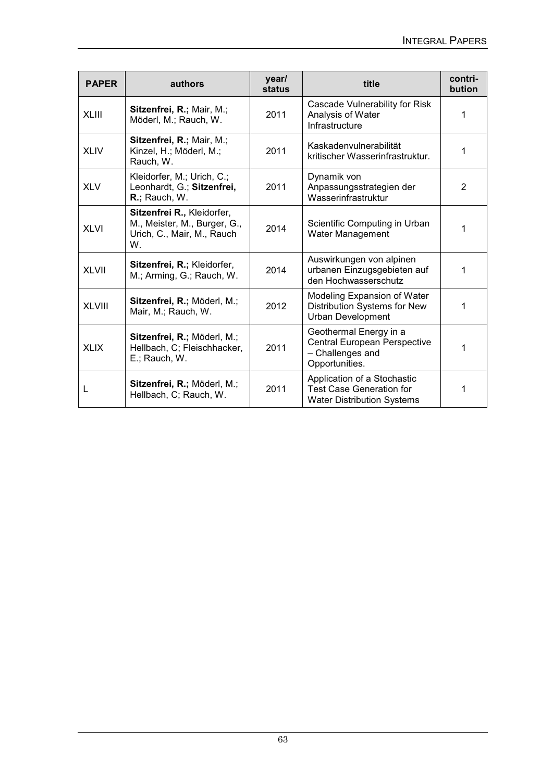| <b>PAPER</b>  | authors                                                                                        | year/<br><b>status</b> | title                                                                                               | contri-<br>bution |
|---------------|------------------------------------------------------------------------------------------------|------------------------|-----------------------------------------------------------------------------------------------------|-------------------|
| <b>XLIII</b>  | Sitzenfrei, R.; Mair, M.;<br>Möderl, M.; Rauch, W.                                             | 2011                   | Cascade Vulnerability for Risk<br>Analysis of Water<br>Infrastructure                               | 1                 |
| <b>XLIV</b>   | Sitzenfrei, R.; Mair, M.;<br>Kinzel, H.; Möderl, M.;<br>Rauch, W.                              | 2011                   | Kaskadenvulnerabilität<br>kritischer Wasserinfrastruktur.                                           | 1                 |
| <b>XLV</b>    | Kleidorfer, M.; Urich, C.;<br>Leonhardt, G.; Sitzenfrei,<br>R.; Rauch, W.                      | 2011                   | Dynamik von<br>Anpassungsstrategien der<br>Wasserinfrastruktur                                      | 2                 |
| <b>XLVI</b>   | Sitzenfrei R., Kleidorfer,<br>M., Meister, M., Burger, G.,<br>Urich, C., Mair, M., Rauch<br>W. | 2014                   | Scientific Computing in Urban<br>Water Management                                                   | 1                 |
| <b>XLVII</b>  | Sitzenfrei, R.; Kleidorfer,<br>M.; Arming, G.; Rauch, W.                                       | 2014                   | Auswirkungen von alpinen<br>urbanen Einzugsgebieten auf<br>den Hochwasserschutz                     | 1                 |
| <b>XLVIII</b> | Sitzenfrei, R.; Möderl, M.;<br>Mair, M.; Rauch, W.                                             | 2012                   | Modeling Expansion of Water<br>Distribution Systems for New<br><b>Urban Development</b>             | 1                 |
| <b>XLIX</b>   | Sitzenfrei, R.; Möderl, M.;<br>Hellbach, C; Fleischhacker,<br>E.; Rauch, W.                    | 2011                   | Geothermal Energy in a<br>Central European Perspective<br>- Challenges and<br>Opportunities.        | 1                 |
|               | Sitzenfrei, R.; Möderl, M.;<br>Hellbach, C; Rauch, W.                                          | 2011                   | Application of a Stochastic<br><b>Test Case Generation for</b><br><b>Water Distribution Systems</b> | 1                 |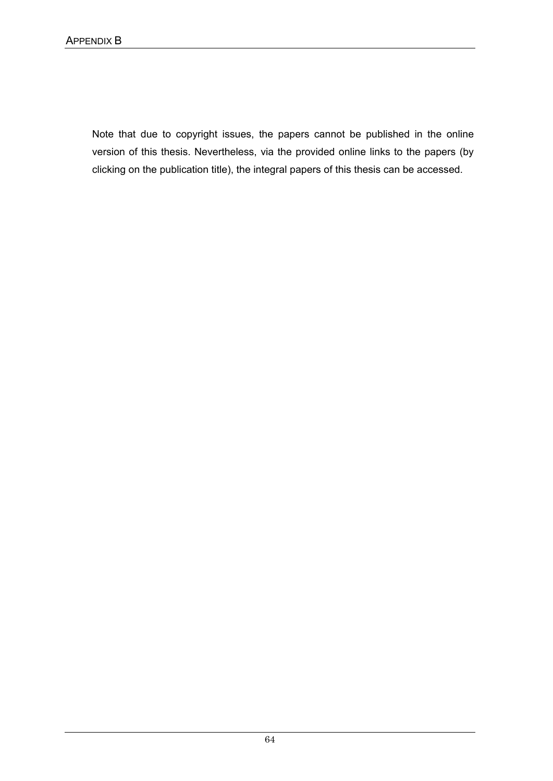Note that due to copyright issues, the papers cannot be published in the online version of this thesis. Nevertheless, via the provided online links to the papers (by clicking on the publication title), the integral papers of this thesis can be accessed.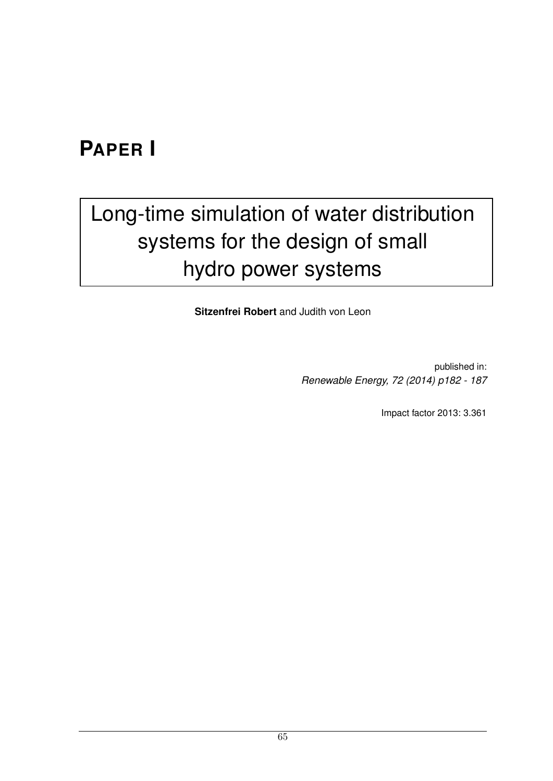#### **PAPER I**

# [Long-time simulation of water distribution](http://www.sciencedirect.com/science/article/pii/S0960148114003991) systems for the design of small hydro power systems

**Sitzenfrei Robert** and Judith von Leon

published in: *Renewable Energy, 72 (2014) p182 - 187*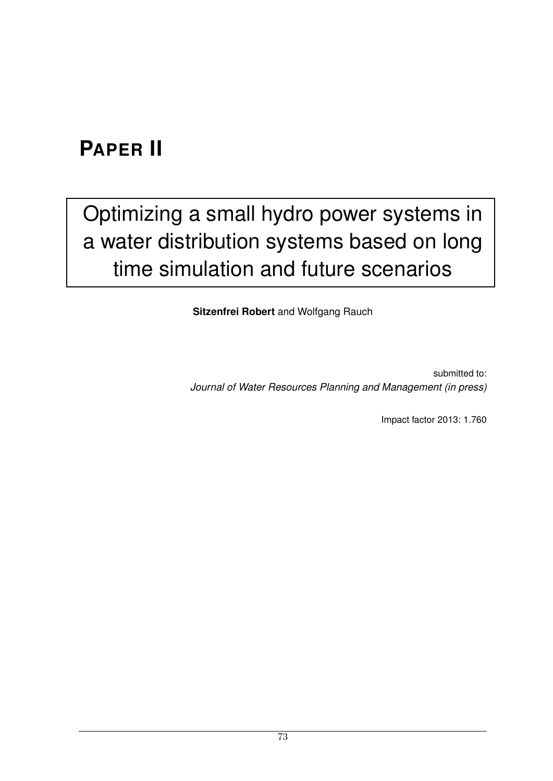## **PAPER II**

## [Optimizing a small hydro power systems in](http://dx.doi.org/10.1061/(ASCE)WR.1943-5452.0000537) a water distribution systems based on long time simulation and future scenarios

**Sitzenfrei Robert** and Wolfgang Rauch

submitted to: *Journal of Water Resources Planning and Management (in press)*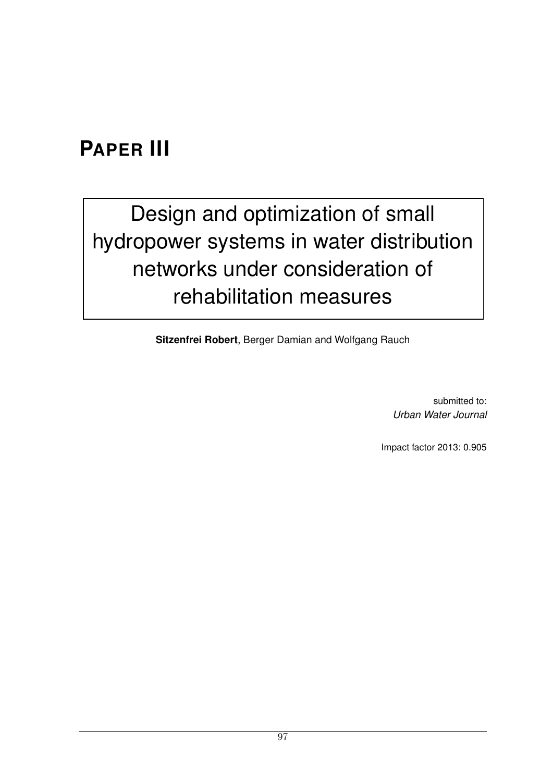### **PAPER III**

# Design and optimization of small [hydropower systems in water distribution](http://www.tandfonline.com/toc/nurw20/current#.VR1TOeGiRDR) networks under consideration of rehabilitation measures

**Sitzenfrei Robert**, Berger Damian and Wolfgang Rauch

submitted to: *Urban Water Journal*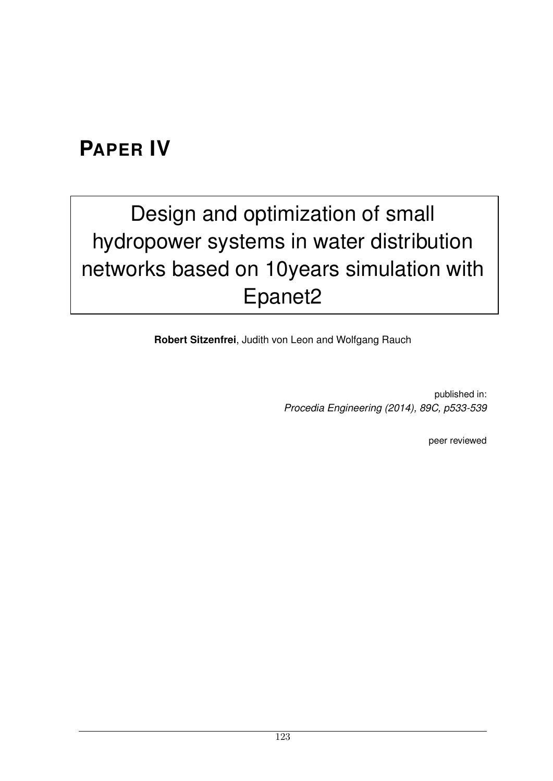### **PAPER IV**

# Design and optimization of small hydropower systems in water distribution [networks based on 10years simulation with](http://www.sciencedirect.com/science/article/pii/S1877705814025909) Epanet2

**Robert Sitzenfrei**, Judith von Leon and Wolfgang Rauch

published in: *Procedia Engineering (2014), 89C, p533-539*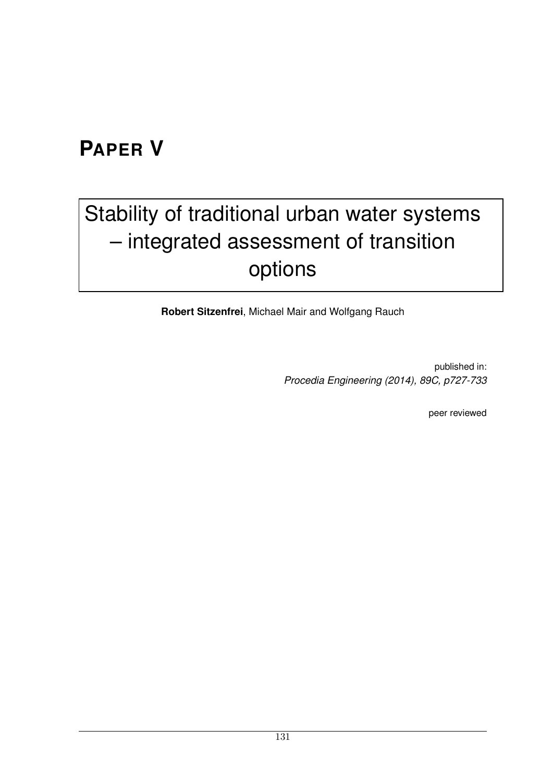### **PAPER V**

# [Stability of traditional urban water systems](http://www.sciencedirect.com/science/article/pii/S1877705814026150) – integrated assessment of transition options

**Robert Sitzenfrei**, Michael Mair and Wolfgang Rauch

published in: *Procedia Engineering (2014), 89C, p727-733*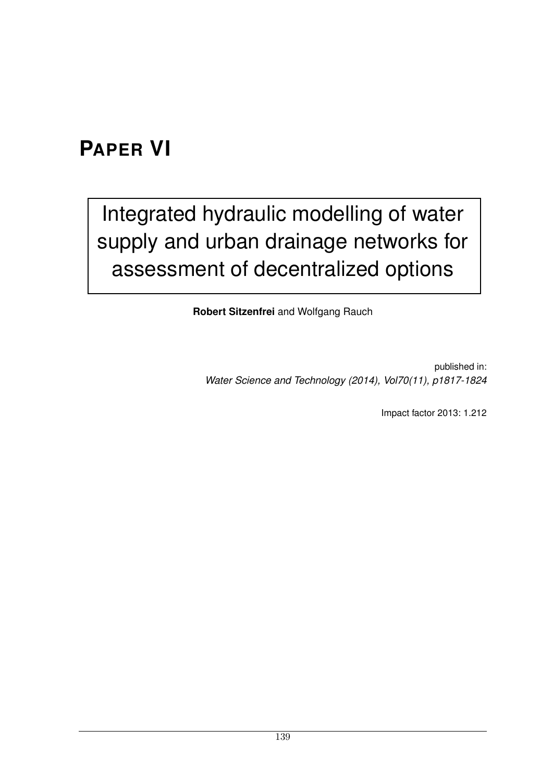### **PAPER VI**

## Integrated hydraulic modelling of water [supply and urban drainage networks for](http://www.iwaponline.com/wst/07011/wst070111817.htm) assessment of decentralized options

**Robert Sitzenfrei** and Wolfgang Rauch

published in: *Water Science and Technology (2014), Vol70(11), p1817-1824*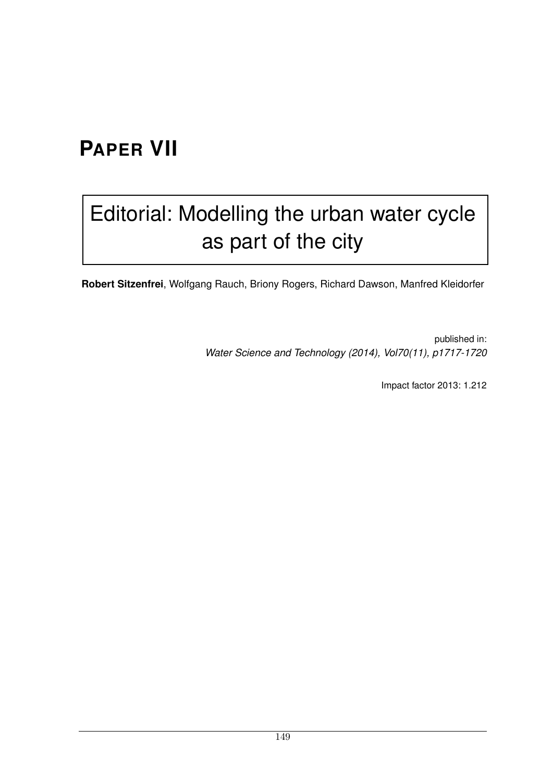## **PAPER VII**

## [Editorial: Modelling the urban water cycle](http://www.iwaponline.com/wst/07011/wst070111717.htm) as part of the city

**Robert Sitzenfrei**, Wolfgang Rauch, Briony Rogers, Richard Dawson, Manfred Kleidorfer

published in: *Water Science and Technology (2014), Vol70(11), p1717-1720*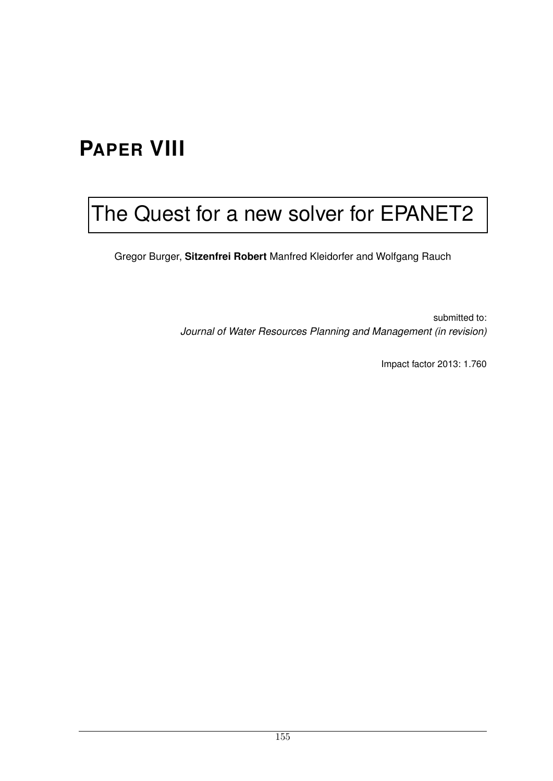## **PAPER VIII**

## [The Quest for a new solver for EPANET2](http://ascelibrary.org/journal/jwrmd5)

Gregor Burger, **Sitzenfrei Robert** Manfred Kleidorfer and Wolfgang Rauch

submitted to: *Journal of Water Resources Planning and Management (in revision)*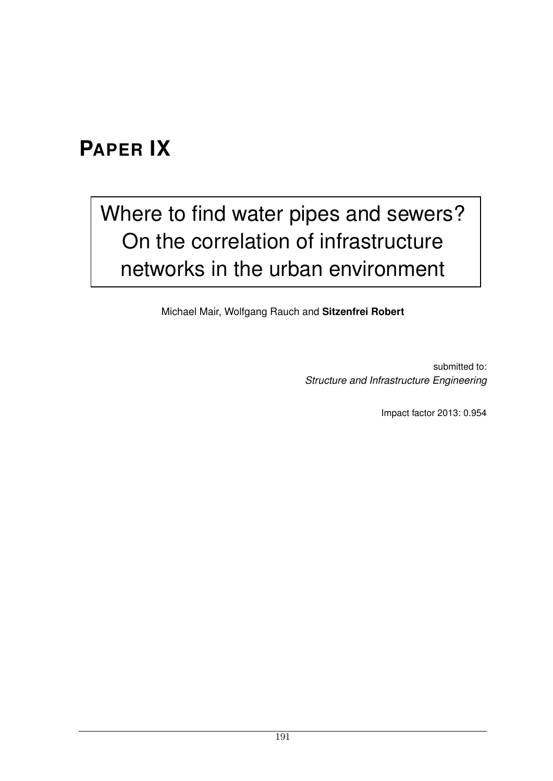### **PAPER IX**

## [Where to find water pipes and sewers?](http://www.tandfonline.com/toc/nsie20/current#.VR1UieGiRDQ) On the correlation of infrastructure networks in the urban environment

Michael Mair, Wolfgang Rauch and **Sitzenfrei Robert**

submitted to: *Structure and Infrastructure Engineering*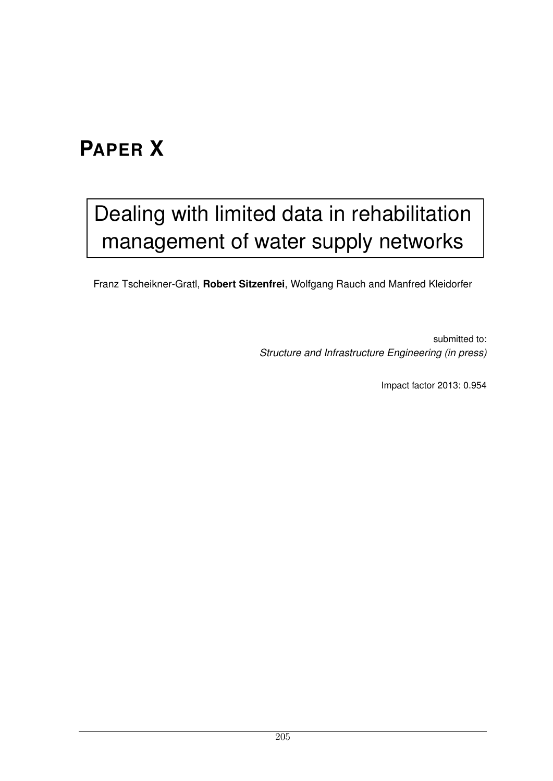## **PAPER X**

## [Dealing with limited data in rehabilitation](http://www.tandfonline.com/doi/full/10.1080/15732479.2015.1017730#) management of water supply networks

Franz Tscheikner-Gratl, **Robert Sitzenfrei**, Wolfgang Rauch and Manfred Kleidorfer

submitted to: *Structure and Infrastructure Engineering (in press)*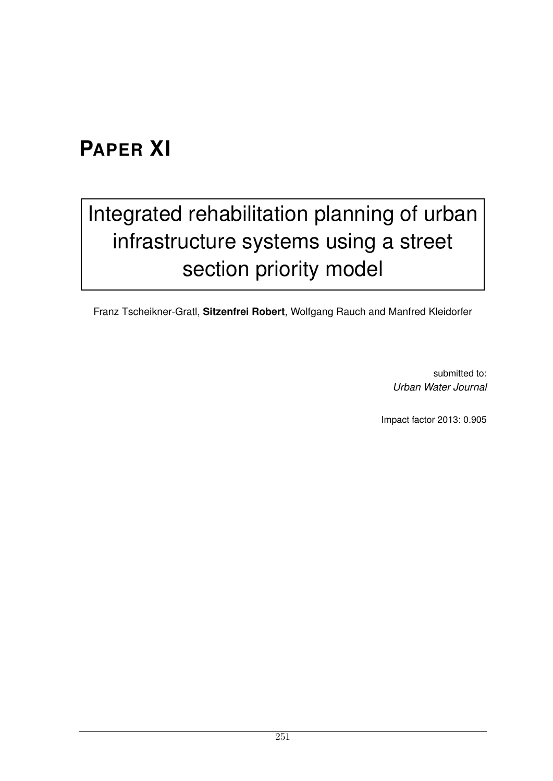## **PAPER XI**

# [Integrated rehabilitation planning of urban](http://www.tandfonline.com/doi/abs/10.1080/1573062X.2015.1057174#) infrastructure systems using a street section priority model

Franz Tscheikner-Gratl, **Sitzenfrei Robert**, Wolfgang Rauch and Manfred Kleidorfer

submitted to: *Urban Water Journal*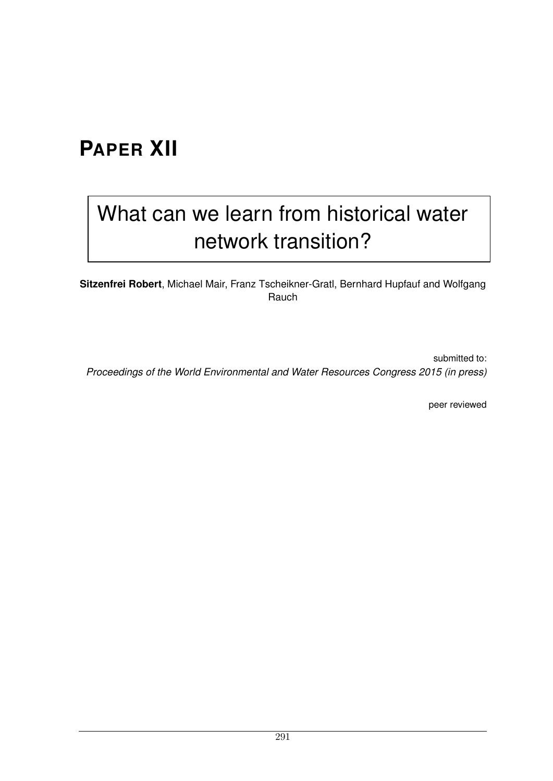## **PAPER XII**

## [What can we learn from historical water](http://dx.doi.org/10.1061/9780784479162.086) network transition?

**Sitzenfrei Robert**, Michael Mair, Franz Tscheikner-Gratl, Bernhard Hupfauf and Wolfgang Rauch

submitted to: *Proceedings of the World Environmental and Water Resources Congress 2015 (in press)*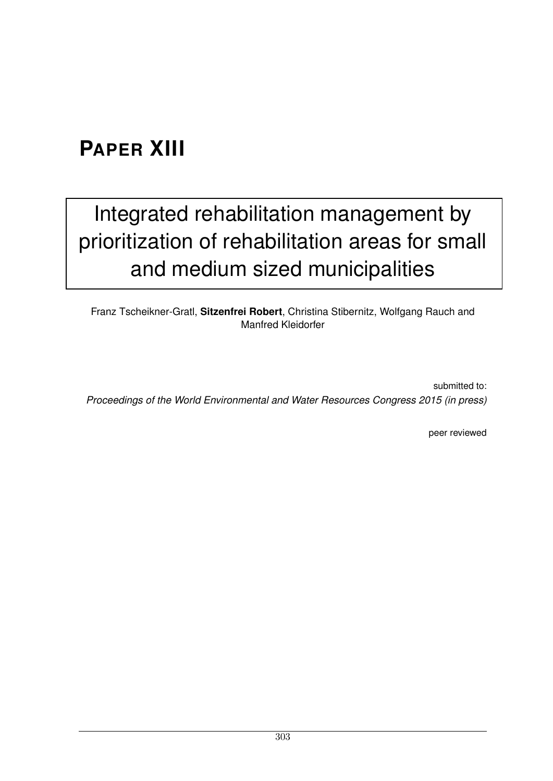## **PAPER XIII**

## Integrated rehabilitation management by [prioritization of rehabilitation areas for small](http://dx.doi.org/10.1061/9780784479162.201) and medium sized municipalities

Franz Tscheikner-Gratl, **Sitzenfrei Robert**, Christina Stibernitz, Wolfgang Rauch and Manfred Kleidorfer

submitted to: *Proceedings of the World Environmental and Water Resources Congress 2015 (in press)*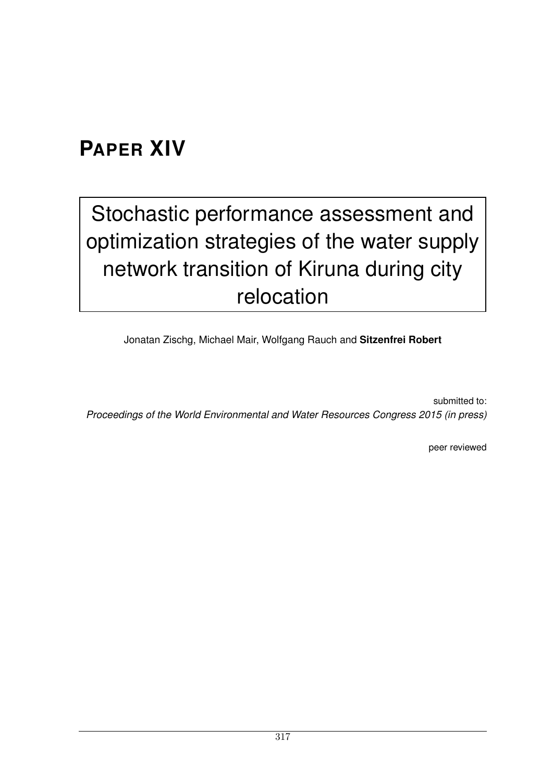### **PAPER XIV**

# Stochastic performance assessment and [optimization strategies of the water supply](http://dx.doi.org/10.1061/9780784479162.080) network transition of Kiruna during city relocation

Jonatan Zischg, Michael Mair, Wolfgang Rauch and **Sitzenfrei Robert**

submitted to: *Proceedings of the World Environmental and Water Resources Congress 2015 (in press)*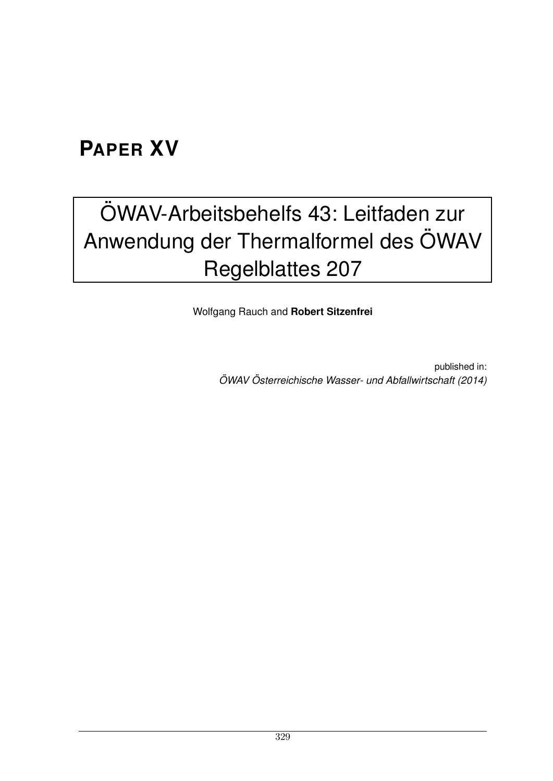### **PAPER XV**

# [OWAV-Arbeitsbehelfs 43: Leitfaden zur](http://rd.springer.com/article/10.1007%2Fs00506-014-0179-6) ¨ Anwendung der Thermalformel des ÖWAV Regelblattes 207

Wolfgang Rauch and **Robert Sitzenfrei**

published in: *OWAV ¨ Osterreichische Wasser- und Abfallwirtschaft (2014) ¨*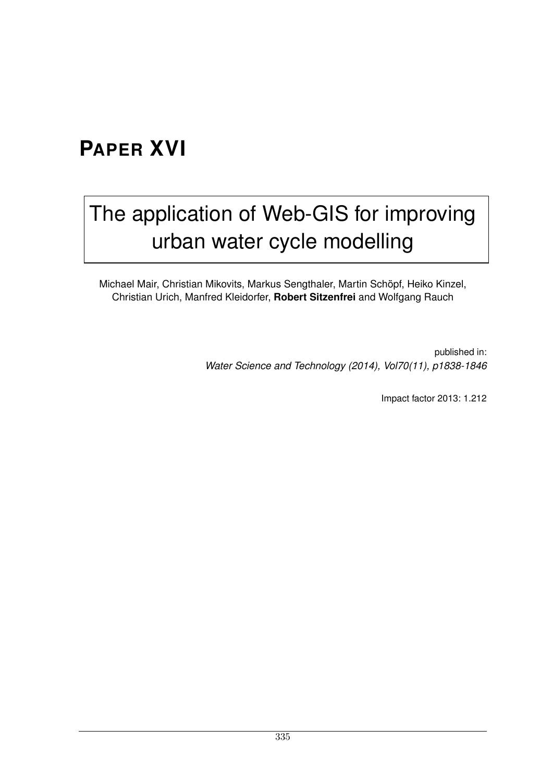### **PAPER XVI**

## [The application of Web-GIS for improving](http://www.iwaponline.com/wst/07011/wst070111838.htm) urban water cycle modelling

Michael Mair, Christian Mikovits, Markus Sengthaler, Martin Schöpf, Heiko Kinzel, Christian Urich, Manfred Kleidorfer, **Robert Sitzenfrei** and Wolfgang Rauch

> published in: *Water Science and Technology (2014), Vol70(11), p1838-1846*

> > Impact factor 2013: 1.212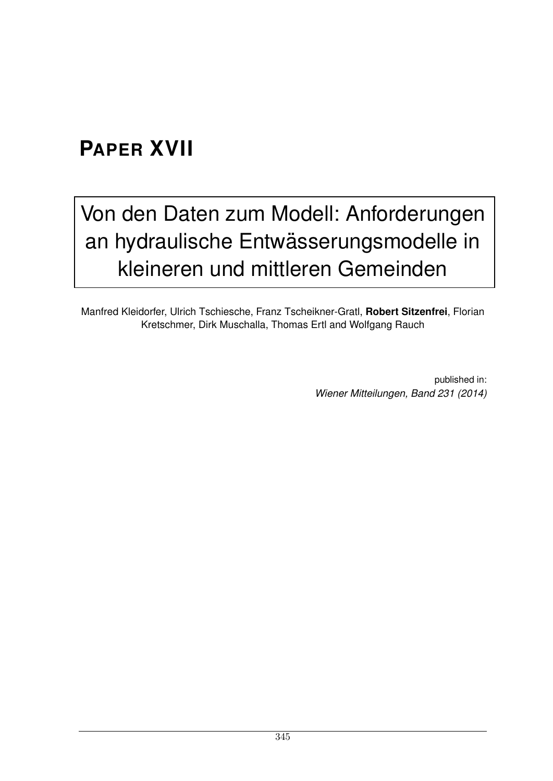### **PAPER XVII**

## [Von den Daten zum Modell: Anforderungen](https://www.wau.boku.ac.at/sig/wienermitteilungen/) an hydraulische Entwässerungsmodelle in kleineren und mittleren Gemeinden

Manfred Kleidorfer, Ulrich Tschiesche, Franz Tscheikner-Gratl, **Robert Sitzenfrei**, Florian Kretschmer, Dirk Muschalla, Thomas Ertl and Wolfgang Rauch

> published in: *Wiener Mitteilungen, Band 231 (2014)*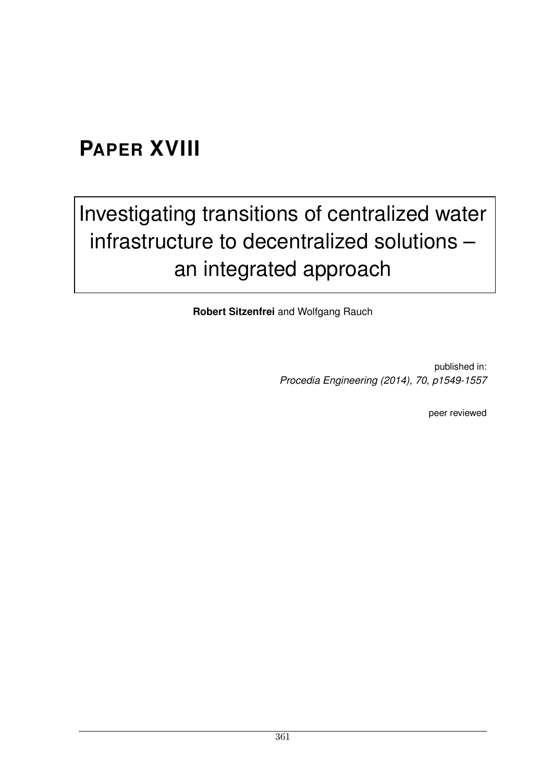## **PAPER XVIII**

# [Investigating transitions of centralized water](http://www.sciencedirect.com/science/article/pii/S1877705814001738) infrastructure to decentralized solutions – an integrated approach

**Robert Sitzenfrei** and Wolfgang Rauch

published in: *Procedia Engineering (2014), 70, p1549-1557*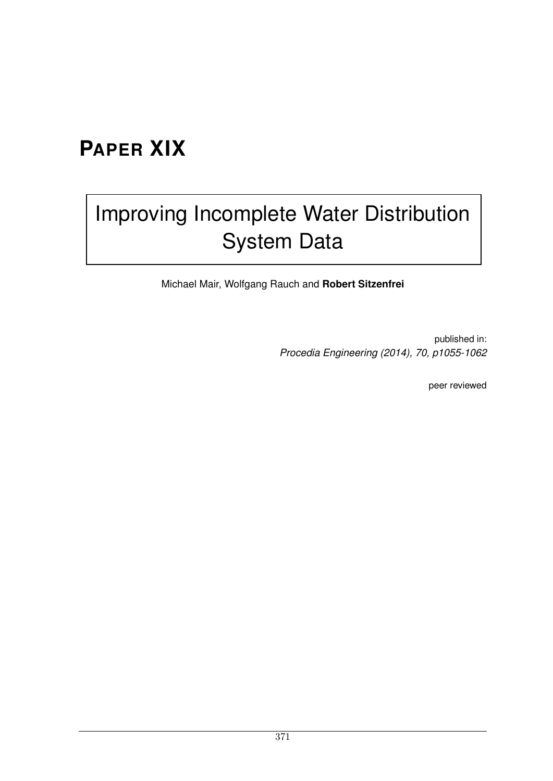### **PAPER XIX**

## [Improving Incomplete Water Distribution](http://www.sciencedirect.com/science/article/pii/S1877705814001192) System Data

Michael Mair, Wolfgang Rauch and **Robert Sitzenfrei**

published in: *Procedia Engineering (2014), 70, p1055-1062*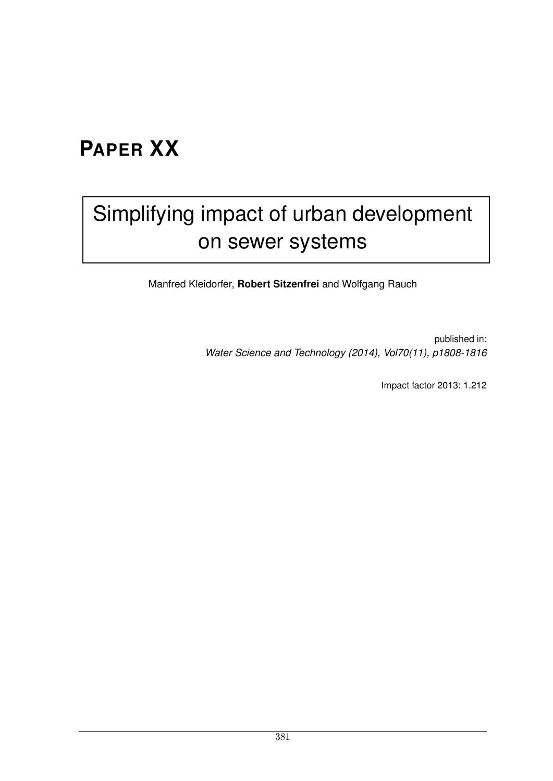### **PAPER XX**

## [Simplifying impact of urban development](http://www.iwaponline.com/wst/07011/wst070111808.htm) on sewer systems

Manfred Kleidorfer, **Robert Sitzenfrei** and Wolfgang Rauch

published in: *Water Science and Technology (2014), Vol70(11), p1808-1816*

Impact factor 2013: 1.212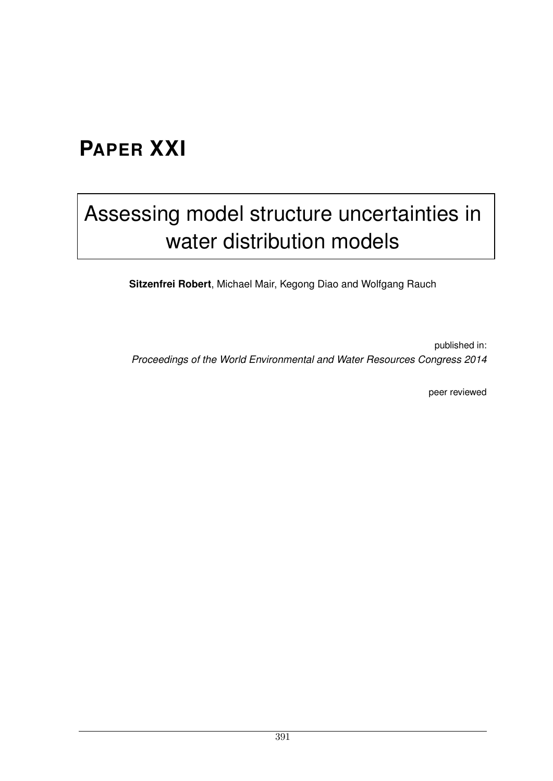### **PAPER XXI**

## [Assessing model structure uncertainties in](http://dx.doi.org/10.1061/9780784413548.055) water distribution models

**Sitzenfrei Robert**, Michael Mair, Kegong Diao and Wolfgang Rauch

published in: *Proceedings of the World Environmental and Water Resources Congress 2014*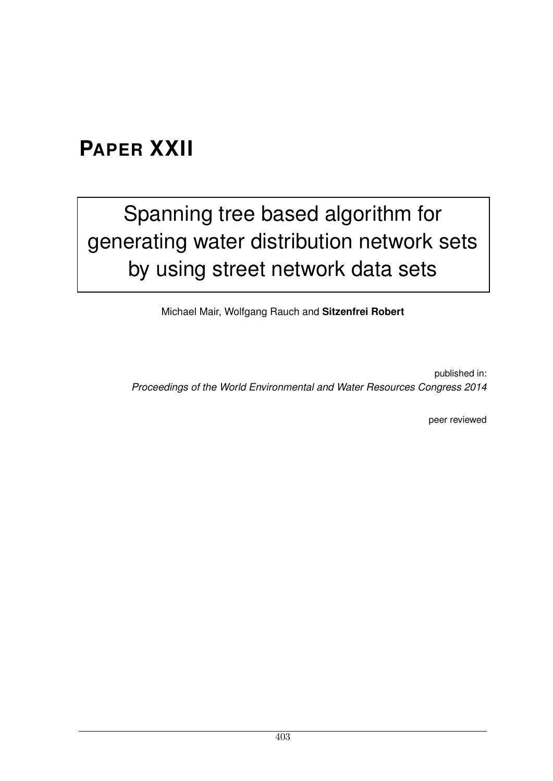#### **PAPER XXII**

# Spanning tree based algorithm for [generating water distribution network sets](http://dx.doi.org/10.1061/9780784413548.050) by using street network data sets

Michael Mair, Wolfgang Rauch and **Sitzenfrei Robert**

published in: *Proceedings of the World Environmental and Water Resources Congress 2014*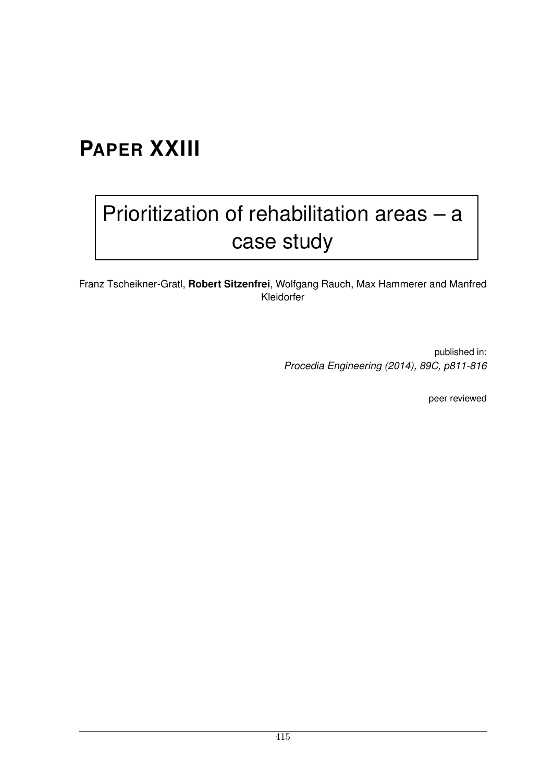## **PAPER XXIII**

# [Prioritization of rehabilitation areas – a](http://www.sciencedirect.com/science/article/pii/S1877705814026265) case study

Franz Tscheikner-Gratl, **Robert Sitzenfrei**, Wolfgang Rauch, Max Hammerer and Manfred Kleidorfer

> published in: *Procedia Engineering (2014), 89C, p811-816*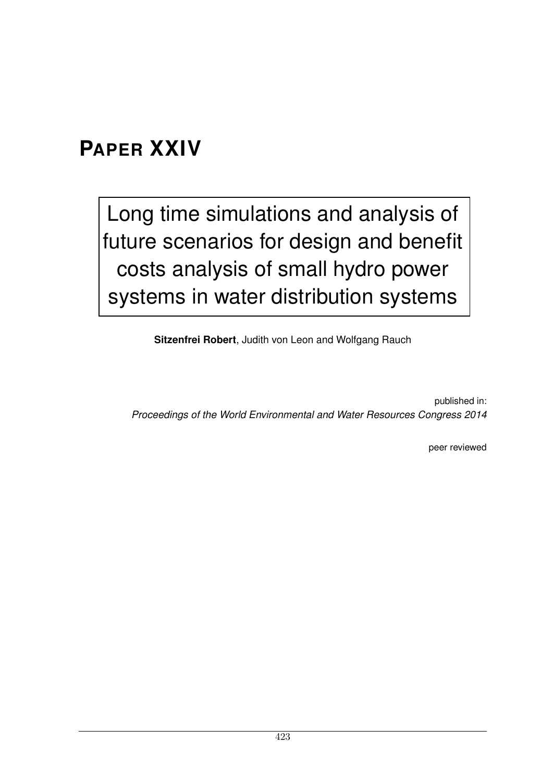#### **PAPER XXIV**

Long time simulations and analysis of [future scenarios for design and benefit](http://dx.doi.org/10.1061/9780784413548.043) costs analysis of small hydro power systems in water distribution systems

**Sitzenfrei Robert**, Judith von Leon and Wolfgang Rauch

published in: *Proceedings of the World Environmental and Water Resources Congress 2014*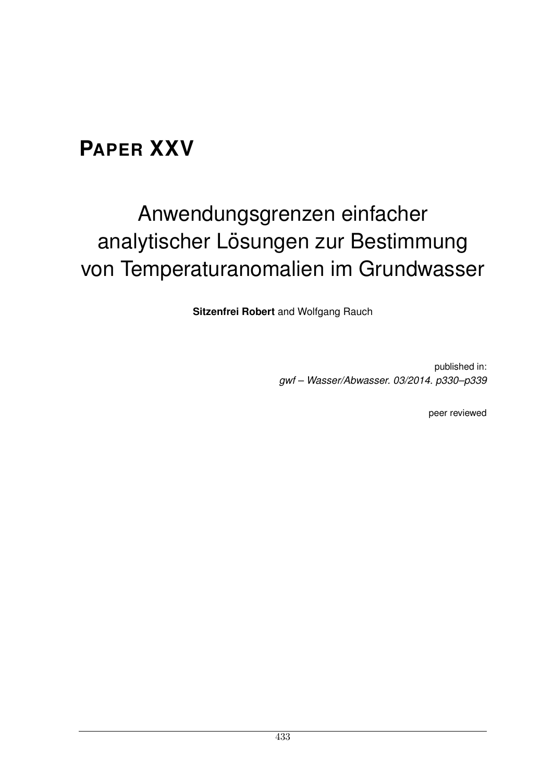### **PAPER XXV**

# Anwendungsgrenzen einfacher analytischer Lösungen zur Bestimmung von Temperaturanomalien im Grundwasser

**Sitzenfrei Robert** and Wolfgang Rauch

published in: *gwf – Wasser/Abwasser. 03/2014. p330–p339*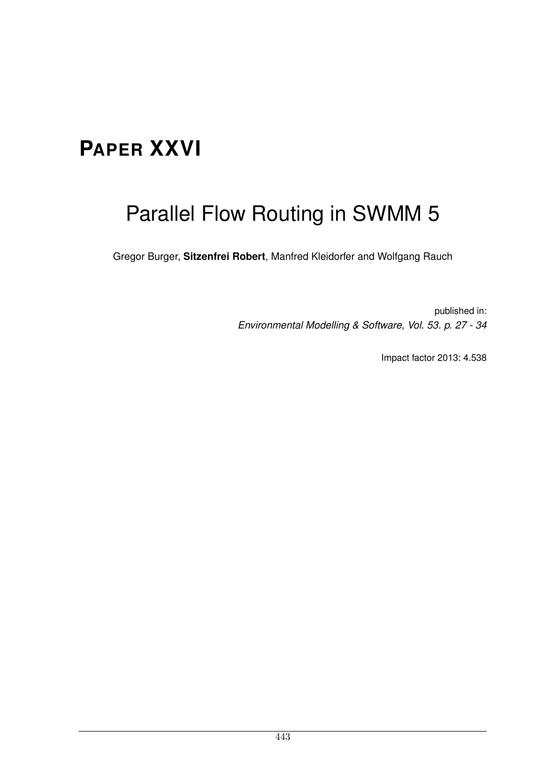## **PAPER XXVI**

## Parallel Flow Routing in SWMM 5

Gregor Burger, **Sitzenfrei Robert**, Manfred Kleidorfer and Wolfgang Rauch

published in: *Environmental Modelling & Software, Vol. 53. p. 27 - 34*

Impact factor 2013: 4.538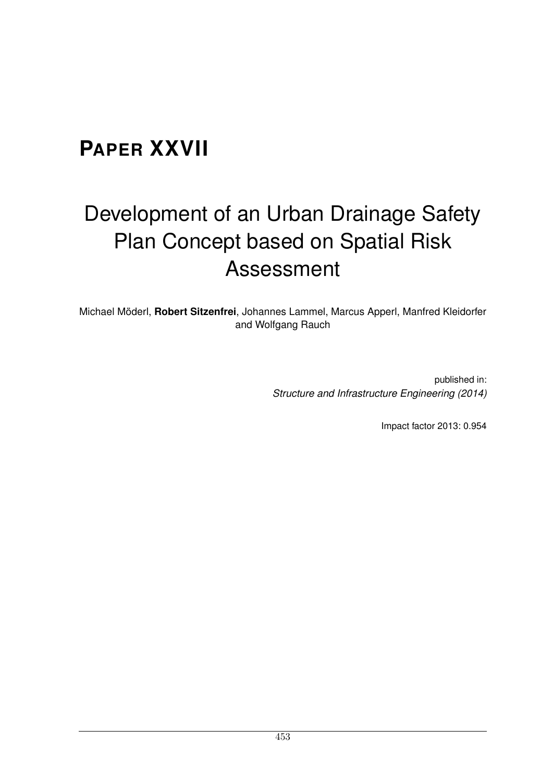### **PAPER XXVII**

# Development of an Urban Drainage Safety Plan Concept based on Spatial Risk Assessment

Michael Möderl, Robert Sitzenfrei, Johannes Lammel, Marcus Apperl, Manfred Kleidorfer and Wolfgang Rauch

> published in: *Structure and Infrastructure Engineering (2014)*

> > Impact factor 2013: 0.954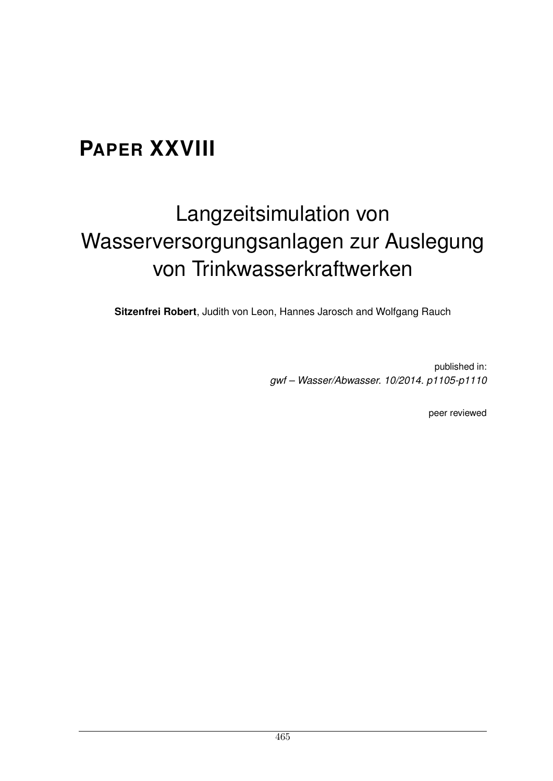## **PAPER XXVIII**

# Langzeitsimulation von Wasserversorgungsanlagen zur Auslegung von Trinkwasserkraftwerken

**Sitzenfrei Robert**, Judith von Leon, Hannes Jarosch and Wolfgang Rauch

published in: *gwf – Wasser/Abwasser. 10/2014. p1105-p1110*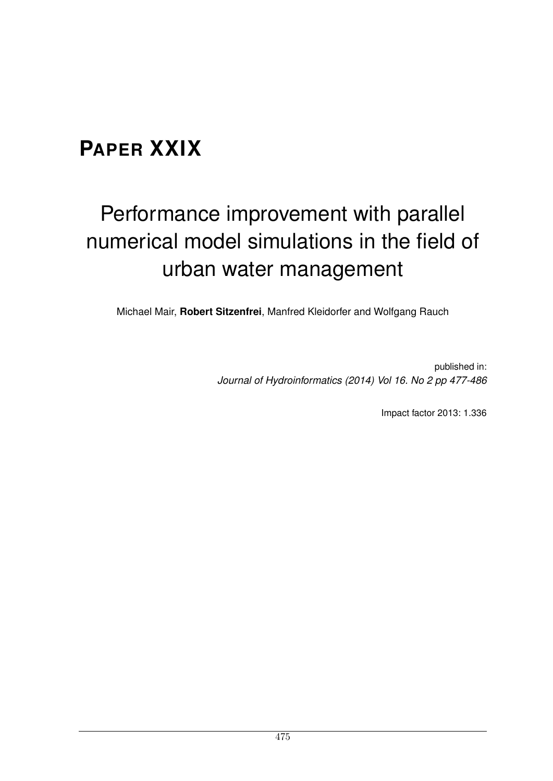## **PAPER XXIX**

# Performance improvement with parallel numerical model simulations in the field of urban water management

Michael Mair, **Robert Sitzenfrei**, Manfred Kleidorfer and Wolfgang Rauch

published in: *Journal of Hydroinformatics (2014) Vol 16. No 2 pp 477-486*

Impact factor 2013: 1.336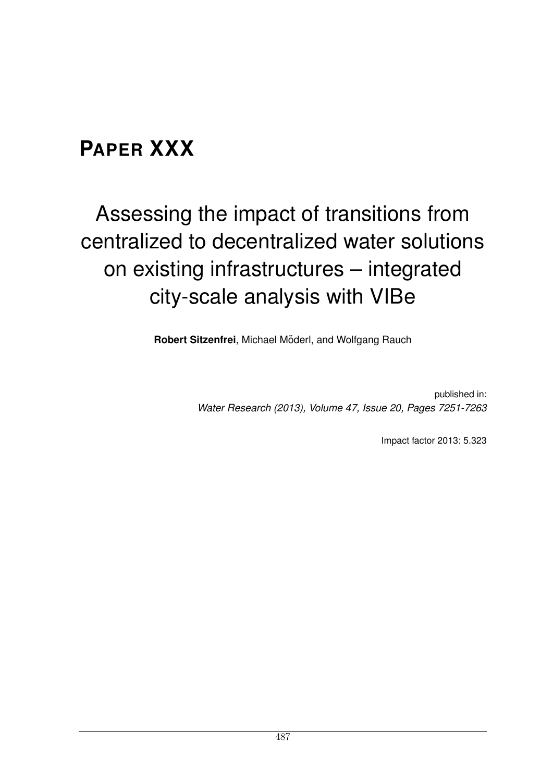### **PAPER XXX**

# Assessing the impact of transitions from centralized to decentralized water solutions on existing infrastructures – integrated city-scale analysis with VIBe

**Robert Sitzenfrei, Michael Möderl, and Wolfgang Rauch** 

published in: *Water Research (2013), Volume 47, Issue 20, Pages 7251-7263*

Impact factor 2013: 5.323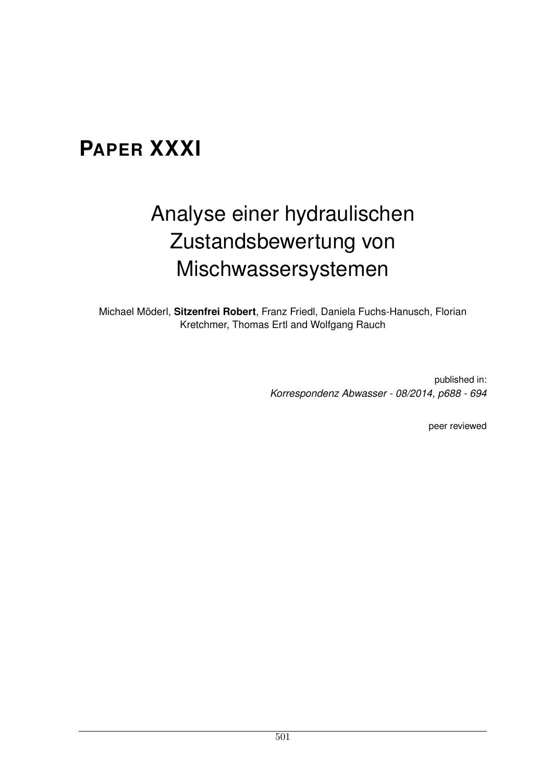### **PAPER XXXI**

# Analyse einer hydraulischen Zustandsbewertung von Mischwassersystemen

Michael Möderl, Sitzenfrei Robert, Franz Friedl, Daniela Fuchs-Hanusch, Florian Kretchmer, Thomas Ertl and Wolfgang Rauch

> published in: *Korrespondenz Abwasser - 08/2014, p688 - 694*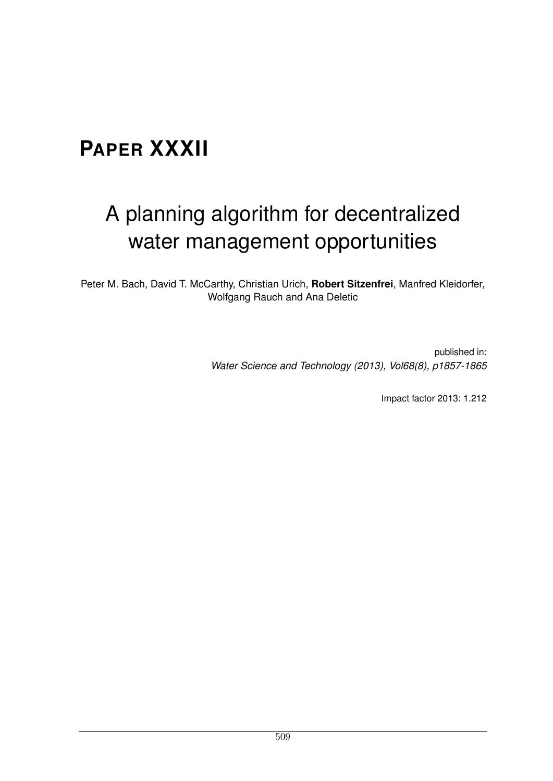## **PAPER XXXII**

## A planning algorithm for decentralized water management opportunities

Peter M. Bach, David T. McCarthy, Christian Urich, **Robert Sitzenfrei**, Manfred Kleidorfer, Wolfgang Rauch and Ana Deletic

> published in: *Water Science and Technology (2013), Vol68(8), p1857-1865*

> > Impact factor 2013: 1.212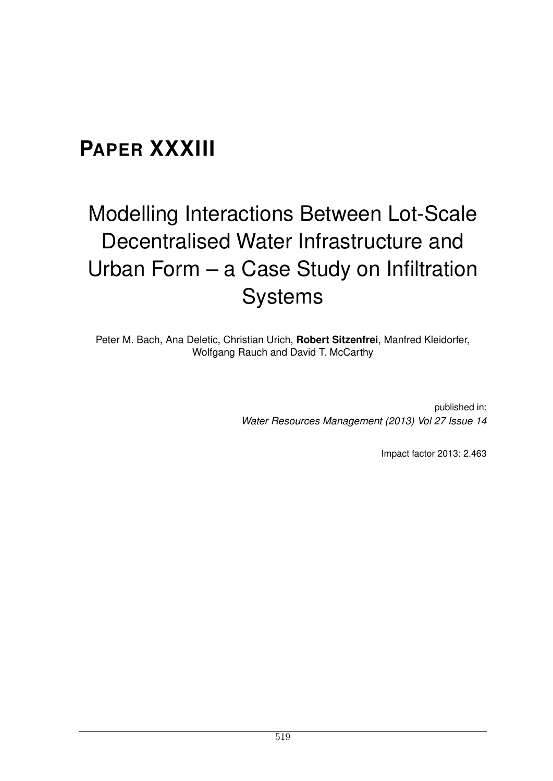### **PAPER XXXIII**

# Modelling Interactions Between Lot-Scale Decentralised Water Infrastructure and Urban Form – a Case Study on Infiltration **Systems**

Peter M. Bach, Ana Deletic, Christian Urich, **Robert Sitzenfrei**, Manfred Kleidorfer, Wolfgang Rauch and David T. McCarthy

> published in: *Water Resources Management (2013) Vol 27 Issue 14*

> > Impact factor 2013: 2.463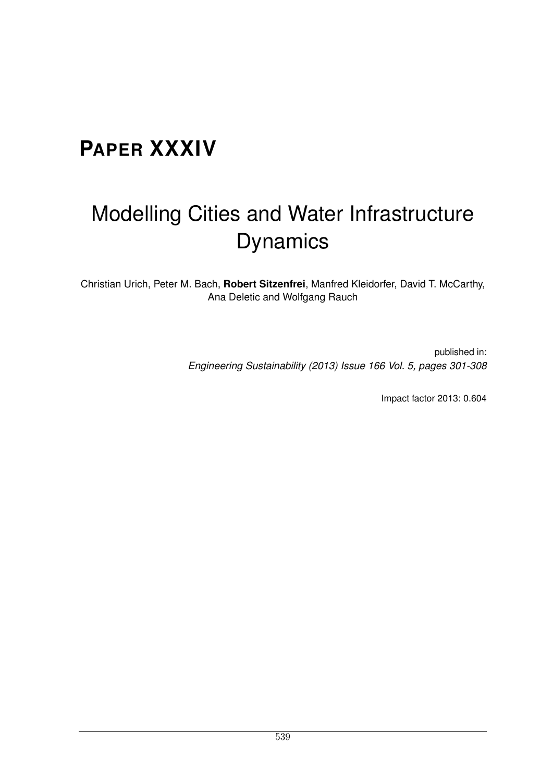## **PAPER XXXIV**

## Modelling Cities and Water Infrastructure Dynamics

Christian Urich, Peter M. Bach, **Robert Sitzenfrei**, Manfred Kleidorfer, David T. McCarthy, Ana Deletic and Wolfgang Rauch

> published in: *Engineering Sustainability (2013) Issue 166 Vol. 5, pages 301-308*

> > Impact factor 2013: 0.604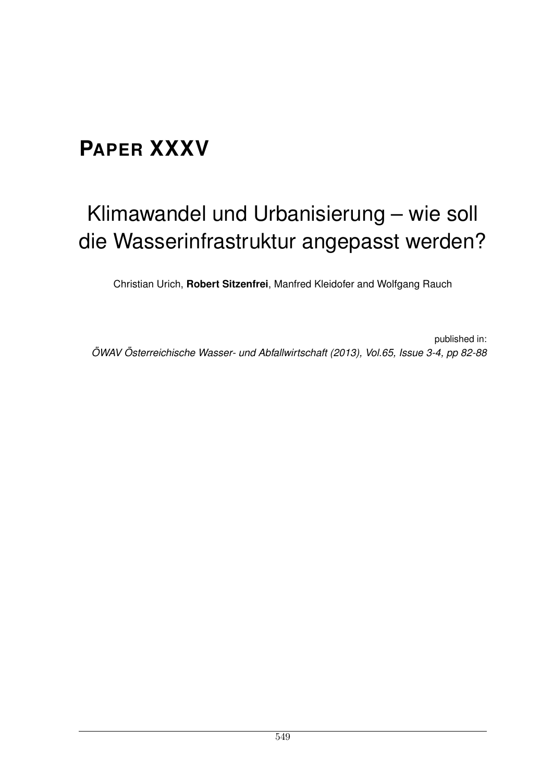## **PAPER XXXV**

# Klimawandel und Urbanisierung – wie soll die Wasserinfrastruktur angepasst werden?

Christian Urich, **Robert Sitzenfrei**, Manfred Kleidofer and Wolfgang Rauch

published in: *OWAV ¨ Osterreichische Wasser- und Abfallwirtschaft (2013), Vol.65, Issue 3-4, pp 82-88 ¨*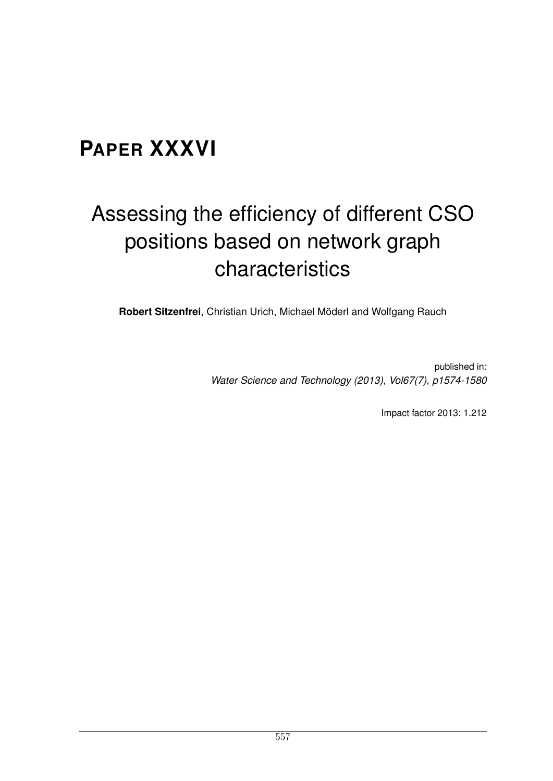### **PAPER XXXVI**

# Assessing the efficiency of different CSO positions based on network graph characteristics

**Robert Sitzenfrei**, Christian Urich, Michael Möderl and Wolfgang Rauch

published in: *Water Science and Technology (2013), Vol67(7), p1574-1580*

Impact factor 2013: 1.212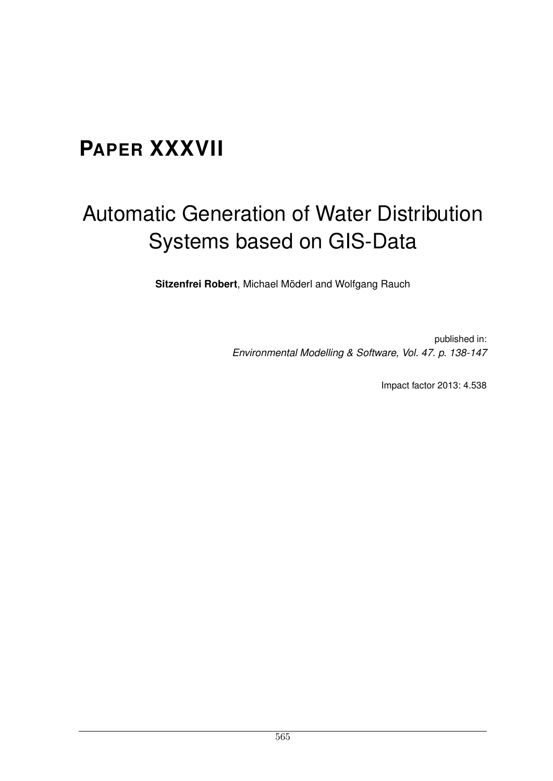### **PAPER XXXVII**

## Automatic Generation of Water Distribution Systems based on GIS-Data

Sitzenfrei Robert, Michael Möderl and Wolfgang Rauch

published in: *Environmental Modelling & Software, Vol. 47. p. 138-147*

Impact factor 2013: 4.538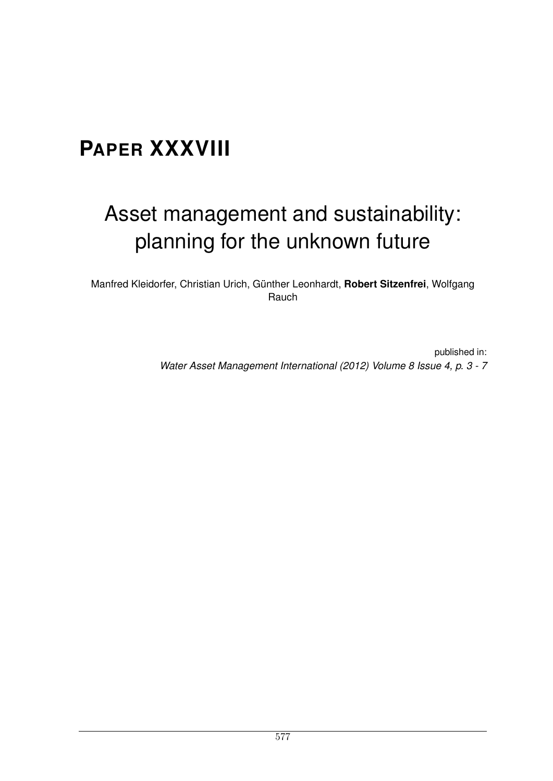## **PAPER XXXVIII**

## Asset management and sustainability: planning for the unknown future

Manfred Kleidorfer, Christian Urich, Günther Leonhardt, Robert Sitzenfrei, Wolfgang Rauch

> published in: *Water Asset Management International (2012) Volume 8 Issue 4, p.3-7*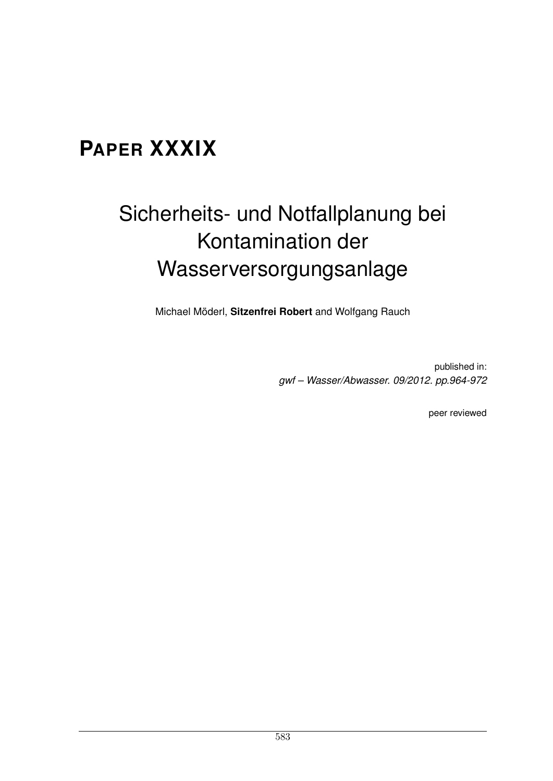### **PAPER XXXIX**

# Sicherheits- und Notfallplanung bei Kontamination der Wasserversorgungsanlage

Michael Möderl, Sitzenfrei Robert and Wolfgang Rauch

published in: *gwf – Wasser/Abwasser. 09/2012. pp.964-972*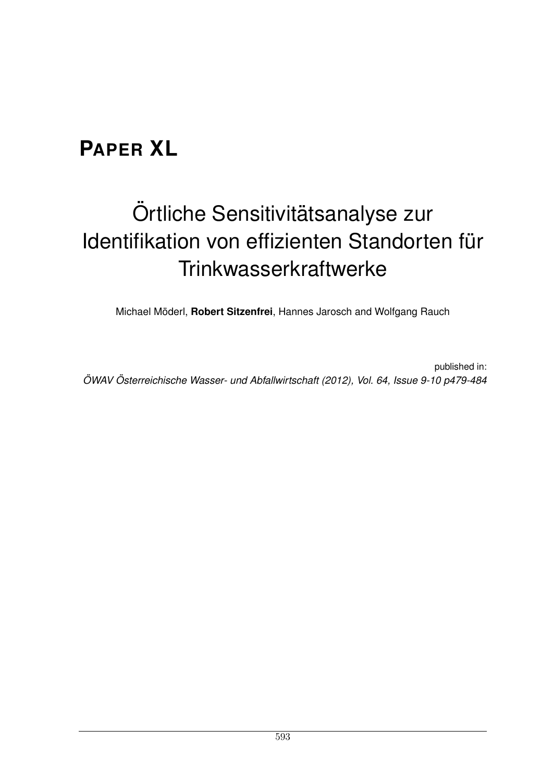## **PAPER XL**

# Örtliche Sensitivitätsanalyse zur Identifikation von effizienten Standorten für **Trinkwasserkraftwerke**

Michael Möderl, **Robert Sitzenfrei**, Hannes Jarosch and Wolfgang Rauch

published in: *OWAV ¨ Osterreichische Wasser- und Abfallwirtschaft (2012), Vol. 64, Issue 9-10 p479-484 ¨*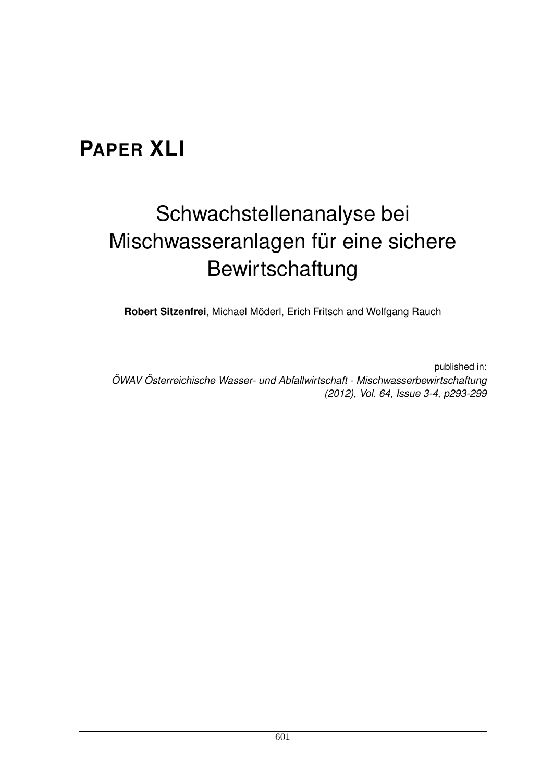### **PAPER XLI**

# Schwachstellenanalyse bei Mischwasseranlagen für eine sichere Bewirtschaftung

**Robert Sitzenfrei**, Michael Moderl, Erich Fritsch and Wolfgang Rauch ¨

published in: *OWAV ¨ Osterreichische Wasser- und Abfallwirtschaft - Mischwasserbewirtschaftung ¨ (2012), Vol. 64, Issue 3-4, p293-299*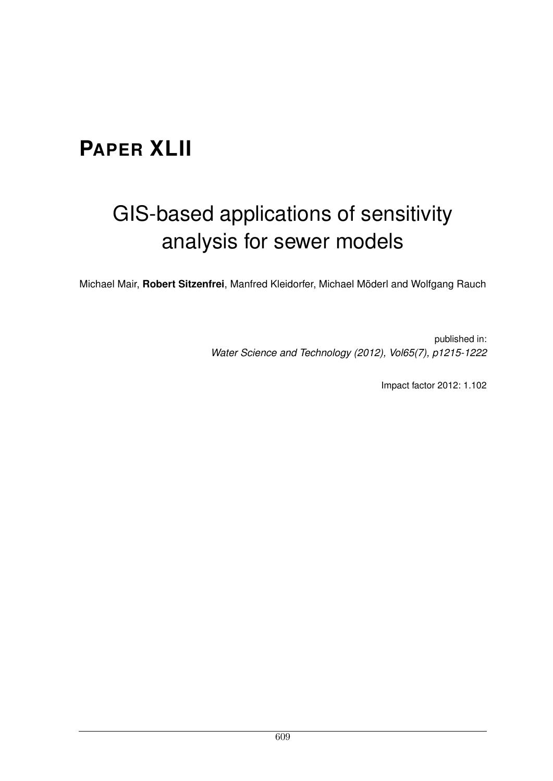### **PAPER XLII**

## GIS-based applications of sensitivity analysis for sewer models

Michael Mair, Robert Sitzenfrei, Manfred Kleidorfer, Michael Möderl and Wolfgang Rauch

published in: *Water Science and Technology (2012), Vol65(7), p1215-1222*

Impact factor 2012: 1.102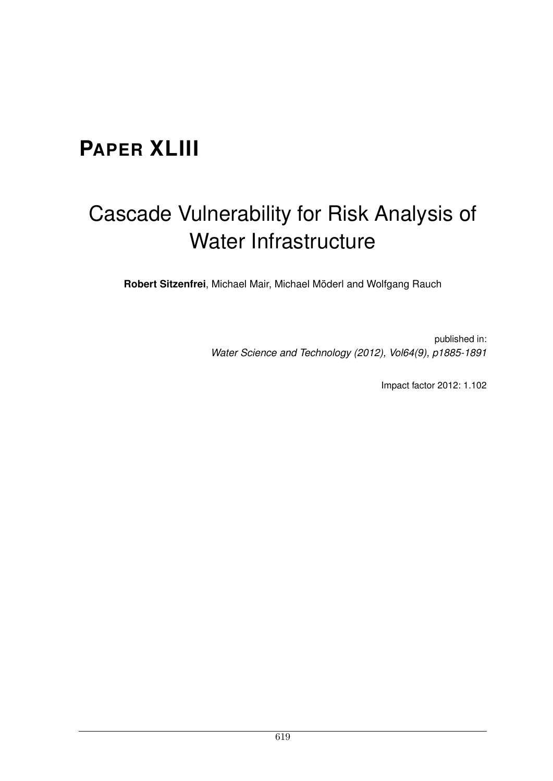### **PAPER XLIII**

## Cascade Vulnerability for Risk Analysis of Water Infrastructure

Robert Sitzenfrei, Michael Mair, Michael Möderl and Wolfgang Rauch

published in: *Water Science and Technology (2012), Vol64(9), p1885-1891*

Impact factor 2012: 1.102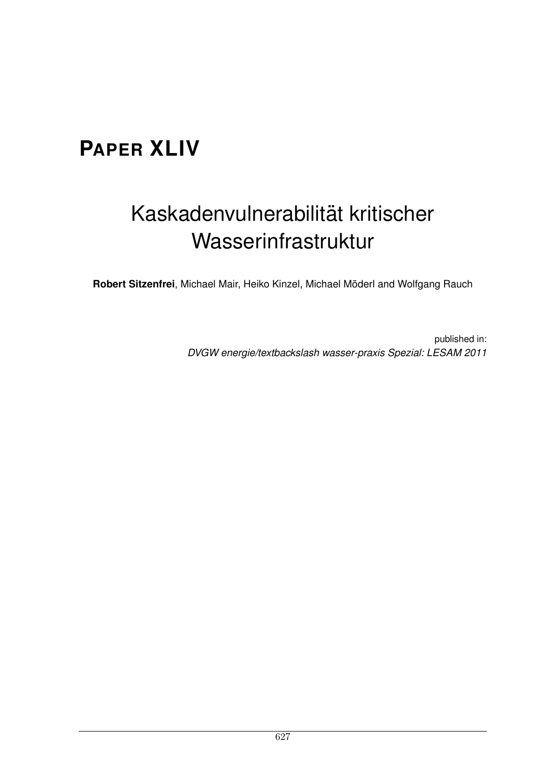### **PAPER XLIV**

## Kaskadenvulnerabilität kritischer Wasserinfrastruktur

Robert Sitzenfrei, Michael Mair, Heiko Kinzel, Michael Möderl and Wolfgang Rauch

published in: *DVGW energie/textbackslash wasser-praxis Spezial: LESAM 2011*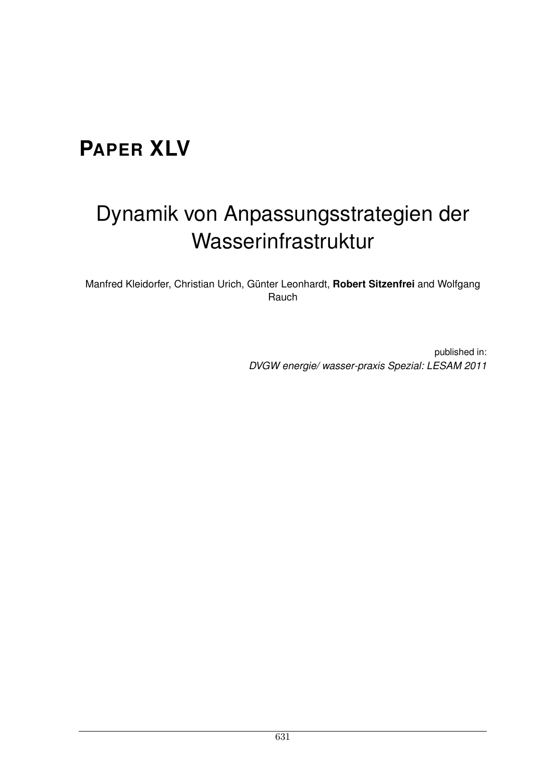### **PAPER XLV**

## Dynamik von Anpassungsstrategien der Wasserinfrastruktur

Manfred Kleidorfer, Christian Urich, Günter Leonhardt, Robert Sitzenfrei and Wolfgang Rauch

> published in: *DVGW energie/ wasser-praxis Spezial: LESAM 2011*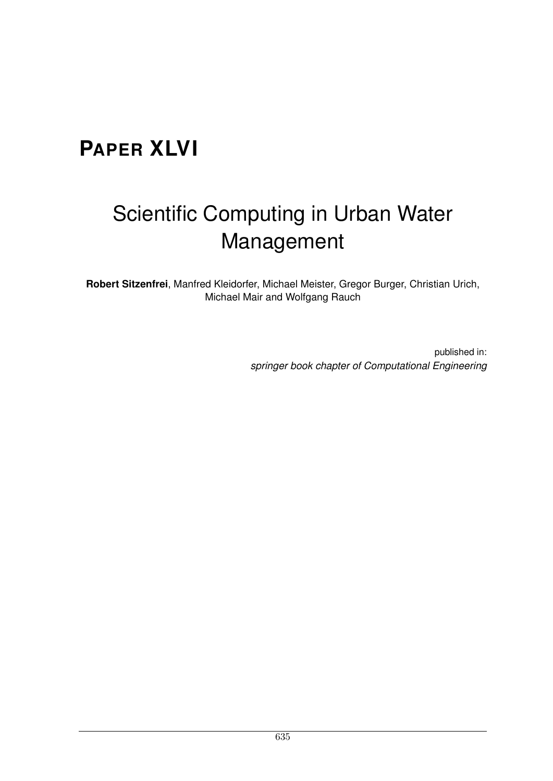## **PAPER XLVI**

# Scientific Computing in Urban Water Management

**Robert Sitzenfrei**, Manfred Kleidorfer, Michael Meister, Gregor Burger, Christian Urich, Michael Mair and Wolfgang Rauch

> published in: *springer book chapter of Computational Engineering*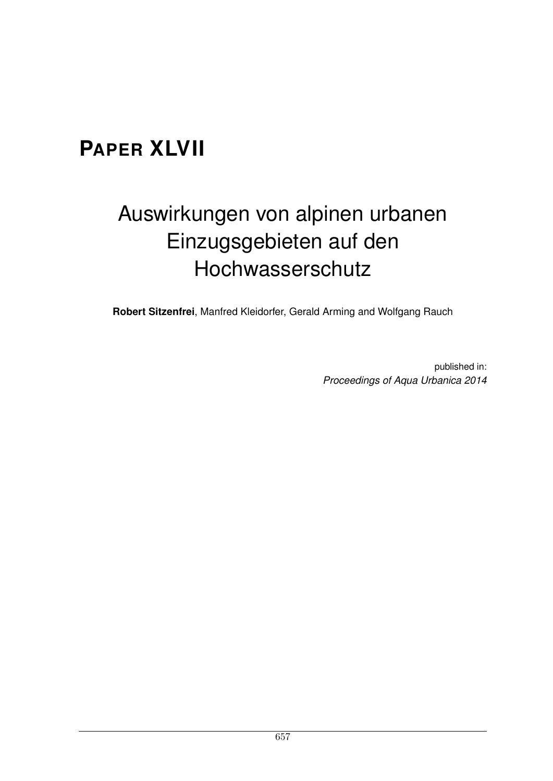### **PAPER XLVII**

## Auswirkungen von alpinen urbanen Einzugsgebieten auf den Hochwasserschutz

**Robert Sitzenfrei**, Manfred Kleidorfer, Gerald Arming and Wolfgang Rauch

published in: *Proceedings of Aqua Urbanica 2014*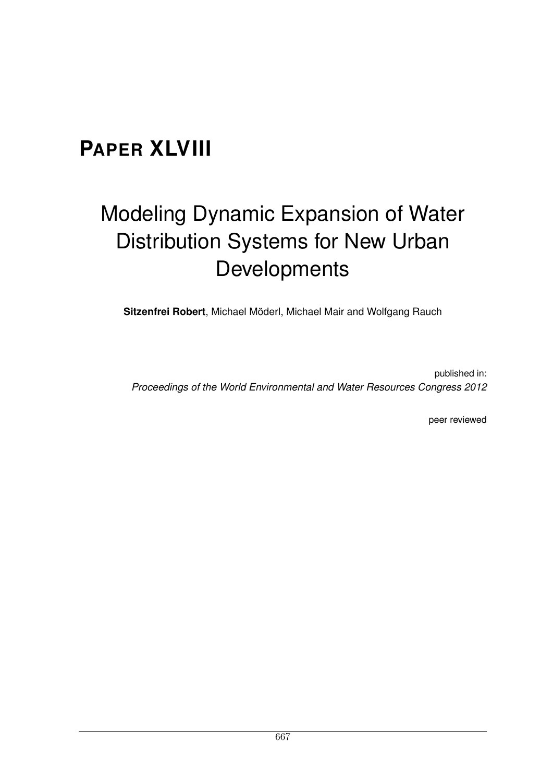### **PAPER XLVIII**

# Modeling Dynamic Expansion of Water Distribution Systems for New Urban Developments

**Sitzenfrei Robert**, Michael Moderl, Michael Mair and Wolfgang Rauch ¨

published in: *Proceedings of the World Environmental and Water Resources Congress 2012*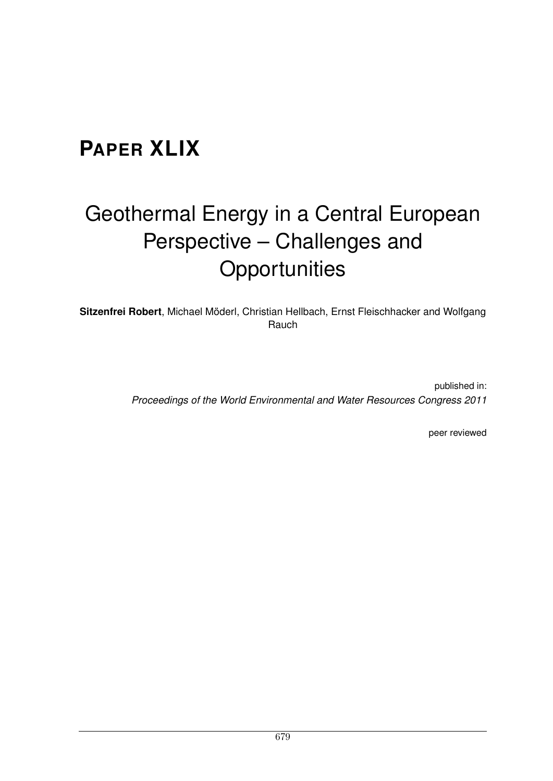### **PAPER XLIX**

# Geothermal Energy in a Central European Perspective – Challenges and **Opportunities**

Sitzenfrei Robert, Michael Möderl, Christian Hellbach, Ernst Fleischhacker and Wolfgang Rauch

> published in: *Proceedings of the World Environmental and Water Resources Congress 2011*